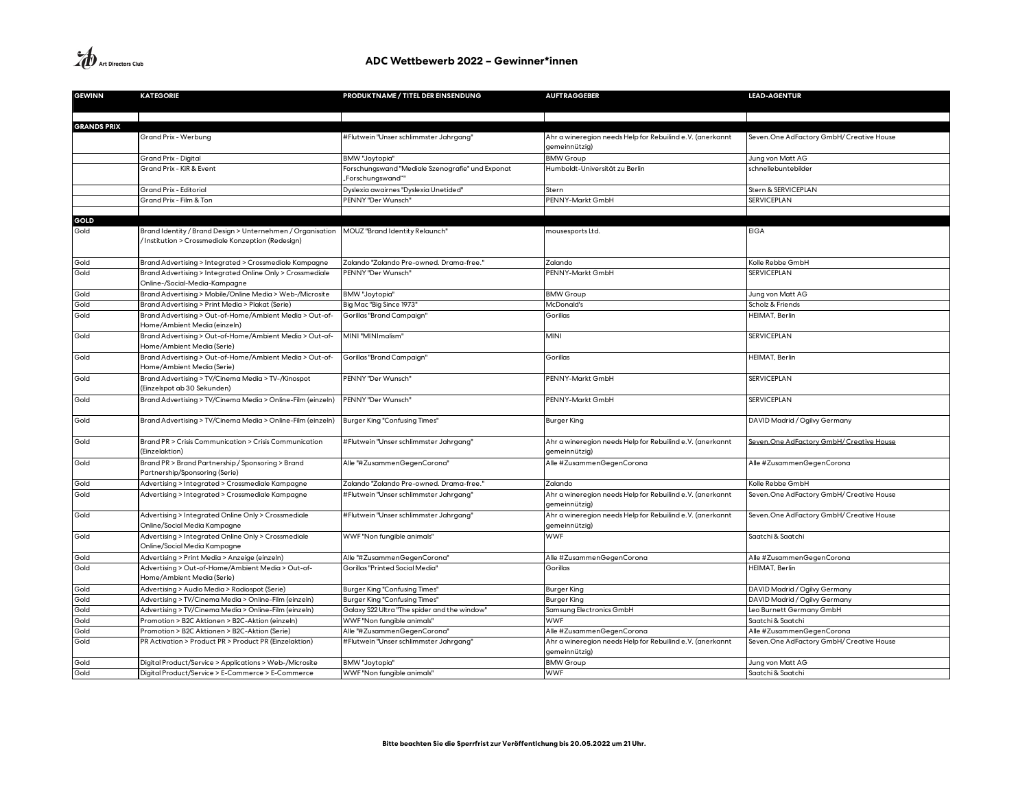**A**<br>Art Directors Club

| <b>GEWINN</b>      | <b>KATEGORIE</b>                                                                                               | PRODUKTNAME / TITEL DER EINSENDUNG               | <b>AUFTRAGGEBER</b>                                                        | <b>LEAD-AGENTUR</b>                       |
|--------------------|----------------------------------------------------------------------------------------------------------------|--------------------------------------------------|----------------------------------------------------------------------------|-------------------------------------------|
|                    |                                                                                                                |                                                  |                                                                            |                                           |
| <b>GRANDS PRIX</b> |                                                                                                                |                                                  |                                                                            |                                           |
|                    | Grand Prix - Werbung                                                                                           | #Flutwein "Unser schlimmster Jahrgang"           | Ahr a wineregion needs Help for Rebuilind e.V. (anerkannt                  | Seven. One AdFactory GmbH/ Creative House |
|                    |                                                                                                                |                                                  | gemeinnützig)                                                              |                                           |
|                    | Grand Prix - Digital                                                                                           | BMW "Joytopia"                                   | <b>BMW Group</b>                                                           | Jung von Matt AG                          |
|                    | Grand Prix - KiR & Event                                                                                       | Forschungswand "Mediale Szenografie" und Exponat | Humboldt-Universität zu Berlin                                             | schnellebuntebilder                       |
|                    |                                                                                                                | "Forschungswand""                                |                                                                            |                                           |
|                    | Grand Prix - Editorial                                                                                         | Dyslexia awairnes "Dyslexia Unetided"            | Stern                                                                      | Stern & SERVICEPLAN                       |
|                    | Grand Prix - Film & Ton                                                                                        | PENNY "Der Wunsch"                               | PENNY-Markt GmbH                                                           | <b>SERVICEPLAN</b>                        |
|                    |                                                                                                                |                                                  |                                                                            |                                           |
| GOLD               |                                                                                                                |                                                  |                                                                            |                                           |
| Gold               | Brand Identity / Brand Design > Unternehmen / Organisation<br>Institution > Crossmediale Konzeption (Redesign) | MOUZ "Brand Identity Relaunch"                   | mousesports Ltd.                                                           | <b>EIGA</b>                               |
| Gold               | Brand Advertising > Integrated > Crossmediale Kampagne                                                         | Zalando "Zalando Pre-owned. Drama-free.'         | Zalando                                                                    | Kolle Rebbe GmbH                          |
| Gold               | Brand Advertising > Integrated Online Only > Crossmediale                                                      | PENNY "Der Wunsch'                               | PENNY-Markt GmbH                                                           | <b>SERVICEPLAN</b>                        |
|                    | Online-/Social-Media-Kampagne                                                                                  |                                                  |                                                                            |                                           |
| Gold               | Brand Advertising > Mobile/Online Media > Web-/Microsite                                                       | <b>BMW</b> "Joytopia"                            | <b>BMW Group</b>                                                           | Jung von Matt AG                          |
| Gold               | Brand Advertising > Print Media > Plakat (Serie)                                                               | Big Mac "Big Since 1973"                         | McDonald's                                                                 | Scholz & Friends                          |
| Gold               | Brand Advertising > Out-of-Home/Ambient Media > Out-of-<br>Home/Ambient Media (einzeln)                        | Gorillas "Brand Campaign"                        | Gorillas                                                                   | <b>HEIMAT, Berlin</b>                     |
| Gold               | Brand Advertising > Out-of-Home/Ambient Media > Out-of-<br>Home/Ambient Media (Serie)                          | MINI "MINImalism"                                | <b>MINI</b>                                                                | <b>SERVICEPLAN</b>                        |
| Gold               | Brand Advertising > Out-of-Home/Ambient Media > Out-of-<br>Home/Ambient Media (Serie)                          | Gorillas "Brand Campaign"                        | Gorillas                                                                   | HEIMAT, Berlin                            |
| Gold               | Brand Advertising > TV/Cinema Media > TV-/Kinospot<br>(Einzelspot ab 30 Sekunden)                              | PENNY "Der Wunsch'                               | PENNY-Markt GmbH                                                           | <b>SERVICEPLAN</b>                        |
| Gold               | Brand Advertising > TV/Cinema Media > Online-Film (einzeln)                                                    | PENNY "Der Wunsch'                               | PENNY-Markt GmbH                                                           | <b>SERVICEPLAN</b>                        |
| Gold               | Brand Advertising > TV/Cinema Media > Online-Film (einzeln)                                                    | Burger King "Confusing Times"                    | <b>Burger King</b>                                                         | DAVID Madrid / Ogilvy Germany             |
| Gold               | Brand PR > Crisis Communication > Crisis Communication<br>(Einzelaktion)                                       | #Flutwein "Unser schlimmster Jahrgang"           | Ahr a wineregion needs Help for Rebuilind e.V. (anerkannt<br>gemeinnützig) | Seven. One AdFactory GmbH/ Creative House |
| Gold               | Brand PR > Brand Partnership / Sponsoring > Brand<br>Partnership/Sponsoring (Serie)                            | Alle "#ZusammenGegenCorona"                      | Alle #ZusammenGegenCorona                                                  | Alle #ZusammenGegenCorona                 |
| Gold               | Advertising > Integrated > Crossmediale Kampagne                                                               | Zalando "Zalando Pre-owned. Drama-free.          | Zalando                                                                    | Kolle Rebbe GmbH                          |
| Gold               | Advertising > Integrated > Crossmediale Kampagne                                                               | #Flutwein "Unser schlimmster Jahrgang"           | Ahr a wineregion needs Help for Rebuilind e.V. (anerkannt<br>gemeinnützig) | Seven. One AdFactory GmbH/ Creative House |
| Gold               | Advertising > Integrated Online Only > Crossmediale<br>Online/Social Media Kampagne                            | #Flutwein "Unser schlimmster Jahrgang"           | Ahr a wineregion needs Help for Rebuilind e.V. (anerkannt<br>gemeinnützig) | Seven. One AdFactory GmbH/ Creative House |
| Gold               | Advertising > Integrated Online Only > Crossmediale<br>Online/Social Media Kampagne                            | WWF "Non fungible animals"                       | <b>WWF</b>                                                                 | Saatchi & Saatchi                         |
| Gold               | Advertising > Print Media > Anzeige (einzeln)                                                                  | Alle "#ZusammenGegenCorona"                      | Alle #ZusammenGegenCorona                                                  | Alle #ZusammenGegenCorona                 |
| Gold               | Advertising > Out-of-Home/Ambient Media > Out-of-<br>Home/Ambient Media (Serie)                                | Gorillas "Printed Social Media"                  | Gorillas                                                                   | HEIMAT, Berlin                            |
| Gold               | Advertising > Audio Media > Radiospot (Serie)                                                                  | Burger King "Confusing Times"                    | <b>Burger King</b>                                                         | DAVID Madrid / Ogilvy Germany             |
| Gold               | Advertising > TV/Cinema Media > Online-Film (einzeln)                                                          | Burger King "Confusing Times"                    | Burger King                                                                | DAVID Madrid / Ogilvy Germany             |
| Gold               | Advertising > TV/Cinema Media > Online-Film (einzeln)                                                          | Galaxy S22 Ultra "The spider and the window"     | Samsung Electronics GmbH                                                   | Leo Burnett Germany GmbH                  |
| Gold               | Promotion > B2C Aktionen > B2C-Aktion (einzeln)                                                                | WWF "Non fungible animals"                       | <b>WWF</b>                                                                 | Saatchi & Saatchi                         |
| Gold               | Promotion > B2C Aktionen > B2C-Aktion (Serie)                                                                  | Alle "#ZusammenGegenCorona"                      | Alle #ZusammenGegenCorona                                                  | Alle #ZusammenGegenCorona                 |
| Gold               | PR Activation > Product PR > Product PR (Einzelaktion)                                                         | #Flutwein "Unser schlimmster Jahrgang"           | Ahr a wineregion needs Help for Rebuilind e.V. (anerkannt<br>gemeinnützig) | Seven. One AdFactory GmbH/ Creative House |
| Gold               | Digital Product/Service > Applications > Web-/Microsite                                                        | <b>BMW</b> "Joytopia"                            | <b>BMW Group</b>                                                           | Jung von Matt AG                          |
| Gold               | Digital Product/Service > E-Commerce > E-Commerce                                                              | WWF "Non fungible animals"                       | <b>WWF</b>                                                                 | Saatchi & Saatchi                         |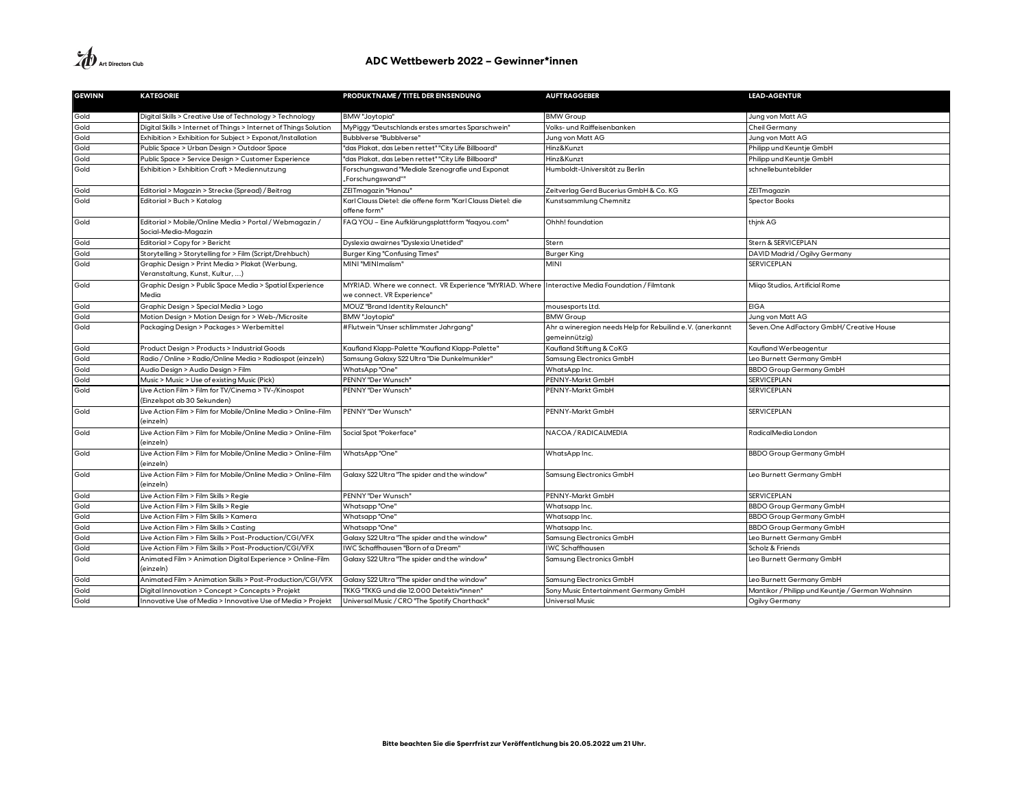| <b>GEWINN</b> | <b>KATEGORIE</b>                                                                    | PRODUKTNAME / TITEL DER EINSENDUNG                                                                                           | <b>AUFTRAGGEBER</b>                                                        | <b>LEAD-AGENTUR</b>                              |
|---------------|-------------------------------------------------------------------------------------|------------------------------------------------------------------------------------------------------------------------------|----------------------------------------------------------------------------|--------------------------------------------------|
| Gold          | Digital Skills > Creative Use of Technology > Technology                            | BMW "Joytopia"                                                                                                               | <b>BMW Group</b>                                                           | Jung von Matt AG                                 |
| Gold          | Digital Skills > Internet of Things > Internet of Things Solution                   | MyPiggy "Deutschlands erstes smartes Sparschwein'                                                                            | Volks- und Raiffeisenbanken                                                | Cheil Germany                                    |
| Gold          | Exhibition > Exhibition for Subject > Exponat/Installation                          | Bubblverse "Bubblverse"                                                                                                      | Jung von Matt AG                                                           | Jung von Matt AG                                 |
| Gold          | Public Space > Urban Design > Outdoor Space                                         | 'das Plakat, das Leben rettet" "City Life Billboard"                                                                         | Hinz&Kunzt                                                                 | Philipp und Keuntje GmbH                         |
| Gold          | Public Space > Service Design > Customer Experience                                 | 'das Plakat, das Leben rettet" "City Life Billboard"                                                                         | Hinz&Kunzt                                                                 | Philipp und Keuntje GmbH                         |
| Gold          | Exhibition > Exhibition Craft > Mediennutzung                                       | Forschungswand "Mediale Szenografie und Exponat                                                                              | Humboldt-Universität zu Berlin                                             | schnellebuntebilder                              |
|               |                                                                                     | ""Forschungswand,                                                                                                            |                                                                            |                                                  |
| Gold          | Editorial > Magazin > Strecke (Spread) / Beitrag                                    | ZEITmagazin "Hanau"                                                                                                          | Zeitverlag Gerd Bucerius GmbH & Co. KG                                     | ZEITmagazin                                      |
| Gold          | Editorial > Buch > Katalog                                                          | Karl Clauss Dietel: die offene form "Karl Clauss Dietel: die<br>offene form"                                                 | Kunstsammlung Chemnitz                                                     | <b>Spector Books</b>                             |
| Gold          | Editorial > Mobile/Online Media > Portal / Webmagazin /<br>Social-Media-Magazin     | FAQ YOU - Eine Aufklärungsplattform "faqyou.com"                                                                             | Ohhh! foundation                                                           | thjnk AG                                         |
| Gold          | Editorial > Copy for > Bericht                                                      | Dyslexia awairnes "Dyslexia Unetided"                                                                                        | Stern                                                                      | Stern & SERVICEPLAN                              |
| Gold          | Storytelling > Storytelling for > Film (Script/Drehbuch)                            | Burger King "Confusing Times"                                                                                                | <b>Burger King</b>                                                         | DAVID Madrid / Ogilvy Germany                    |
| Gold          | Graphic Design > Print Media > Plakat (Werbung,<br>Veranstaltung, Kunst, Kultur, )  | MINI "MINImalism"                                                                                                            | MINI                                                                       | SERVICEPLAN                                      |
| Gold          | Graphic Design > Public Space Media > Spatial Experience<br>Media                   | MYRIAD. Where we connect. VR Experience "MYRIAD. Where Interactive Media Foundation / Filmtank<br>we connect. VR Experience" |                                                                            | Miigo Studios, Artificial Rome                   |
| Gold          | Graphic Design > Special Media > Logo                                               | MOUZ "Brand Identity Relaunch"                                                                                               | mousesports Ltd.                                                           | <b>EIGA</b>                                      |
| Gold          | Motion Design > Motion Design for > Web-/Microsite                                  | <b>BMW</b> "Joytopia"                                                                                                        | <b>BMW Group</b>                                                           | Jung von Matt AG                                 |
| Gold          | Packaging Design > Packages > Werbemittel                                           | #Flutwein "Unser schlimmster Jahrgang"                                                                                       | Ahr a wineregion needs Help for Rebuilind e.V. (anerkannt<br>gemeinnützig) | Seven. One AdFactory GmbH/ Creative House        |
| Gold          | Product Design > Products > Industrial Goods                                        | Kaufland Klapp-Palette "Kaufland Klapp-Palette"                                                                              | Kaufland Stiftung & CoKG                                                   | Kaufland Werbeagentur                            |
| Gold          | Radio / Online > Radio/Online Media > Radiospot (einzeln)                           | Samsung Galaxy S22 Ultra "Die Dunkelmunkler"                                                                                 | Samsung Electronics GmbH                                                   | Leo Burnett Germany GmbH                         |
| Gold          | Audio Design > Audio Design > Film                                                  | WhatsApp "One"                                                                                                               | WhatsApp Inc.                                                              | <b>BBDO Group Germany GmbH</b>                   |
| Gold          | Music > Music > Use of existing Music (Pick)                                        | PENNY "Der Wunsch"                                                                                                           | PENNY-Markt GmbH                                                           | <b>SERVICEPLAN</b>                               |
| Gold          | Live Action Film > Film for TV/Cinema > TV-/Kinospot<br>(Einzelspot ab 30 Sekunden) | PENNY "Der Wunsch"                                                                                                           | PENNY-Markt GmbH                                                           | <b>SERVICEPLAN</b>                               |
| Gold          | Live Action Film > Film for Mobile/Online Media > Online-Film<br>(einzeln)          | PENNY "Der Wunsch"                                                                                                           | PENNY-Markt GmbH                                                           | <b>SERVICEPLAN</b>                               |
| Gold          | Live Action Film > Film for Mobile/Online Media > Online-Film<br>(einzeln)          | Social Spot "Pokerface"                                                                                                      | NACOA / RADICALMEDIA                                                       | RadicalMedia London                              |
| Gold          | Live Action Film > Film for Mobile/Online Media > Online-Film<br>(einzeln)          | WhatsApp"One"                                                                                                                | WhatsApp Inc.                                                              | <b>BBDO Group Germany GmbH</b>                   |
| Gold          | Live Action Film > Film for Mobile/Online Media > Online-Film<br>(einzeln)          | Galaxy S22 Ultra "The spider and the window"                                                                                 | Samsung Electronics GmbH                                                   | Leo Burnett Germany GmbH                         |
| Gold          | Live Action Film > Film Skills > Regie                                              | PENNY "Der Wunsch"                                                                                                           | PENNY-Markt GmbH                                                           | <b>SERVICEPLAN</b>                               |
| Gold          | Live Action Film > Film Skills > Regie                                              | Whatsapp "One"                                                                                                               | Whatsapp Inc.                                                              | <b>BBDO Group Germany GmbH</b>                   |
| Gold          | Live Action Film > Film Skills > Kamera                                             | Whatsapp "One"                                                                                                               | Whatsapp Inc.                                                              | <b>BBDO Group Germany GmbH</b>                   |
| Gold          | Live Action Film > Film Skills > Casting                                            | Whatsapp "One"                                                                                                               | Whatsapp Inc.                                                              | <b>BBDO Group Germany GmbH</b>                   |
| Gold          | Live Action Film > Film Skills > Post-Production/CGI/VFX                            | Galaxy S22 Ultra "The spider and the window"                                                                                 | Samsung Electronics GmbH                                                   | Leo Burnett Germany GmbH                         |
| Gold          | Live Action Film > Film Skills > Post-Production/CGI/VFX                            | IWC Schaffhausen "Born of a Dream"                                                                                           | <b>IWC Schaffhausen</b>                                                    | Scholz & Friends                                 |
| Gold          | Animated Film > Animation Digital Experience > Online-Film<br>(einzeln)             | Galaxy S22 Ultra "The spider and the window"                                                                                 | Samsung Electronics GmbH                                                   | Leo Burnett Germany GmbH                         |
| Gold          | Animated Film > Animation Skills > Post-Production/CGI/VFX                          | Galaxy S22 Ultra "The spider and the window"                                                                                 | Samsung Electronics GmbH                                                   | Leo Burnett Germany GmbH                         |
| Gold          | Digital Innovation > Concept > Concepts > Projekt                                   | TKKG "TKKG und die 12.000 Detektiv*innen"                                                                                    | Sony Music Entertainment Germany GmbH                                      | Mantikor / Philipp und Keuntje / German Wahnsinn |
| Gold          | Innovative Use of Media > Innovative Use of Media > Projekt                         | Universal Music / CRO "The Spotify Charthack"                                                                                | <b>Universal Music</b>                                                     | Ogilvy Germany                                   |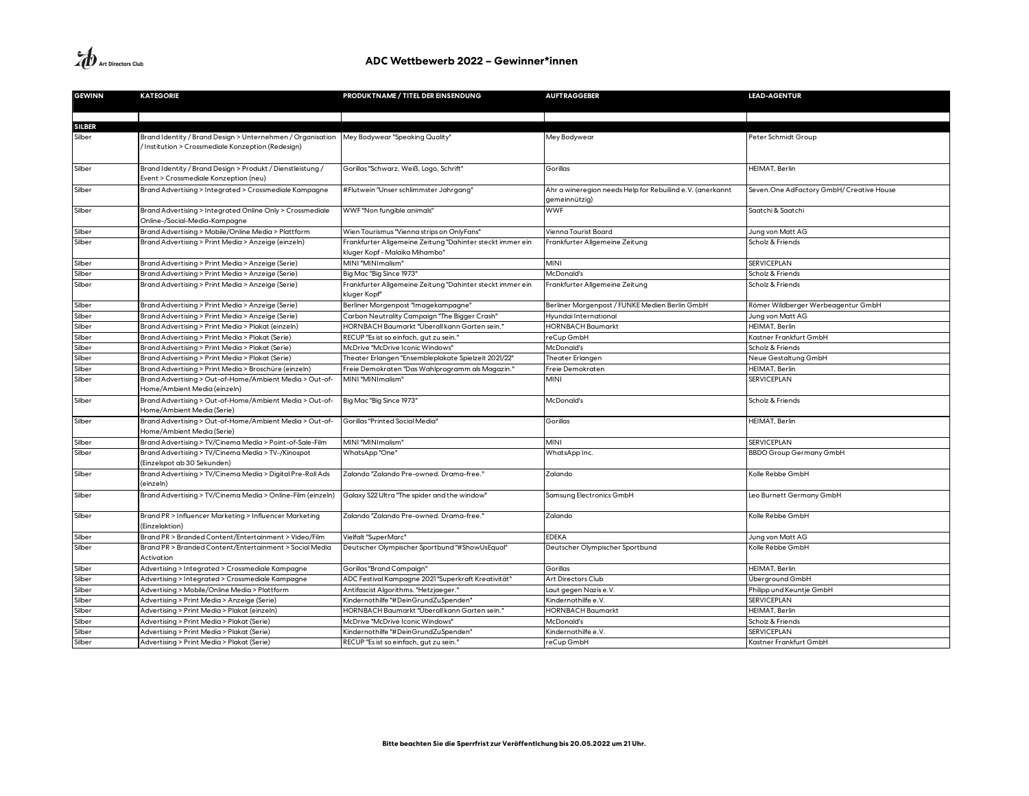**A**<br>Art Directors Club

| <b>GEWINN</b> | <b>KATEGORIE</b>                                            | PRODUKTNAME / TITEL DER EINSENDUNG                                        | <b>AUFTRAGGEBER</b>                                       | <b>LEAD-AGENTUR</b>                       |
|---------------|-------------------------------------------------------------|---------------------------------------------------------------------------|-----------------------------------------------------------|-------------------------------------------|
|               |                                                             |                                                                           |                                                           |                                           |
|               |                                                             |                                                                           |                                                           |                                           |
| <b>SILBER</b> |                                                             |                                                                           |                                                           |                                           |
| Silber        | Brand Identity / Brand Design > Unternehmen / Organisation  | Mey Bodywear "Speaking Quality"                                           | Mey Bodywear                                              | Peter Schmidt Group                       |
|               | /Institution > Crossmediale Konzeption (Redesign)           |                                                                           |                                                           |                                           |
|               |                                                             |                                                                           |                                                           |                                           |
| Silber        | Brand Identity / Brand Design > Produkt / Dienstleistung /  | Gorillas "Schwarz, Weiß, Logo, Schrift"                                   | Gorillas                                                  | HEIMAT, Berlin                            |
|               | Event > Crossmediale Konzeption (neu)                       |                                                                           |                                                           |                                           |
| Silber        | Brand Advertising > Integrated > Crossmediale Kampagne      | #Flutwein "Unser schlimmster Jahrgang"                                    | Ahr a wineregion needs Help for Rebuilind e.V. (anerkannt | Seven. One AdFactory GmbH/ Creative House |
|               |                                                             |                                                                           | gemeinnützig)                                             |                                           |
| Silber        | Brand Advertising > Integrated Online Only > Crossmediale   | WWF "Non fungible animals"                                                | <b>WWF</b>                                                | Saatchi & Saatchi                         |
|               | Online-/Social-Media-Kampagne                               |                                                                           |                                                           |                                           |
| Silber        | Brand Advertising > Mobile/Online Media > Plattform         | Wien Tourismus "Vienna strips on OnlyFans"                                | Vienna Tourist Board                                      | Jung von Matt AG                          |
| Silber        | Brand Advertising > Print Media > Anzeige (einzeln)         | Frankfurter Allgemeine Zeitung "Dahinter steckt immer ein                 | rankfurter Allgemeine Zeitung                             | Scholz & Friends                          |
|               |                                                             | kluger Kopf - Malaika Mihambo"                                            |                                                           |                                           |
| Silber        | Brand Advertising > Print Media > Anzeige (Serie)           | MINI "MINImalism"                                                         | MINI                                                      | <b>SERVICEPLAN</b>                        |
| Silber        | Brand Advertising > Print Media > Anzeige (Serie)           | Big Mac "Big Since 1973"                                                  | McDonald's                                                | Scholz & Friends                          |
| Silber        | Brand Advertising > Print Media > Anzeige (Serie)           | Frankfurter Allgemeine Zeitung "Dahinter steckt immer ein<br>kluger Kopf" | rankfurter Allgemeine Zeitung                             | Scholz & Friends                          |
| Silber        | Brand Advertising > Print Media > Anzeige (Serie)           | Berliner Morgenpost "Imagekampagne"                                       | Berliner Morgenpost / FUNKE Medien Berlin GmbH            | Römer Wildberger Werbeagentur GmbH        |
| Silber        | Brand Advertising > Print Media > Anzeige (Serie)           | Carbon Neutrality Campaign "The Bigger Crash"                             | lyundai International                                     | Jung von Matt AG                          |
| Silber        | Brand Advertising > Print Media > Plakat (einzeln)          | HORNBACH Baumarkt "Überall kann Garten sein.'                             | <b>IORNBACH Baumarkt</b>                                  | HEIMAT, Berlin                            |
| Silber        | Brand Advertising > Print Media > Plakat (Serie)            | RECUP "Es ist so einfach, gut zu sein.'                                   | reCup GmbH                                                | Kastner Frankfurt GmbH                    |
| Silber        | Brand Advertising > Print Media > Plakat (Serie)            | McDrive "McDrive Iconic Windows"                                          | McDonald's                                                | Scholz & Friends                          |
| Silber        | Brand Advertising > Print Media > Plakat (Serie)            | Theater Erlangen "Ensembleplakate Spielzeit 2021/22"                      | Theater Erlangen                                          | Neue Gestaltung GmbH                      |
| Silber        | Brand Advertising > Print Media > Broschüre (einzeln)       | Freie Demokraten "Das Wahlprogramm als Magazin.'                          | Freie Demokraten                                          | HEIMAT, Berlin                            |
| Silber        | Brand Advertising > Out-of-Home/Ambient Media > Out-of-     | MINI "MINImalism"                                                         | <b>MINI</b>                                               | SERVICEPLAN                               |
|               | Home/Ambient Media (einzeln)                                |                                                                           |                                                           |                                           |
| Silber        | Brand Advertising > Out-of-Home/Ambient Media > Out-of-     | Big Mac "Big Since 1973"                                                  | McDonald's                                                | Scholz & Friends                          |
|               | Home/Ambient Media (Serie)                                  |                                                                           |                                                           |                                           |
| Silber        | Brand Advertising > Out-of-Home/Ambient Media > Out-of-     | Gorillas "Printed Social Media"                                           | Gorillas                                                  | HEIMAT, Berlin                            |
|               | Home/Ambient Media (Serie)                                  |                                                                           |                                                           |                                           |
| Silber        | Brand Advertising > TV/Cinema Media > Point-of-Sale-Film    | MINI "MINImalism"                                                         | MINI                                                      | <b>SERVICEPLAN</b>                        |
| Silber        | Brand Advertising > TV/Cinema Media > TV-/Kinospot          | WhatsApp"One"                                                             | WhatsApp Inc.                                             | <b>BBDO Group Germany GmbH</b>            |
|               | (Einzelspot ab 30 Sekunden)                                 |                                                                           |                                                           |                                           |
| Silber        | Brand Advertising > TV/Cinema Media > Digital Pre-Roll Ads  | Zalando "Zalando Pre-owned, Drama-free."                                  | Zalando                                                   | Kolle Rebbe GmbH                          |
|               | (einzeln)                                                   |                                                                           |                                                           |                                           |
| Silber        | Brand Advertising > TV/Cinema Media > Online-Film (einzeln) | Galaxy S22 Ultra "The spider and the window"                              | Samsung Electronics GmbH                                  | Leo Burnett Germany GmbH                  |
|               |                                                             |                                                                           |                                                           |                                           |
| Silber        | Brand PR > Influencer Marketing > Influencer Marketing      | Zalando "Zalando Pre-owned. Drama-free."                                  | Zalando                                                   | Kolle Rebbe GmbH                          |
|               | (Einzelaktion)                                              |                                                                           |                                                           |                                           |
| Silber        | Brand PR > Branded Content/Entertainment > Video/Film       | Vielfalt "SuperMarc"                                                      | <b>EDEKA</b>                                              | Jung von Matt AG                          |
| Silber        | Brand PR > Branded Content/Entertainment > Social Media     | Deutscher Olympischer Sportbund "#ShowUsEqual"                            | Deutscher Olympischer Sportbund                           | Kolle Rebbe GmbH                          |
|               | Activation                                                  |                                                                           |                                                           |                                           |
| Silber        | Advertising > Integrated > Crossmediale Kampagne            | Gorillas "Brand Campaign"                                                 | Gorillas                                                  | HEIMAT, Berlin                            |
| Silber        | Advertising > Integrated > Crossmediale Kampagne            | ADC Festival Kampagne 2021 "Superkraft Kreativität"                       | Art Directors Club                                        | Überground GmbH                           |
| Silber        | Advertising > Mobile/Online Media > Plattform               | Antifascist Algorithms. "Hetzjaeger."                                     | aut gegen Nazis e.V.                                      | Philipp und Keuntje GmbH                  |
| Silber        | Advertising > Print Media > Anzeige (Serie)                 | Kindernothilfe "#DeinGrundZuSpenden"                                      | Kindernothilfe e.V.                                       | <b>SERVICEPLAN</b>                        |
| Silber        | Advertising > Print Media > Plakat (einzeln)                | HORNBACH Baumarkt "Überall kann Garten sein."                             | <b>IORNBACH Baumarkt</b>                                  | HEIMAT, Berlin                            |
| Silber        | Advertising > Print Media > Plakat (Serie)                  | McDrive "McDrive Iconic Windows"                                          | McDonald's                                                | Scholz & Friends                          |
| Silber        | Advertising > Print Media > Plakat (Serie)                  | Kindernothilfe "#DeinGrundZuSpenden"                                      | Kindernothilfe e.V.                                       | <b>SERVICEPLAN</b>                        |
| Silber        | Advertising > Print Media > Plakat (Serie)                  | RECUP "Es ist so einfach, gut zu sein."                                   | reCup GmbH                                                | Kastner Frankfurt GmbH                    |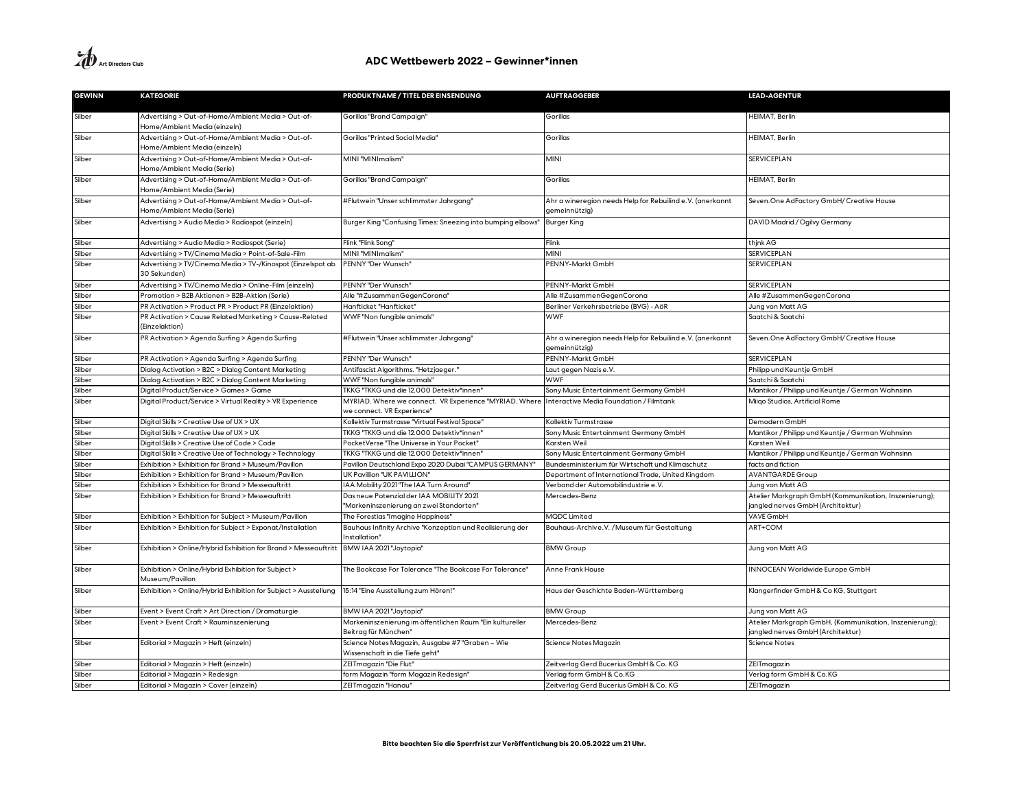| <b>GEWINN</b> | <b>KATEGORIE</b>                                                                          | PRODUKTNAME / TITEL DER EINSENDUNG                                                   | <b>AUFTRAGGEBER</b>                                                        | <b>LEAD-AGENTUR</b>                                                                         |
|---------------|-------------------------------------------------------------------------------------------|--------------------------------------------------------------------------------------|----------------------------------------------------------------------------|---------------------------------------------------------------------------------------------|
| Silber        | Advertising > Out-of-Home/Ambient Media > Out-of-<br>Home/Ambient Media (einzeln)         | Gorillas "Brand Campaign"                                                            | Gorillas                                                                   | HEIMAT, Berlin                                                                              |
| Silber        | Advertising > Out-of-Home/Ambient Media > Out-of-<br>Home/Ambient Media (einzeln)         | Gorillas "Printed Social Media"                                                      | Gorillas                                                                   | HEIMAT, Berlin                                                                              |
| Silber        | Advertising > Out-of-Home/Ambient Media > Out-of-<br>Home/Ambient Media (Serie)           | MINI "MINImalism"                                                                    | <b>MINI</b>                                                                | SERVICEPLAN                                                                                 |
| Silber        | Advertising > Out-of-Home/Ambient Media > Out-of-<br>Home/Ambient Media (Serie)           | Gorillas "Brand Campaign"                                                            | Gorillas                                                                   | HEIMAT, Berlin                                                                              |
| Silber        | Advertising > Out-of-Home/Ambient Media > Out-of-<br>Home/Ambient Media (Serie)           | #Flutwein "Unser schlimmster Jahrgang"                                               | Ahr a wineregion needs Help for Rebuilind e.V. (anerkannt<br>gemeinnützig) | Seven. One AdFactory GmbH/ Creative House                                                   |
| Silber        | Advertising > Audio Media > Radiospot (einzeln)                                           | Burger King "Confusing Times: Sneezing into bumping elbows"                          | Burger King                                                                | DAVID Madrid / Ogilvy Germany                                                               |
| Silber        | Advertising > Audio Media > Radiospot (Serie)                                             | Flink "Flink Song"                                                                   | Flink                                                                      | thjnk AG                                                                                    |
| Silber        | Advertising > TV/Cinema Media > Point-of-Sale-Film                                        | MINI "MINImalism"                                                                    | MINI                                                                       | SERVICEPLAN                                                                                 |
| Silber        | Advertising > TV/Cinema Media > TV-/Kinospot (Einzelspot ab<br>30 Sekunden)               | PENNY "Der Wunsch"                                                                   | PENNY-Markt GmbH                                                           | <b>SERVICEPLAN</b>                                                                          |
| Silber        | Advertising > TV/Cinema Media > Online-Film (einzeln)                                     | PENNY "Der Wunsch"                                                                   | PENNY-Markt GmbH                                                           | <b>SERVICEPLAN</b>                                                                          |
| Silber        | Promotion > B2B Aktionen > B2B-Aktion (Serie)                                             | Alle "#ZusammenGegenCorona"                                                          | Alle #ZusammenGegenCorona                                                  | Alle #ZusammenGegenCorona                                                                   |
| ilber         | PR Activation > Product PR > Product PR (Einzelaktion)                                    | Hanfticket "Hanfticket"                                                              | Berliner Verkehrsbetriebe (BVG) - AöR                                      | Jung von Matt AG                                                                            |
| Silber        | PR Activation > Cause Related Marketing > Cause-Related<br>(Einzelaktion)                 | WWF "Non fungible animals"                                                           | <b>WWF</b>                                                                 | Saatchi & Saatchi                                                                           |
| Silber        | PR Activation > Agenda Surfing > Agenda Surfing                                           | #Flutwein "Unser schlimmster Jahrgang'                                               | Ahr a wineregion needs Help for Rebuilind e.V. (anerkannt<br>gemeinnützig) | Seven. One AdFactory GmbH/ Creative House                                                   |
| Silber        | PR Activation > Agenda Surfing > Agenda Surfing                                           | PENNY "Der Wunsch"                                                                   | PENNY-Markt GmbH                                                           | <b>SERVICEPLAN</b>                                                                          |
| Silber        | Dialog Activation > B2C > Dialog Content Marketing                                        | Antifascist Algorithms. "Hetzjaeger."                                                | Laut gegen Nazis e.V.                                                      | Philipp und Keuntje GmbH                                                                    |
| Silber        | Dialog Activation > B2C > Dialog Content Marketing                                        | WWF "Non fungible animals"                                                           | <b>WWF</b>                                                                 | Saatchi & Saatchi                                                                           |
| Silber        | Digital Product/Service > Games > Game                                                    | TKKG "TKKG und die 12.000 Detektiv*innen"                                            | Sony Music Entertainment Germany GmbH                                      | Mantikor / Philipp und Keuntje / German Wahnsinn                                            |
| Silber        | Digital Product/Service > Virtual Reality > VR Experience                                 | MYRIAD. Where we connect. VR Experience "MYRIAD. Where<br>we connect. VR Experience" | Interactive Media Foundation / Filmtank                                    | Miigo Studios, Artificial Rome                                                              |
| Silber        | Digital Skills > Creative Use of UX > UX                                                  | Kollektiv Turmstrasse "Virtual Festival Space"                                       | Kollektiv Turmstrasse                                                      | Demodern GmbH                                                                               |
| Silber        | Digital Skills > Creative Use of UX > UX                                                  | TKKG "TKKG und die 12.000 Detektiv*innen"                                            | Sony Music Entertainment Germany GmbH                                      | Mantikor / Philipp und Keuntje / German Wahnsinn                                            |
| Silber        | Digital Skills > Creative Use of Code > Code                                              | PocketVerse "The Universe in Your Pocket"                                            | Karsten Weil                                                               | Karsten Weil                                                                                |
| Silber        | Digital Skills > Creative Use of Technology > Technology                                  | TKKG "TKKG und die 12.000 Detektiv*innen"                                            | Sony Music Entertainment Germany GmbH                                      | Mantikor / Philipp und Keuntje / German Wahnsinn                                            |
| Silber        | Exhibition > Exhibition for Brand > Museum/Pavillon                                       | Pavillon Deutschland Expo 2020 Dubai "CAMPUS GERMANY"                                | Bundesministerium für Wirtschaft und Klimaschutz                           | facts and fiction                                                                           |
| Silber        | Exhibition > Exhibition for Brand > Museum/Pavillon                                       | UK Pavillion "UK PAVILLION'                                                          | Department of International Trade, United Kingdom                          | <b>AVANTGARDE Group</b>                                                                     |
| Silber        | Exhibition > Exhibition for Brand > Messeauftritt                                         | IAA Mobility 2021 "The IAA Turn Around'                                              | Verband der Automobilindustrie e.V.                                        | Jung von Matt AG                                                                            |
| Silber        | Exhibition > Exhibition for Brand > Messeauftritt                                         | Das neue Potenzial der IAA MOBILITY 2021<br>"Markeninszenierung an zwei Standorten"  | Mercedes-Benz                                                              | Atelier Markgraph GmbH (Kommunikation, Inszenierung);<br>jangled nerves GmbH (Architektur)  |
| Silber        | Exhibition > Exhibition for Subject > Museum/Pavillon                                     | The Forestias "Imagine Happiness"                                                    | <b>MQDC Limited</b>                                                        | <b>VAVE GmbH</b>                                                                            |
| Silber        | Exhibition > Exhibition for Subject > Exponat/Installation                                | Bauhaus Infinity Archive "Konzeption und Realisierung der<br>Installation"           | Bauhaus-Archive.V. / Museum für Gestaltung                                 | ART+COM                                                                                     |
| Silber        | Exhibition > Online/Hybrid Exhibition for Brand > Messeauftritt   BMW IAA 2021 "Joytopia" |                                                                                      | <b>BMW Group</b>                                                           | Jung von Matt AG                                                                            |
| Silber        | Exhibition > Online/Hybrid Exhibition for Subject ><br>Museum/Pavillon                    | The Bookcase For Tolerance "The Bookcase For Tolerance'                              | Anne Frank House                                                           | INNOCEAN Worldwide Europe GmbH                                                              |
| Silber        | Exhibition > Online/Hybrid Exhibition for Subject > Ausstellung                           | 15:14 "Eine Ausstellung zum Hören!"                                                  | Haus der Geschichte Baden-Württemberg                                      | Klangerfinder GmbH & Co KG, Stuttgart                                                       |
| Silber        | Event > Event Craft > Art Direction / Dramaturgie                                         | BMW IAA 2021 "Joytopia"                                                              | <b>BMW Group</b>                                                           | Jung von Matt AG                                                                            |
| Silber        | Event > Event Craft > Rauminszenierung                                                    | Markeninszenierung im öffentlichen Raum "Ein kultureller<br>Beitrag für München"     | Mercedes-Benz                                                              | Atelier Markgraph GmbH, (Kommunikation, Inszenierung);<br>jangled nerves GmbH (Architektur) |
| Silber        | Editorial > Magazin > Heft (einzeln)                                                      | Science Notes Magazin, Ausgabe #7 "Graben – Wie<br>Wissenschaft in die Tiefe geht"   | Science Notes Magazin                                                      | <b>Science Notes</b>                                                                        |
| Silber        | Editorial > Magazin > Heft (einzeln)                                                      | ZEITmagazin "Die Flut"                                                               | Zeitverlag Gerd Bucerius GmbH & Co. KG                                     | ZEITmagazin                                                                                 |
| Silber        | Editorial > Magazin > Redesign                                                            | form Magazin "form Magazin Redesign"                                                 | Verlag form GmbH & Co.KG                                                   | Verlag form GmbH & Co.KG                                                                    |
| Silber        | Editorial > Magazin > Cover (einzeln)                                                     | ZEITmagazin "Hanau"                                                                  | Zeitverlag Gerd Bucerius GmbH & Co. KG                                     | ZEITmagazin                                                                                 |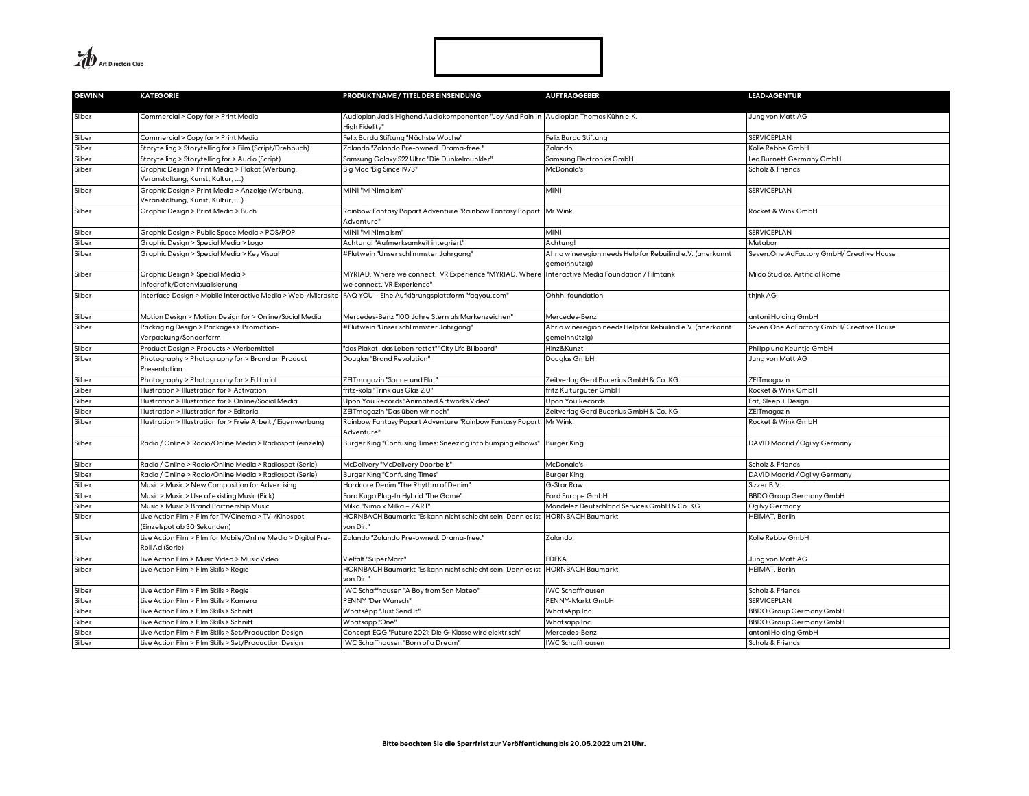**A**<br>Art Directors Club

| <b>GEWINN</b> | <b>KATEGORIE</b>                                                                    | PRODUKTNAME / TITEL DER EINSENDUNG                                                                                            | <b>AUFTRAGGEBER</b>                                                        | <b>LEAD-AGENTUR</b>                       |
|---------------|-------------------------------------------------------------------------------------|-------------------------------------------------------------------------------------------------------------------------------|----------------------------------------------------------------------------|-------------------------------------------|
| Silber        | Commercial > Copy for > Print Media                                                 | Audioplan Jadis Highend Audiokomponenten "Joy And Pain In Audioplan Thomas Kühn e.K.<br>High Fidelity"                        |                                                                            | Jung von Matt AG                          |
| Silber        | Commercial > Copy for > Print Media                                                 | Felix Burda Stiftung "Nächste Woche"                                                                                          | Felix Burda Stiftung                                                       | SERVICEPLAN                               |
| Silber        | Storytelling > Storytelling for > Film (Script/Drehbuch)                            | Zalando "Zalando Pre-owned. Drama-free."                                                                                      | Zalando                                                                    | Kolle Rebbe GmbH                          |
| Silber        | Storytelling > Storytelling for > Audio (Script)                                    | Samsung Galaxy S22 Ultra "Die Dunkelmunkler"                                                                                  | Samsung Electronics GmbH                                                   | Leo Burnett Germany GmbH                  |
| Silber        | Graphic Design > Print Media > Plakat (Werbung,<br>Veranstaltung, Kunst, Kultur, )  | Big Mac "Big Since 1973"                                                                                                      | McDonald's                                                                 | Scholz & Friends                          |
| Silber        | Graphic Design > Print Media > Anzeige (Werbung,<br>Veranstaltung, Kunst, Kultur, ) | MINI "MINImalism"                                                                                                             | <b>MINI</b>                                                                | <b>SERVICEPLAN</b>                        |
| Silber        | Graphic Design > Print Media > Buch                                                 | Rainbow Fantasy Popart Adventure "Rainbow Fantasy Popart<br>Adventure"                                                        | Mr Wink                                                                    | Rocket & Wink GmbH                        |
| Silber        | Graphic Design > Public Space Media > POS/POP                                       | MINI "MINImalism"                                                                                                             | <b>MINI</b>                                                                | SERVICEPLAN                               |
| Silber        | Graphic Design > Special Media > Logo                                               | Achtung! "Aufmerksamkeit integriert"                                                                                          | Achtung!                                                                   | Mutabor                                   |
| Silber        | Graphic Design > Special Media > Key Visual                                         | #Flutwein "Unser schlimmster Jahrgang"                                                                                        | Ahr a wineregion needs Help for Rebuilind e.V. (anerkannt<br>gemeinnützig) | Seven. One AdFactory GmbH/ Creative House |
| Silber        | Graphic Design > Special Media ><br>nfografik/Datenvisualisierung                   | MYRIAD. Where we connect.  VR Experience "MYRIAD. Where Interactive Media Foundation / Filmtank<br>we connect. VR Experience" |                                                                            | Miigo Studios, Artificial Rome            |
| Silber        | nterface Design > Mobile Interactive Media > Web-/Microsite                         | FAQ YOU - Eine Aufklärungsplattform "faqyou.com"                                                                              | Ohhh! foundation                                                           | thjnk AG                                  |
| Silber        | Motion Design > Motion Design for > Online/Social Media                             | Mercedes-Benz "100 Jahre Stern als Markenzeichen"                                                                             | Mercedes-Benz                                                              | antoni Holding GmbH                       |
| Silber        | Packaging Design > Packages > Promotion-<br>Verpackung/Sonderform                   | #Flutwein "Unser schlimmster Jahrgang'                                                                                        | Ahr a wineregion needs Help for Rebuilind e.V. (anerkannt<br>gemeinnützig) | Seven. One AdFactory GmbH/ Creative House |
| Silber        | Product Design > Products > Werbemittel                                             | 'das Plakat, das Leben rettet" "City Life Billboard"                                                                          | Hinz&Kunzt                                                                 | Philipp und Keuntje GmbH                  |
| Silber        | Photography > Photography for > Brand an Product<br>Presentation                    | Douglas "Brand Revolution"                                                                                                    | Douglas GmbH                                                               | Jung von Matt AG                          |
| Silber        | Photography > Photography for > Editorial                                           | ZEITmagazin "Sonne und Flut"                                                                                                  | Zeitverlag Gerd Bucerius GmbH & Co. KG                                     | ZEITmagazin                               |
| Silber        | Ilustration > Illustration for > Activation                                         | fritz-kola "Trink aus Glas 2.0"                                                                                               | fritz Kulturgüter GmbH                                                     | Rocket & Wink GmbH                        |
| Silber        | Illustration > Illustration for > Online/Social Media                               | Upon You Records "Animated Artworks Video"                                                                                    | Upon You Records                                                           | Eat, Sleep + Design                       |
| Silber        | Ilustration > Illustration for > Editorial                                          | ZEITmagazin "Das üben wir noch"                                                                                               | Zeitverlag Gerd Bucerius GmbH & Co. KG                                     | ZEITmagazin                               |
| Silber        | Ilustration > Illustration for > Freie Arbeit / Eigenwerbung                        | Rainbow Fantasy Popart Adventure "Rainbow Fantasy Popart<br>Adventure'                                                        | Mr Wink                                                                    | Rocket & Wink GmbH                        |
| Silber        | Radio / Online > Radio/Online Media > Radiospot (einzeln)                           | Burger King "Confusing Times: Sneezing into bumping elbows"                                                                   | <b>Burger King</b>                                                         | DAVID Madrid / Ogilvy Germany             |
| Silber        | Radio / Online > Radio/Online Media > Radiospot (Serie)                             | McDelivery "McDelivery Doorbells"                                                                                             | McDonald's                                                                 | Scholz & Friends                          |
| Silber        | Radio / Online > Radio/Online Media > Radiospot (Serie)                             | Burger King "Confusing Times"                                                                                                 | <b>Burger King</b>                                                         | DAVID Madrid / Ogilvy Germany             |
| Silber        | Music > Music > New Composition for Advertising                                     | "Hardcore Denim "The Rhythm of Denim                                                                                          | G-Star Raw                                                                 | Sizzer B.V.                               |
| Silber        | Music > Music > Use of existing Music (Pick)                                        | Ford Kuga Plug-In Hybrid "The Game"                                                                                           | Ford Europe GmbH                                                           | <b>BBDO Group Germany GmbH</b>            |
| Silber        | Music > Music > Brand Partnership Music                                             | Milka "Nimo x Milka - ZART'                                                                                                   | Mondelez Deutschland Services GmbH & Co. KG                                | Ogilvy Germany                            |
| Silber        | Live Action Film > Film for TV/Cinema > TV-/Kinospot<br>(Einzelspot ab 30 Sekunden) | HORNBACH Baumarkt "Es kann nicht schlecht sein. Denn es ist<br>von Dir."                                                      | <b>HORNBACH Baumarkt</b>                                                   | HEIMAT, Berlin                            |
| Silber        | Live Action Film > Film for Mobile/Online Media > Digital Pre-<br>Roll Ad (Serie)   | Zalando "Zalando Pre-owned, Drama-free,"                                                                                      | Zalando                                                                    | Kolle Rebbe GmbH                          |
| Silber        | Live Action Film > Music Video > Music Video                                        | Vielfalt "SuperMarc"                                                                                                          | EDEKA                                                                      | Jung von Matt AG                          |
| Silber        | Live Action Film > Film Skills > Regie                                              | HORNBACH Baumarkt "Es kann nicht schlecht sein. Denn es ist<br>von Dir."                                                      | <b>HORNBACH Baumarkt</b>                                                   | HEIMAT, Berlin                            |
| Silber        | Live Action Film > Film Skills > Regie                                              | WC Schaffhausen "A Boy from San Mateo"                                                                                        | <b>IWC Schaffhausen</b>                                                    | Scholz & Friends                          |
| Silber        | Live Action Film > Film Skills > Kamera                                             | PENNY "Der Wunsch'                                                                                                            | PENNY-Markt GmbH                                                           | <b>SERVICEPLAN</b>                        |
| Silber        | Live Action Film > Film Skills > Schnitt                                            | WhatsApp "Just Send It"                                                                                                       | WhatsApp Inc.                                                              | <b>BBDO Group Germany GmbH</b>            |
| Silber        | Live Action Film > Film Skills > Schnitt                                            | Whatsapp "One'                                                                                                                | Whatsapp Inc.                                                              | <b>BBDO Group Germany GmbH</b>            |
| Silber        | Live Action Film > Film Skills > Set/Production Design                              | Concept EQG "Future 2021: Die G-Klasse wird elektrisch"                                                                       | Mercedes-Benz                                                              | antoni Holding GmbH                       |
| Silber        | Live Action Film > Film Skills > Set/Production Design                              | WC Schaffhausen "Born of a Dream"                                                                                             | <b>IWC</b> Schaffhausen                                                    | Scholz & Friends                          |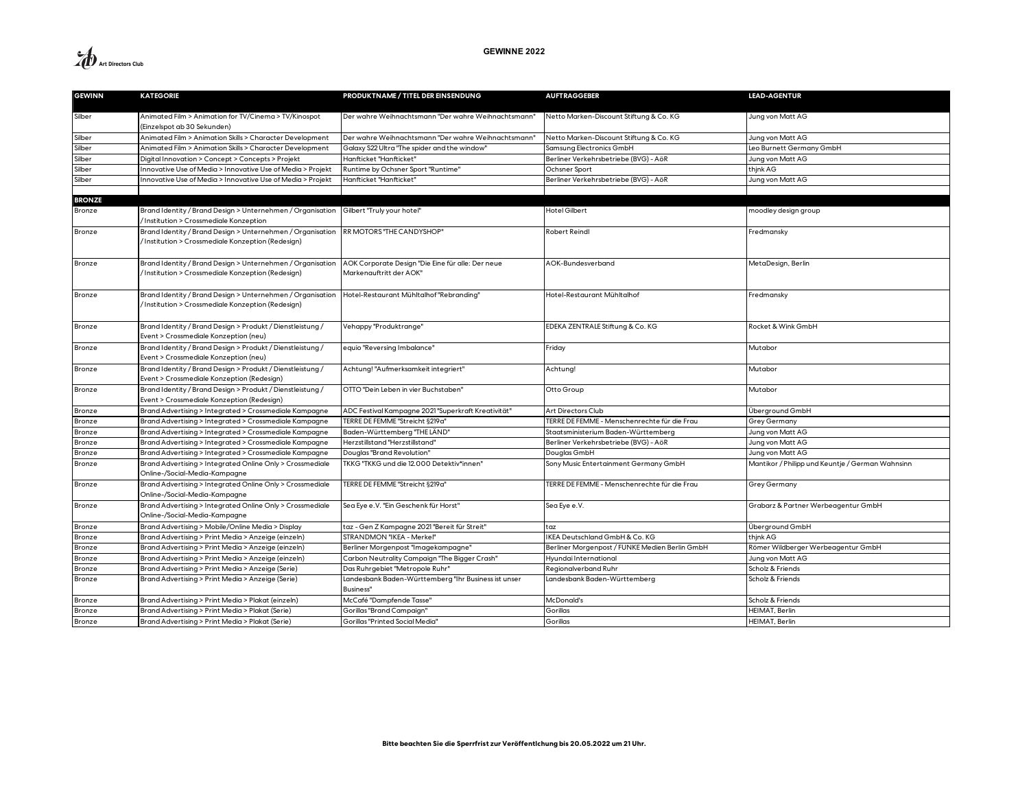

| <b>GEWINN</b> | <b>KATEGORIE</b>                                                                                                                  | PRODUKTNAME / TITEL DER EINSENDUNG                                           | <b>AUFTRAGGEBER</b>                            | <b>LEAD-AGENTUR</b>                              |
|---------------|-----------------------------------------------------------------------------------------------------------------------------------|------------------------------------------------------------------------------|------------------------------------------------|--------------------------------------------------|
| Silber        | Animated Film > Animation for TV/Cinema > TV/Kinospot<br>(Einzelspot ab 30 Sekunden)                                              | Der wahre Weihnachtsmann "Der wahre Weihnachtsmann"                          | Netto Marken-Discount Stiftung & Co. KG        | Jung von Matt AG                                 |
| Silber        | Animated Film > Animation Skills > Character Development                                                                          | Der wahre Weihnachtsmann "Der wahre Weihnachtsmann"                          | Netto Marken-Discount Stiftung & Co. KG        | Jung von Matt AG                                 |
| Silber        | Animated Film > Animation Skills > Character Development                                                                          | Galaxy S22 Ultra "The spider and the window"                                 | Samsung Electronics GmbH                       | Leo Burnett Germany GmbH                         |
| Silber        | Digital Innovation > Concept > Concepts > Projekt                                                                                 | Hanfticket "Hanfticket"                                                      | Berliner Verkehrsbetriebe (BVG) - AöR          | Jung von Matt AG                                 |
| Silber        | Innovative Use of Media > Innovative Use of Media > Projekt                                                                       | Runtime by Ochsner Sport "Runtime"                                           | Ochsner Sport                                  | thjnk AG                                         |
| Silber        | Innovative Use of Media > Innovative Use of Media > Projekt                                                                       | Hanfticket "Hanfticket"                                                      | Berliner Verkehrsbetriebe (BVG) - AöR          | Jung von Matt AG                                 |
|               |                                                                                                                                   |                                                                              |                                                |                                                  |
| <b>BRONZE</b> |                                                                                                                                   |                                                                              |                                                |                                                  |
| Bronze        | Brand Identity / Brand Design > Unternehmen / Organisation   Gilbert "Truly your hotel"<br>/Institution > Crossmediale Konzeption |                                                                              | Hotel Gilbert                                  | moodley design group                             |
| Bronze        | Brand Identity / Brand Design > Unternehmen / Organisation<br>/Institution > Crossmediale Konzeption (Redesign)                   | RR MOTORS "THE CANDYSHOP"                                                    | Robert Reindl                                  | Fredmansky                                       |
| Bronze        | Brand Identity / Brand Design > Unternehmen / Organisation<br>/Institution > Crossmediale Konzeption (Redesign)                   | AOK Corporate Design "Die Eine für alle: Der neue<br>Markenauftritt der AOK" | AOK-Bundesverband                              | MetaDesign, Berlin                               |
| Bronze        | Brand Identity / Brand Design > Unternehmen / Organisation<br>/Institution > Crossmediale Konzeption (Redesign)                   | Hotel-Restaurant Mühltalhof "Rebranding"                                     | Hotel-Restaurant Mühltalhof                    | Fredmansky                                       |
| Bronze        | Brand Identity / Brand Design > Produkt / Dienstleistung /<br>Event > Crossmediale Konzeption (neu)                               | Vehappy "Produktrange"                                                       | EDEKA ZENTRALE Stiftung & Co. KG               | Rocket & Wink GmbH                               |
| Bronze        | Brand Identity / Brand Design > Produkt / Dienstleistung /<br>Event > Crossmediale Konzeption (neu)                               | equio "Reversing Imbalance"                                                  | Friday                                         | Mutabor                                          |
| Bronze        | Brand Identity / Brand Design > Produkt / Dienstleistung /<br>Event > Crossmediale Konzeption (Redesign)                          | Achtung! "Aufmerksamkeit integriert"                                         | Achtung!                                       | Mutabor                                          |
| Bronze        | Brand Identity / Brand Design > Produkt / Dienstleistung /<br>Event > Crossmediale Konzeption (Redesign)                          | OTTO "Dein Leben in vier Buchstaben"                                         | Otto Group                                     | Mutabor                                          |
| Bronze        | Brand Advertising > Integrated > Crossmediale Kampagne                                                                            | ADC Festival Kampagne 2021 "Superkraft Kreativität"                          | Art Directors Club                             | Überground GmbH                                  |
| Bronze        | Brand Advertising > Integrated > Crossmediale Kampagne                                                                            | TERRE DE FEMME "Streicht §219a"                                              | TERRE DE FEMME - Menschenrechte für die Frau   | <b>Grey Germany</b>                              |
| Bronze        | Brand Advertising > Integrated > Crossmediale Kampagne                                                                            | Baden-Württemberg "THE LÄND"                                                 | Staatsministerium Baden-Württemberg            | Jung von Matt AG                                 |
| Bronze        | Brand Advertising > Integrated > Crossmediale Kampagne                                                                            | Herzstillstand "Herzstillstand"                                              | Berliner Verkehrsbetriebe (BVG) - AöR          | Jung von Matt AG                                 |
| Bronze        | Brand Advertising > Integrated > Crossmediale Kampagne                                                                            | Douglas "Brand Revolution"                                                   | Douglas GmbH                                   | Jung von Matt AG                                 |
| Bronze        | Brand Advertising > Integrated Online Only > Crossmediale<br>Online-/Social-Media-Kampagne                                        | TKKG "TKKG und die 12.000 Detektiv*innen"                                    | Sony Music Entertainment Germany GmbH          | Mantikor / Philipp und Keuntje / German Wahnsinn |
| Bronze        | Brand Advertising > Integrated Online Only > Crossmediale<br>Online-/Social-Media-Kampagne                                        | TERRE DE FEMME "Streicht §219a"                                              | TERRE DE FEMME - Menschenrechte für die Frau   | Grey Germany                                     |
| Bronze        | Brand Advertising > Integrated Online Only > Crossmediale<br>Online-/Social-Media-Kampagne                                        | Sea Eye e.V. "Ein Geschenk für Horst"                                        | Sea Eye e.V.                                   | Grabarz & Partner Werbeagentur GmbH              |
| Bronze        | Brand Advertising > Mobile/Online Media > Display                                                                                 | taz - Gen Z Kampagne 2021 "Bereit für Streit"                                | taz                                            | Überground GmbH                                  |
| Bronze        | Brand Advertising > Print Media > Anzeige (einzeln)                                                                               | STRANDMON "IKEA - Merkel"                                                    | KEA Deutschland GmbH & Co. KG                  | thjnk AG                                         |
| Bronze        | Brand Advertising > Print Media > Anzeige (einzeln)                                                                               | Berliner Morgenpost "Imagekampagne"                                          | Berliner Morgenpost / FUNKE Medien Berlin GmbH | Römer Wildberger Werbeagentur GmbH               |
| Bronze        | Brand Advertising > Print Media > Anzeige (einzeln)                                                                               | Carbon Neutrality Campaign "The Bigger Crash'                                | Hyundai International                          | Jung von Matt AG                                 |
| Bronze        | Brand Advertising > Print Media > Anzeige (Serie)                                                                                 | Das Ruhrgebiet "Metropole Ruhr"                                              | Regionalverband Ruhr                           | Scholz & Friends                                 |
| Bronze        | Brand Advertising > Print Media > Anzeige (Serie)                                                                                 | Landesbank Baden-Württemberg "Ihr Business ist unser<br>Business"            | Landesbank Baden-Württemberg                   | Scholz & Friends                                 |
| Bronze        | Brand Advertising > Print Media > Plakat (einzeln)                                                                                | McCafé "Dampfende Tasse"                                                     | McDonald's                                     | Scholz & Friends                                 |
| Bronze        | Brand Advertising > Print Media > Plakat (Serie)                                                                                  | Gorillas "Brand Campaign"                                                    | Gorillas                                       | HEIMAT, Berlin                                   |
| Bronze        | Brand Advertising > Print Media > Plakat (Serie)                                                                                  | Gorillas "Printed Social Media"                                              | Gorillas                                       | HEIMAT, Berlin                                   |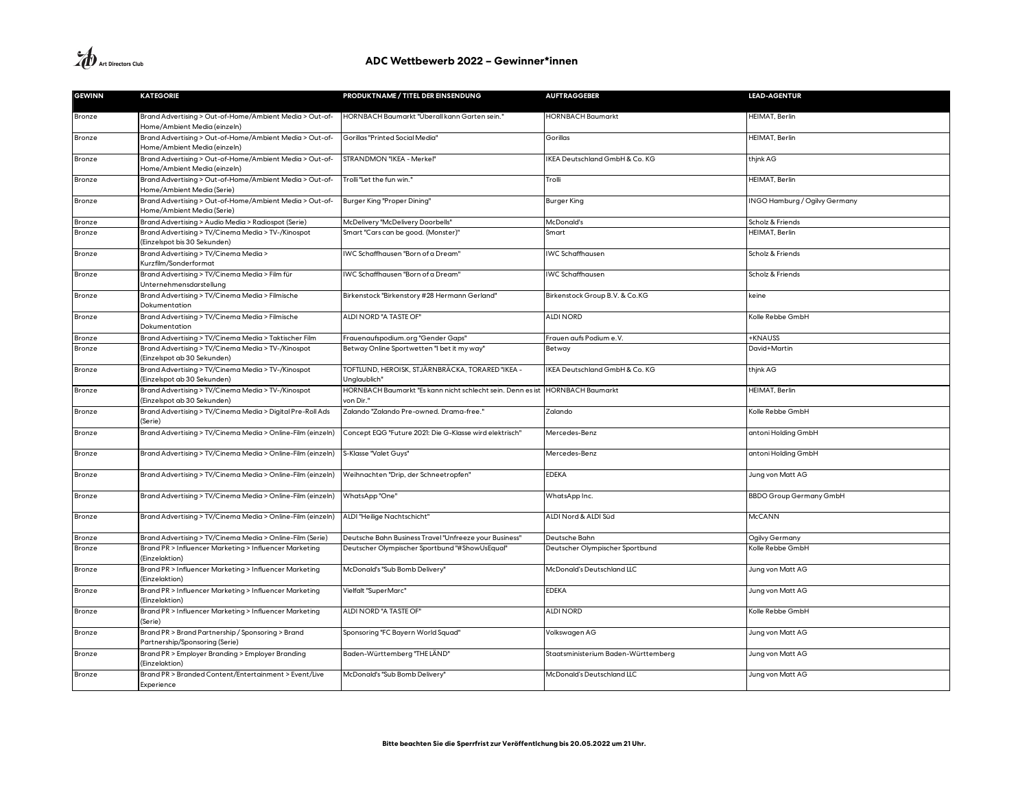| <b>GEWINN</b> | <b>KATEGORIE</b>                                                                        | PRODUKTNAME / TITEL DER EINSENDUNG                                       | <b>AUFTRAGGEBER</b>                 | <b>LEAD-AGENTUR</b>            |
|---------------|-----------------------------------------------------------------------------------------|--------------------------------------------------------------------------|-------------------------------------|--------------------------------|
| Bronze        | Brand Advertising > Out-of-Home/Ambient Media > Out-of-<br>Home/Ambient Media (einzeln) | HORNBACH Baumarkt "Überall kann Garten sein."                            | <b>IORNBACH Baumarkt</b>            | HEIMAT, Berlin                 |
| Bronze        | Brand Advertising > Out-of-Home/Ambient Media > Out-of-<br>Home/Ambient Media (einzeln) | Gorillas "Printed Social Media"                                          | Gorillas                            | HEIMAT, Berlin                 |
| Bronze        | Brand Advertising > Out-of-Home/Ambient Media > Out-of-<br>Home/Ambient Media (einzeln) | STRANDMON "IKEA - Merkel"                                                | IKEA Deutschland GmbH & Co. KG      | thjnk AG                       |
| Bronze        | Brand Advertising > Out-of-Home/Ambient Media > Out-of-<br>Home/Ambient Media (Serie)   | Trolli "Let the fun win."                                                | Trolli                              | HEIMAT, Berlin                 |
| Bronze        | Brand Advertising > Out-of-Home/Ambient Media > Out-of-<br>Home/Ambient Media (Serie)   | Burger King "Proper Dining"                                              | <b>Burger King</b>                  | INGO Hamburg / Ogilvy Germany  |
| Bronze        | Brand Advertising > Audio Media > Radiospot (Serie)                                     | McDelivery "McDelivery Doorbells"                                        | McDonald's                          | Scholz & Friends               |
| Bronze        | Brand Advertising > TV/Cinema Media > TV-/Kinospot<br>(Einzelspot bis 30 Sekunden)      | Smart "Cars can be good. (Monster)"                                      | Smart                               | HEIMAT, Berlin                 |
| Bronze        | Brand Advertising > TV/Cinema Media ><br>Kurzfilm/Sonderformat                          | IWC Schaffhausen "Born of a Dream"                                       | <b>IWC</b> Schaffhausen             | Scholz & Friends               |
| Bronze        | Brand Advertising > TV/Cinema Media > Film für<br>Unternehmensdarstellung               | IWC Schaffhausen "Born of a Dream"                                       | <b>IWC Schaffhausen</b>             | Scholz & Friends               |
| Bronze        | Brand Advertising > TV/Cinema Media > Filmische<br>Dokumentation                        | Birkenstock "Birkenstory #28 Hermann Gerland"                            | Birkenstock Group B.V. & Co.KG      | keine                          |
| Bronze        | Brand Advertising > TV/Cinema Media > Filmische<br>Dokumentation                        | ALDI NORD "A TASTE OF"                                                   | <b>ALDI NORD</b>                    | Kolle Rebbe GmbH               |
| Bronze        | Brand Advertising > TV/Cinema Media > Taktischer Film                                   | Frauenaufspodium.org "Gender Gaps"                                       | Frauen aufs Podium e.V.             | <b>+KNAUSS</b>                 |
| Bronze        | Brand Advertising > TV/Cinema Media > TV-/Kinospot<br>(Einzelspot ab 30 Sekunden)       | Betway Online Sportwetten "I bet it my way"                              | Betway                              | David+Martin                   |
| Bronze        | Brand Advertising > TV/Cinema Media > TV-/Kinospot<br>(Einzelspot ab 30 Sekunden)       | TOFTLUND, HEROISK, STJÄRNBRÄCKA, TORARED "IKEA -<br>Unglaublich"         | IKEA Deutschland GmbH & Co. KG      | thjnk AG                       |
| Bronze        | Brand Advertising > TV/Cinema Media > TV-/Kinospot<br>(Einzelspot ab 30 Sekunden)       | HORNBACH Baumarkt "Es kann nicht schlecht sein. Denn es ist<br>von Dir." | <b>HORNBACH Baumarkt</b>            | HEIMAT, Berlin                 |
| Bronze        | Brand Advertising > TV/Cinema Media > Digital Pre-Roll Ads<br>(Serie)                   | Zalando "Zalando Pre-owned. Drama-free."                                 | Zalando                             | Kolle Rebbe GmbH               |
| Bronze        | Brand Advertising > TV/Cinema Media > Online-Film (einzeln)                             | Concept EQG "Future 2021: Die G-Klasse wird elektrisch"                  | Mercedes-Benz                       | antoni Holding GmbH            |
| Bronze        | Brand Advertising > TV/Cinema Media > Online-Film (einzeln)                             | S-Klasse "Valet Guys"                                                    | Mercedes-Benz                       | antoni Holding GmbH            |
| Bronze        | Brand Advertising > TV/Cinema Media > Online-Film (einzeln)                             | Weihnachten "Drip, der Schneetropfen"                                    | EDEKA                               | Jung von Matt AG               |
| Bronze        | Brand Advertising > TV/Cinema Media > Online-Film (einzeln)                             | WhatsApp "One"                                                           | WhatsApp Inc.                       | <b>BBDO Group Germany GmbH</b> |
| Bronze        | Brand Advertising > TV/Cinema Media > Online-Film (einzeln)                             | ALDI "Heilige Nachtschicht"                                              | ALDI Nord & ALDI Süd                | McCANN                         |
| Bronze        | Brand Advertising > TV/Cinema Media > Online-Film (Serie)                               | Deutsche Bahn Business Travel "Unfreeze your Business"                   | Deutsche Bahn                       | Ogilvy Germany                 |
| Bronze        | Brand PR > Influencer Marketing > Influencer Marketing<br>(Einzelaktion)                | Deutscher Olympischer Sportbund "#ShowUsEqual"                           | Deutscher Olympischer Sportbund     | Kolle Rebbe GmbH               |
| Bronze        | Brand PR > Influencer Marketing > Influencer Marketing<br>(Einzelaktion)                | McDonald's "Sub Bomb Delivery"                                           | McDonald's Deutschland LLC          | Jung von Matt AG               |
| Bronze        | Brand PR > Influencer Marketing > Influencer Marketing<br>(Einzelaktion)                | Vielfalt "SuperMarc"                                                     | <b>EDEKA</b>                        | Jung von Matt AG               |
| Bronze        | Brand PR > Influencer Marketing > Influencer Marketing<br>(Serie)                       | ALDI NORD "A TASTE OF"                                                   | <b>ALDI NORD</b>                    | Kolle Rebbe GmbH               |
| Bronze        | Brand PR > Brand Partnership / Sponsoring > Brand<br>Partnership/Sponsoring (Serie)     | Sponsoring "FC Bayern World Squad"                                       | Volkswagen AG                       | Jung von Matt AG               |
| Bronze        | Brand PR > Employer Branding > Employer Branding<br>(Einzelaktion)                      | Baden-Württemberg "THE LÄND"                                             | Staatsministerium Baden-Württemberg | Jung von Matt AG               |
| Bronze        | Brand PR > Branded Content/Entertainment > Event/Live<br>Experience                     | McDonald's "Sub Bomb Delivery"                                           | McDonald's Deutschland LLC          | Jung von Matt AG               |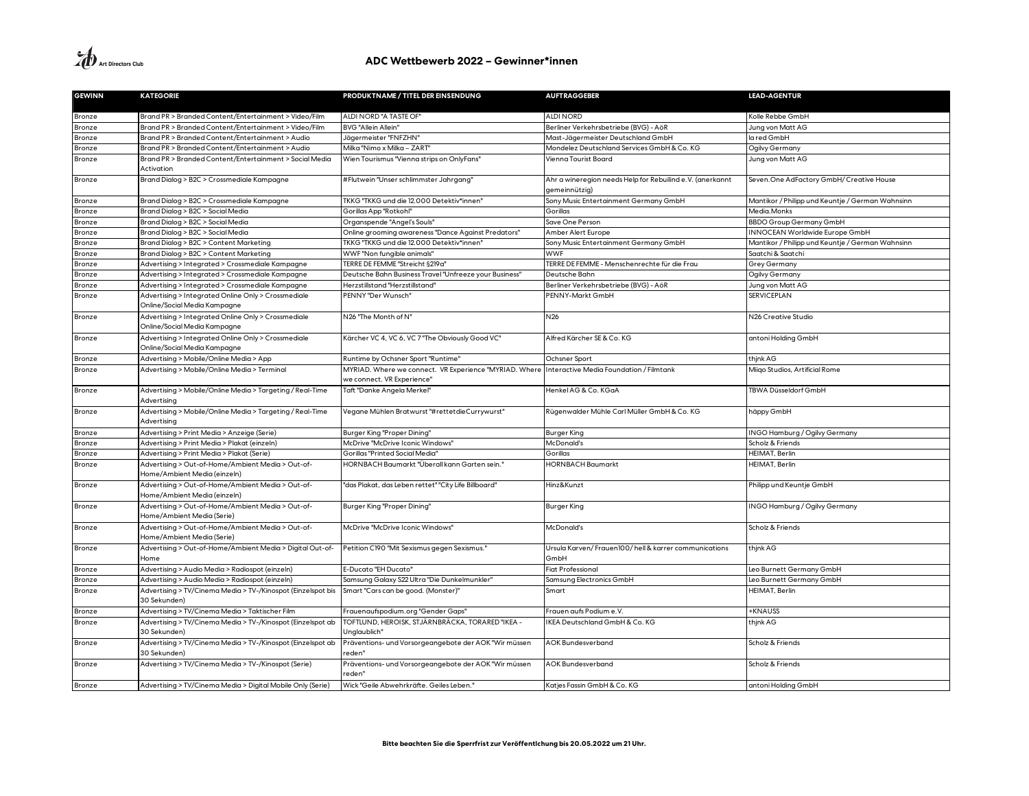| <b>GEWINN</b>    | <b>KATEGORIE</b>                                                                                               | PRODUKTNAME / TITEL DER EINSENDUNG                                                   | <b>AUFTRAGGEBER</b>                                                        | <b>LEAD-AGENTUR</b>                              |
|------------------|----------------------------------------------------------------------------------------------------------------|--------------------------------------------------------------------------------------|----------------------------------------------------------------------------|--------------------------------------------------|
|                  |                                                                                                                | ALDI NORD "A TASTE OF"                                                               | <b>ALDI NORD</b>                                                           | Kolle Rebbe GmbH                                 |
| Bronze<br>Bronze | Brand PR > Branded Content/Entertainment > Video/Film<br>Brand PR > Branded Content/Entertainment > Video/Film | <b>BVG "Allein Allein"</b>                                                           | Berliner Verkehrsbetriebe (BVG) - AöR                                      | Jung von Matt AG                                 |
| Bronze           | Brand PR > Branded Content/Entertainment > Audio                                                               | Jägermeister "FNFZHN"                                                                | Mast-Jägermeister Deutschland GmbH                                         | la red GmbH                                      |
| Bronze           | Brand PR > Branded Content/Entertainment > Audio                                                               | Milka "Nimo x Milka - ZART"                                                          | Mondelez Deutschland Services GmbH & Co. KG                                | Ogilvy Germany                                   |
| Bronze           | Brand PR > Branded Content/Entertainment > Social Media                                                        | Wien Tourismus "Vienna strips on OnlyFans"                                           | Vienna Tourist Board                                                       | Jung von Matt AG                                 |
|                  | Activation                                                                                                     |                                                                                      |                                                                            |                                                  |
| Bronze           | Brand Dialog > B2C > Crossmediale Kampagne                                                                     | #Flutwein "Unser schlimmster Jahrgang"                                               | Ahr a wineregion needs Help for Rebuilind e.V. (anerkannt<br>gemeinnützig) | Seven. One AdFactory GmbH/ Creative House        |
| Bronze           | Brand Dialog > B2C > Crossmediale Kampagne                                                                     | TKKG "TKKG und die 12.000 Detektiv*innen"                                            | Sony Music Entertainment Germany GmbH                                      | Mantikor / Philipp und Keuntje / German Wahnsinn |
| Bronze           | Brand Dialog > B2C > Social Media                                                                              | Gorillas App "Rotkohl"                                                               | Gorillas                                                                   | Media.Monks                                      |
| Bronze           | Brand Dialog > B2C > Social Media                                                                              | Organspende "Angel's Souls"                                                          | Save One Person                                                            | <b>BBDO Group Germany GmbH</b>                   |
| Bronze           | Brand Dialog > B2C > Social Media                                                                              | Online grooming awareness "Dance Against Predators"                                  | Amber Alert Europe                                                         | <b>INNOCEAN Worldwide Europe GmbH</b>            |
| Bronze           | Brand Dialog > B2C > Content Marketing                                                                         | TKKG "TKKG und die 12.000 Detektiv*innen"                                            | Sony Music Entertainment Germany GmbH                                      | Mantikor / Philipp und Keuntje / German Wahnsinn |
| Bronze           | Brand Dialog > B2C > Content Marketing                                                                         | WWF "Non fungible animals"                                                           | <b>WWF</b>                                                                 | Saatchi & Saatchi                                |
| Bronze           | Advertising > Integrated > Crossmediale Kampagne                                                               | TERRE DE FEMME "Streicht §219a"                                                      | TERRE DE FEMME - Menschenrechte für die Frau                               | Grey Germany                                     |
| Bronze           | Advertising > Integrated > Crossmediale Kampagne                                                               | Deutsche Bahn Business Travel "Unfreeze your Business"                               | Deutsche Bahn                                                              | Ogilvy Germany                                   |
| Bronze           | Advertising > Integrated > Crossmediale Kampagne                                                               | Herzstillstand "Herzstillstand"                                                      | Berliner Verkehrsbetriebe (BVG) - AöR                                      | Jung von Matt AG                                 |
| Bronze           | Advertising > Integrated Online Only > Crossmediale<br>Online/Social Media Kampagne                            | PENNY "Der Wunsch"                                                                   | PENNY-Markt GmbH                                                           | <b>SERVICEPLAN</b>                               |
| Bronze           | Advertising > Integrated Online Only > Crossmediale<br>Online/Social Media Kampagne                            | N26 "The Month of N"                                                                 | N26                                                                        | N26 Creative Studio                              |
| Bronze           | Advertising > Integrated Online Only > Crossmediale<br>Online/Social Media Kampagne                            | Kärcher VC 4, VC 6, VC 7 "The Obviously Good VC"                                     | Alfred Kärcher SE & Co. KG                                                 | antoni Holding GmbH                              |
| Bronze           | Advertising > Mobile/Online Media > App                                                                        | Runtime by Ochsner Sport "Runtime"                                                   | Ochsner Sport                                                              | thjnk AG                                         |
| Bronze           | Advertising > Mobile/Online Media > Terminal                                                                   | MYRIAD. Where we connect. VR Experience "MYRIAD. Where<br>we connect. VR Experience" | Interactive Media Foundation / Filmtank                                    | Miiqo Studios, Artificial Rome                   |
| Bronze           | Advertising > Mobile/Online Media > Targeting / Real-Time<br>Advertising                                       | Taft "Danke Angela Merkel"                                                           | Henkel AG & Co. KGaA                                                       | TBWA Düsseldorf GmbH                             |
| Bronze           | Advertising > Mobile/Online Media > Targeting / Real-Time<br>Advertising                                       | Vegane Mühlen Bratwurst "#rettetdieCurrywurst"                                       | Rügenwalder Mühle Carl Müller GmbH & Co. KG                                | häppy GmbH                                       |
| Bronze           | Advertising > Print Media > Anzeige (Serie)                                                                    | Burger King "Proper Dining"                                                          | <b>Burger King</b>                                                         | INGO Hamburg / Ogilvy Germany                    |
| Bronze           | Advertising > Print Media > Plakat (einzeln)                                                                   | McDrive "McDrive Iconic Windows"                                                     | McDonald's                                                                 | Scholz & Friends                                 |
| Bronze           | Advertising > Print Media > Plakat (Serie)                                                                     | Gorillas "Printed Social Media"                                                      | Gorillas                                                                   | HEIMAT, Berlin                                   |
| Bronze           | Advertising > Out-of-Home/Ambient Media > Out-of-<br>Home/Ambient Media (einzeln)                              | HORNBACH Baumarkt "Überall kann Garten sein."                                        | <b>HORNBACH Baumarkt</b>                                                   | <b>HEIMAT, Berlin</b>                            |
| Bronze           | Advertising > Out-of-Home/Ambient Media > Out-of-<br>Home/Ambient Media (einzeln)                              | "das Plakat, das Leben rettet" "City Life Billboard"                                 | Hinz&Kunzt                                                                 | Philipp und Keuntje GmbH                         |
| Bronze           | Advertising > Out-of-Home/Ambient Media > Out-of-<br>Home/Ambient Media (Serie)                                | Burger King "Proper Dining"                                                          | Burger King                                                                | INGO Hamburg / Ogilvy Germany                    |
| Bronze           | Advertising > Out-of-Home/Ambient Media > Out-of-<br>Home/Ambient Media (Serie)                                | McDrive "McDrive Iconic Windows"                                                     | McDonald's                                                                 | Scholz & Friends                                 |
| Bronze           | Advertising > Out-of-Home/Ambient Media > Digital Out-of-<br>Home                                              | Petition C190 "Mit Sexismus gegen Sexismus."                                         | Ursula Karven/Frauen100/hell & karrer communications<br>GmbH               | thjnk AG                                         |
| Bronze           | Advertising > Audio Media > Radiospot (einzeln)                                                                | E-Ducato "EH Ducato"                                                                 | Fiat Professional                                                          | Leo Burnett Germany GmbH                         |
| Bronze           | Advertising > Audio Media > Radiospot (einzeln)                                                                | Samsung Galaxy S22 Ultra "Die Dunkelmunkler"                                         | Samsung Electronics GmbH                                                   | Leo Burnett Germany GmbH                         |
| Bronze           | Advertising > TV/Cinema Media > TV-/Kinospot (Einzelspot bis<br>30 Sekunden)                                   | Smart "Cars can be good. (Monster)"                                                  | Smart                                                                      | HEIMAT, Berlin                                   |
| Bronze           | Advertising > TV/Cinema Media > Taktischer Film                                                                | Frauenaufspodium.org "Gender Gaps"                                                   | Frauen aufs Podium e.V.                                                    | <b>+KNAUSS</b>                                   |
| Bronze           | Advertising > TV/Cinema Media > TV-/Kinospot (Einzelspot ab<br>30 Sekunden)                                    | TOFTLUND, HEROISK, STJÄRNBRÄCKA, TORARED "IKEA -<br>Unglaublich'                     | IKEA Deutschland GmbH & Co. KG                                             | thjnk AG                                         |
| Bronze           | Advertising > TV/Cinema Media > TV-/Kinospot (Einzelspot ab<br>30 Sekunden)                                    | Präventions- und Vorsorgeangebote der AOK "Wir müssen<br>reden"                      | <b>AOK Bundesverband</b>                                                   | Scholz & Friends                                 |
| Bronze           | Advertising > TV/Cinema Media > TV-/Kinospot (Serie)                                                           | Präventions- und Vorsorgeangebote der AOK "Wir müssen<br>reden"                      | <b>AOK Bundesverband</b>                                                   | Scholz & Friends                                 |
| Bronze           | Advertising > TV/Cinema Media > Digital Mobile Only (Serie)                                                    | Wick "Geile Abwehrkräfte. Geiles Leben."                                             | Katjes Fassin GmbH & Co. KG                                                | antoni Holding GmbH                              |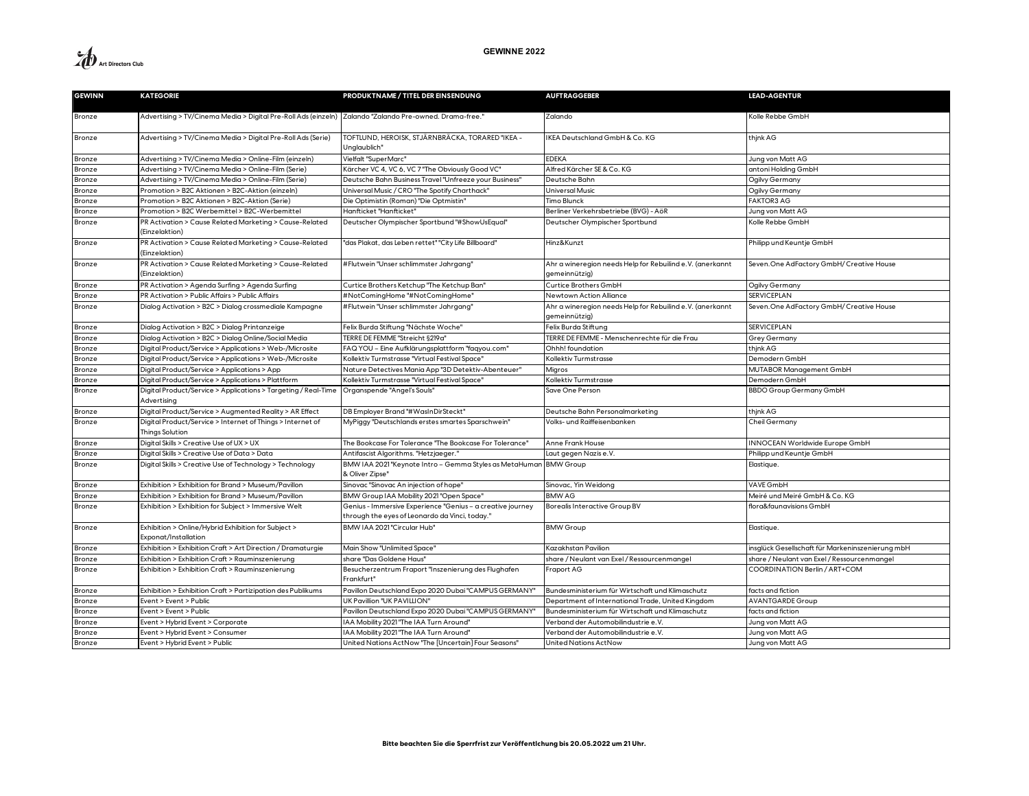| <b>GEWINN</b> | <b>KATEGORIE</b>                                                                                         | PRODUKTNAME / TITEL DER EINSENDUNG                                                                           | <b>AUFTRAGGEBER</b>                                                        | <b>LEAD-AGENTUR</b>                              |
|---------------|----------------------------------------------------------------------------------------------------------|--------------------------------------------------------------------------------------------------------------|----------------------------------------------------------------------------|--------------------------------------------------|
| Bronze        | ". Advertising > TV/Cinema Media > Digital Pre-Roll Ads (einzeln) Zalando "Zalando Pre-owned. Drama-free |                                                                                                              | Zalando                                                                    | Kolle Rebbe GmbH                                 |
|               |                                                                                                          |                                                                                                              |                                                                            |                                                  |
| Bronze        | Advertising > TV/Cinema Media > Digital Pre-Roll Ads (Serie)                                             | TOFTLUND, HEROISK, STJÄRNBRÄCKA, TORARED "IKEA -<br>Unglaublich"                                             | KEA Deutschland GmbH & Co. KG                                              | thjnk AG                                         |
| Bronze        | Advertising > TV/Cinema Media > Online-Film (einzeln)                                                    | Vielfalt "SuperMarc"                                                                                         | <b>EDEKA</b>                                                               | Jung von Matt AG                                 |
| Bronze        | Advertising > TV/Cinema Media > Online-Film (Serie)                                                      | Kärcher VC 4, VC 6, VC 7 "The Obviously Good VC"                                                             | Alfred Kärcher SE & Co. KG                                                 | antoni Holding GmbH                              |
| Bronze        | Advertising > TV/Cinema Media > Online-Film (Serie)                                                      | Deutsche Bahn Business Travel "Unfreeze your Business"                                                       | Deutsche Bahn                                                              | Ogilvy Germany                                   |
| Bronze        | Promotion > B2C Aktionen > B2C-Aktion (einzeln)                                                          | Universal Music / CRO "The Spotify Charthack"                                                                | Universal Music                                                            | Ogilvy Germany                                   |
| Bronze        | Promotion > B2C Aktionen > B2C-Aktion (Serie)                                                            | Die Optimistin (Roman) "Die Optmistin"                                                                       | Timo Blunck                                                                | <b>FAKTOR3 AG</b>                                |
| Bronze        | Promotion > B2C Werbemittel > B2C-Werbemittel                                                            | Hanfticket "Hanfticket"                                                                                      | Berliner Verkehrsbetriebe (BVG) - AöR                                      | Jung von Matt AG                                 |
| Bronze        | PR Activation > Cause Related Marketing > Cause-Related<br>(Einzelaktion)                                | Deutscher Olympischer Sportbund "#ShowUsEqual"                                                               | Deutscher Olympischer Sportbund                                            | Kolle Rebbe GmbH                                 |
| Bronze        | PR Activation > Cause Related Marketing > Cause-Related<br>(Einzelaktion)                                | "das Plakat, das Leben rettet" "City Life Billboard"                                                         | Hinz&Kunzt                                                                 | Philipp und Keuntje GmbH                         |
| Bronze        | PR Activation > Cause Related Marketing > Cause-Related<br>(Einzelaktion)                                | #Flutwein "Unser schlimmster Jahrgang"                                                                       | Ahr a wineregion needs Help for Rebuilind e.V. (anerkannt<br>gemeinnützig) | Seven. One AdFactory GmbH/ Creative House        |
| Bronze        | PR Activation > Agenda Surfing > Agenda Surfing                                                          | Curtice Brothers Ketchup "The Ketchup Ban"                                                                   | Curtice Brothers GmbH                                                      | Ogilvy Germany                                   |
| Bronze        | PR Activation > Public Affairs > Public Affairs                                                          | #NotComingHome "#NotComingHome'                                                                              | Newtown Action Alliance                                                    | SERVICEPLAN                                      |
| Bronze        | Dialog Activation > B2C > Dialog crossmediale Kampagne                                                   | #Flutwein "Unser schlimmster Jahrgang"                                                                       | Ahr a wineregion needs Help for Rebuilind e.V. (anerkannt<br>gemeinnützig) | Seven. One AdFactory GmbH/ Creative House        |
| Bronze        | Dialog Activation > B2C > Dialog Printanzeige                                                            | Felix Burda Stiftung "Nächste Woche"                                                                         | Felix Burda Stiftung                                                       | <b>SERVICEPLAN</b>                               |
| Bronze        | Dialog Activation > B2C > Dialog Online/Social Media                                                     | TERRE DE FEMME "Streicht §219a"                                                                              | TERRE DE FEMME - Menschenrechte für die Frau                               | <b>Grey Germany</b>                              |
| Bronze        | Digital Product/Service > Applications > Web-/Microsite                                                  | FAQ YOU – Eine Aufklärungsplattform "faqyou.com"                                                             | Ohhh! foundation                                                           | thjnk AG                                         |
| Bronze        | Digital Product/Service > Applications > Web-/Microsite                                                  | «Gllektiv Turmstrasse "Virtual Festival Space"                                                               | Kollektiv Turmstrasse                                                      | Demodern GmbH                                    |
| Bronze        | Digital Product/Service > Applications > App                                                             | Nature Detectives Mania App "3D Detektiv-Abenteuer"                                                          | Migros                                                                     | MUTABOR Management GmbH                          |
| Bronze        | Digital Product/Service > Applications > Plattform                                                       | Collektiv Turmstrasse "Virtual Festival Space"                                                               | Collektiv Turmstrasse                                                      | Demodern GmbH                                    |
| Bronze        | Digital Product/Service > Applications > Targeting / Real-Time<br>Advertising                            | Organspende "Angel's Souls'                                                                                  | Save One Person                                                            | <b>BBDO Group Germany GmbH</b>                   |
| Bronze        | Digital Product/Service > Augmented Reality > AR Effect                                                  | DB Employer Brand "#WasInDirSteckt"                                                                          | Deutsche Bahn Personalmarketing                                            | thjnk AG                                         |
| Bronze        | Digital Product/Service > Internet of Things > Internet of<br>Things Solution                            | MyPiggy "Deutschlands erstes smartes Sparschwein"                                                            | Volks- und Raiffeisenbanken                                                | Cheil Germany                                    |
| Bronze        | Digital Skills > Creative Use of UX > UX                                                                 | The Bookcase For Tolerance "The Bookcase For Tolerance"                                                      | Anne Frank House                                                           | <b>INNOCEAN Worldwide Europe GmbH</b>            |
| Bronze        | Digital Skills > Creative Use of Data > Data                                                             | Antifascist Algorithms. "Hetzjaeger."                                                                        | .aut gegen Nazis e.V.                                                      | Philipp und Keuntje GmbH                         |
| Bronze        | Digital Skills > Creative Use of Technology > Technology                                                 | BMW IAA 2021 "Keynote Intro - Gemma Styles as MetaHuman BMW Group<br>& Oliver Zipse"                         |                                                                            | Elastique.                                       |
| Bronze        | Exhibition > Exhibition for Brand > Museum/Pavillon                                                      | Sinovac "Sinovac An injection of hope'                                                                       | Sinovac, Yin Weidong                                                       | VAVE GmbH                                        |
| Bronze        | Exhibition > Exhibition for Brand > Museum/Pavillon                                                      | BMW Group IAA Mobility 2021 "Open Space"                                                                     | <b>BMW AG</b>                                                              | Meiré und Meiré GmbH & Co. KG                    |
| Bronze        | Exhibition > Exhibition for Subject > Immersive Welt                                                     | Genius - Immersive Experience "Genius – a creative journey<br>through the eyes of Leonardo da Vinci, today." | <b>Borealis Interactive Group BV</b>                                       | flora&faunavisions GmbH                          |
| Bronze        | Exhibition > Online/Hybrid Exhibition for Subject ><br>Exponat/Installation                              | BMW IAA 2021 "Circular Hub"                                                                                  | <b>BMW Group</b>                                                           | Elastique.                                       |
| Bronze        | Exhibition > Exhibition Craft > Art Direction / Dramaturgie                                              | Main Show "Unlimited Space"                                                                                  | Kazakhstan Pavilion                                                        | insglück Gesellschaft für Markeninszenierung mbH |
| Bronze        | Exhibition > Exhibition Craft > Rauminszenierung                                                         | share "Das Goldene Haus"                                                                                     | share / Neulant van Exel / Ressourcenmangel                                | share / Neulant van Exel / Ressourcenmangel      |
| Bronze        | Exhibition > Exhibition Craft > Rauminszenierung                                                         | Besucherzentrum Fraport "Inszenierung des Flughafen<br>Frankfurt"                                            | Fraport AG                                                                 | COORDINATION Berlin / ART+COM                    |
| Bronze        | Exhibition > Exhibition Craft > Partizipation des Publikums                                              | Pavillon Deutschland Expo 2020 Dubai "CAMPUS GERMANY'                                                        | Bundesministerium für Wirtschaft und Klimaschutz                           | facts and fiction                                |
| Bronze        | Event > Event > Public                                                                                   | UK Pavillion "UK PAVILLION"                                                                                  | Department of International Trade, United Kingdom                          | <b>AVANTGARDE Group</b>                          |
| Bronze        | Event > Event > Public                                                                                   | Pavillon Deutschland Expo 2020 Dubai "CAMPUS GERMANY'                                                        | Bundesministerium für Wirtschaft und Klimaschutz                           | facts and fiction                                |
| Bronze        | Event > Hybrid Event > Corporate                                                                         | AA Mobility 2021 "The IAA Turn Around"                                                                       | Verband der Automobilindustrie e.V.                                        | Jung von Matt AG                                 |
| Bronze        | Event > Hybrid Event > Consumer                                                                          | IAA Mobility 2021 "The IAA Turn Around"                                                                      | Verband der Automobilindustrie e.V.                                        | Jung von Matt AG                                 |
| Bronze        | Event > Hybrid Event > Public                                                                            | United Nations ActNow "The [Uncertain] Four Seasons"                                                         | <b>United Nations ActNow</b>                                               | Jung von Matt AG                                 |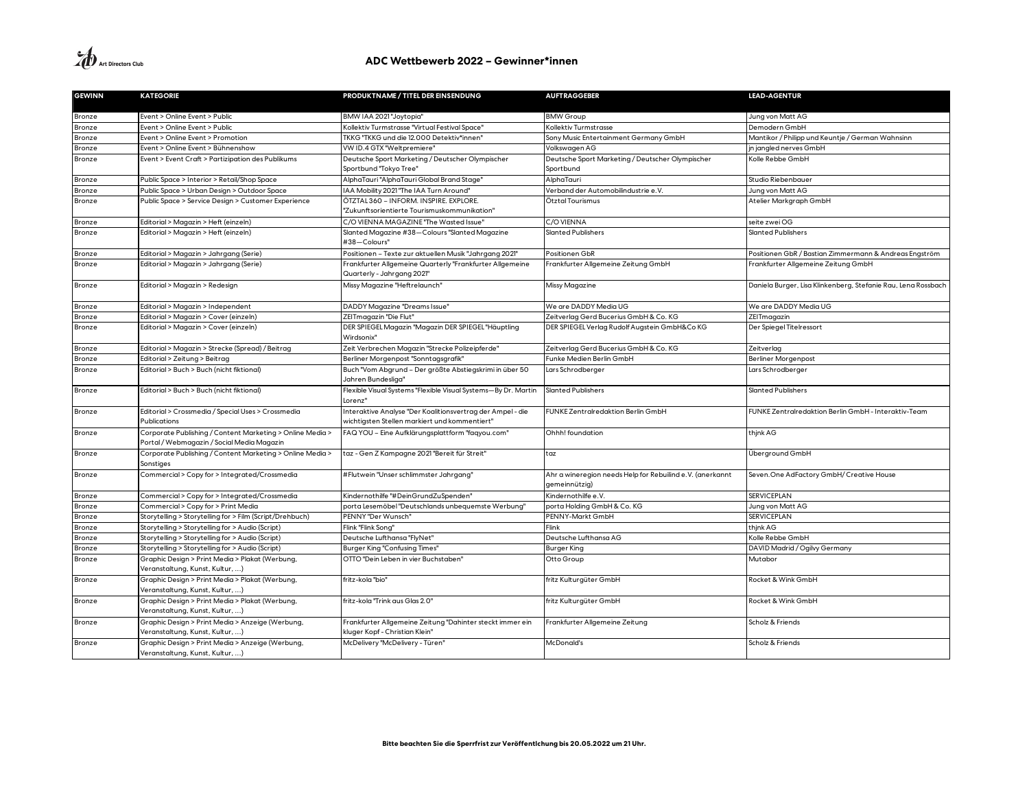| <b>GEWINN</b> | <b>KATEGORIE</b>                                                                                        | PRODUKTNAME / TITEL DER EINSENDUNG                                                                          | <b>AUFTRAGGEBER</b>                                                        | <b>LEAD-AGENTUR</b>                                           |
|---------------|---------------------------------------------------------------------------------------------------------|-------------------------------------------------------------------------------------------------------------|----------------------------------------------------------------------------|---------------------------------------------------------------|
| Bronze        | Event > Online Event > Public                                                                           | BMW IAA 2021 "Joytopia"                                                                                     | <b>BMW Group</b>                                                           | Jung von Matt AG                                              |
| Bronze        | Event > Online Event > Public                                                                           | Kollektiv Turmstrasse "Virtual Festival Space'                                                              | Kollektiv Turmstrasse                                                      | Demodern GmbH                                                 |
| Bronze        | Event > Online Event > Promotion                                                                        | TKKG "TKKG und die 12.000 Detektiv*innen"                                                                   | Sony Music Entertainment Germany GmbH                                      | Mantikor / Philipp und Keuntje / German Wahnsinn              |
| Bronze        | Event > Online Event > Bühnenshow                                                                       | VW ID.4 GTX "Weltpremiere"                                                                                  | Volkswagen AG                                                              | in jangled nerves GmbH                                        |
| Bronze        | Event > Event Craft > Partizipation des Publikums                                                       | Deutsche Sport Marketing / Deutscher Olympischer                                                            | Deutsche Sport Marketing / Deutscher Olympischer                           | Kolle Rebbe GmbH                                              |
|               |                                                                                                         | Sportbund "Tokyo Tree"                                                                                      | Sportbund                                                                  |                                                               |
| Bronze        | Public Space > Interior > Retail/Shop Space                                                             | AlphaTauri "AlphaTauri Global Brand Stage"                                                                  | AlphaTauri                                                                 | Studio Riebenbauer                                            |
| Bronze        | Public Space > Urban Design > Outdoor Space                                                             | IAA Mobility 2021 "The IAA Turn Around"                                                                     | Verband der Automobilindustrie e.V.                                        | Jung von Matt AG                                              |
| Bronze        | Public Space > Service Design > Customer Experience                                                     | ÖTZTAL 360 - INFORM. INSPIRE. EXPLORE.<br>"Zukunftsorientierte Tourismuskommunikation"                      | Ötztal Tourismus                                                           | Atelier Markgraph GmbH                                        |
| Bronze        | Editorial > Magazin > Heft (einzeln)                                                                    | C/O VIENNA MAGAZINE "The Wasted Issue"                                                                      | C/O VIENNA                                                                 | seite zwei OG                                                 |
| Bronze        | Editorial > Magazin > Heft (einzeln)                                                                    | Slanted Magazine #38-Colours "Slanted Magazine                                                              | <b>Slanted Publishers</b>                                                  | <b>Slanted Publishers</b>                                     |
|               |                                                                                                         | #38-Colours"                                                                                                |                                                                            |                                                               |
| Bronze        | Editorial > Magazin > Jahrgang (Serie)                                                                  | Positionen – Texte zur aktuellen Musik "Jahrgang 2021"                                                      | Positionen GbR                                                             | Positionen GbR / Bastian Zimmermann & Andreas Engström        |
| Bronze        | Editorial > Magazin > Jahrgang (Serie)                                                                  | rankfurter Allgemeine Quarterly "Frankfurter Allgemeine<br>"Quarterly - Jahrgang 2021                       | Frankfurter Allgemeine Zeitung GmbH                                        | Frankfurter Allgemeine Zeitung GmbH                           |
| Bronze        | Editorial > Magazin > Redesign                                                                          | Missy Magazine "Heftrelaunch"                                                                               | Missy Magazine                                                             | Daniela Burger, Lisa Klinkenberg, Stefanie Rau, Lena Rossbach |
| Bronze        | Editorial > Magazin > Independent                                                                       | <b>DADDY Magazine "Dreams Issue"</b>                                                                        | We are DADDY Media UG                                                      | We are DADDY Media UG                                         |
| Bronze        | Editorial > Magazin > Cover (einzeln)                                                                   | ZEITmagazin "Die Flut"                                                                                      | Zeitverlag Gerd Bucerius GmbH & Co. KG                                     | ZEITmagazin                                                   |
| Bronze        | Editorial > Magazin > Cover (einzeln)                                                                   | DER SPIEGEL Magazin "Magazin DER SPIEGEL "Häuptling<br>Wirdsonix'                                           | DER SPIEGEL Verlag Rudolf Augstein GmbH&Co KG                              | Der Spiegel Titelressort                                      |
| Bronze        | Editorial > Magazin > Strecke (Spread) / Beitrag                                                        | Zeit Verbrechen Magazin "Strecke Polizeipferde"                                                             | Zeitverlag Gerd Bucerius GmbH & Co. KG                                     | Zeitverlag                                                    |
| Bronze        | Editorial > Zeitung > Beitrag                                                                           | Berliner Morgenpost "Sonntagsgrafik"                                                                        | Funke Medien Berlin GmbH                                                   | <b>Berliner Morgenpost</b>                                    |
| Bronze        | Editorial > Buch > Buch (nicht fiktional)                                                               | Buch "Vom Abgrund - Der größte Abstiegskrimi in über 50<br>Jahren Bundesliga"                               | ars Schrodberger.                                                          | Lars Schrodberger                                             |
| Bronze        | Editorial > Buch > Buch (nicht fiktional)                                                               | Flexible Visual Systems "Flexible Visual Systems—By Dr. Martin<br>Lorenz"                                   | Slanted Publishers                                                         | Slanted Publishers                                            |
| Bronze        | Editorial > Crossmedia / Special Uses > Crossmedia<br>Publications                                      | Interaktive Analyse "Der Koalitionsvertrag der Ampel - die<br>wichtigsten Stellen markiert und kommentiert" | UNKE Zentralredaktion Berlin GmbH                                          | FUNKE Zentralredaktion Berlin GmbH - Interaktiv-Team          |
| Bronze        | Corporate Publishing / Content Marketing > Online Media ><br>Portal / Webmagazin / Social Media Magazin | FAQ YOU - Eine Aufklärungsplattform "faqyou.com"                                                            | Ohhh! foundation                                                           | thjnk AG                                                      |
| Bronze        | Corporate Publishing / Content Marketing > Online Media ><br>Sonstiges                                  | taz - Gen Z Kampagne 2021 "Bereit für Streit"                                                               | taz                                                                        | Überground GmbH                                               |
| Bronze        | Commercial > Copy for > Integrated/Crossmedia                                                           | #Flutwein "Unser schlimmster Jahrgang'                                                                      | Ahr a wineregion needs Help for Rebuilind e.V. (anerkannt<br>gemeinnützig) | Seven. One AdFactory GmbH/ Creative House                     |
| Bronze        | Commercial > Copy for > Integrated/Crossmedia                                                           | Kindernothilfe "#DeinGrundZuSpenden"                                                                        | Kindernothilfe e.V.                                                        | SERVICEPLAN                                                   |
| Bronze        | Commercial > Copy for > Print Media                                                                     | porta Lesemöbel "Deutschlands unbequemste Werbung"                                                          | porta Holding GmbH & Co. KG                                                | Jung von Matt AG                                              |
| Bronze        | Storytelling > Storytelling for > Film (Script/Drehbuch)                                                | PENNY "Der Wunsch"                                                                                          | PENNY-Markt GmbH                                                           | <b>SERVICEPLAN</b>                                            |
| Bronze        | Storytelling > Storytelling for > Audio (Script)                                                        | Flink "Flink Sona"                                                                                          | Flink                                                                      | think AG                                                      |
| Bronze        | Storytelling > Storytelling for > Audio (Script)                                                        | Deutsche Lufthansa "FlyNet"                                                                                 | Deutsche Lufthansa AG                                                      | Kolle Rebbe GmbH                                              |
| Bronze        | Storytelling > Storytelling for > Audio (Script)                                                        | Burger King "Confusing Times"                                                                               | Burger King                                                                | DAVID Madrid / Ogilvy Germany                                 |
| Bronze        | Graphic Design > Print Media > Plakat (Werbung,<br>Veranstaltung, Kunst, Kultur, )                      | OTTO "Dein Leben in vier Buchstaben"                                                                        | Otto Group                                                                 | Mutabor                                                       |
| Bronze        | Graphic Design > Print Media > Plakat (Werbung,<br>Veranstaltung, Kunst, Kultur, )                      | fritz-kola "bio"                                                                                            | fritz Kulturgüter GmbH                                                     | Rocket & Wink GmbH                                            |
| Bronze        | Graphic Design > Print Media > Plakat (Werbung,<br>Veranstaltung, Kunst, Kultur, )                      | fritz-kola "Trink aus Glas 2.0"                                                                             | fritz Kulturgüter GmbH                                                     | Rocket & Wink GmbH                                            |
| Bronze        | Graphic Design > Print Media > Anzeige (Werbung,<br>Veranstaltung, Kunst, Kultur, )                     | Frankfurter Allgemeine Zeitung "Dahinter steckt immer ein<br>kluger Kopf - Christian Klein"                 | Frankfurter Allgemeine Zeitung                                             | Scholz & Friends                                              |
| Bronze        | Graphic Design > Print Media > Anzeige (Werbung,<br>Veranstaltung, Kunst, Kultur, )                     | McDelivery "McDelivery - Türen"                                                                             | <b>McDonald's</b>                                                          | Scholz & Friends                                              |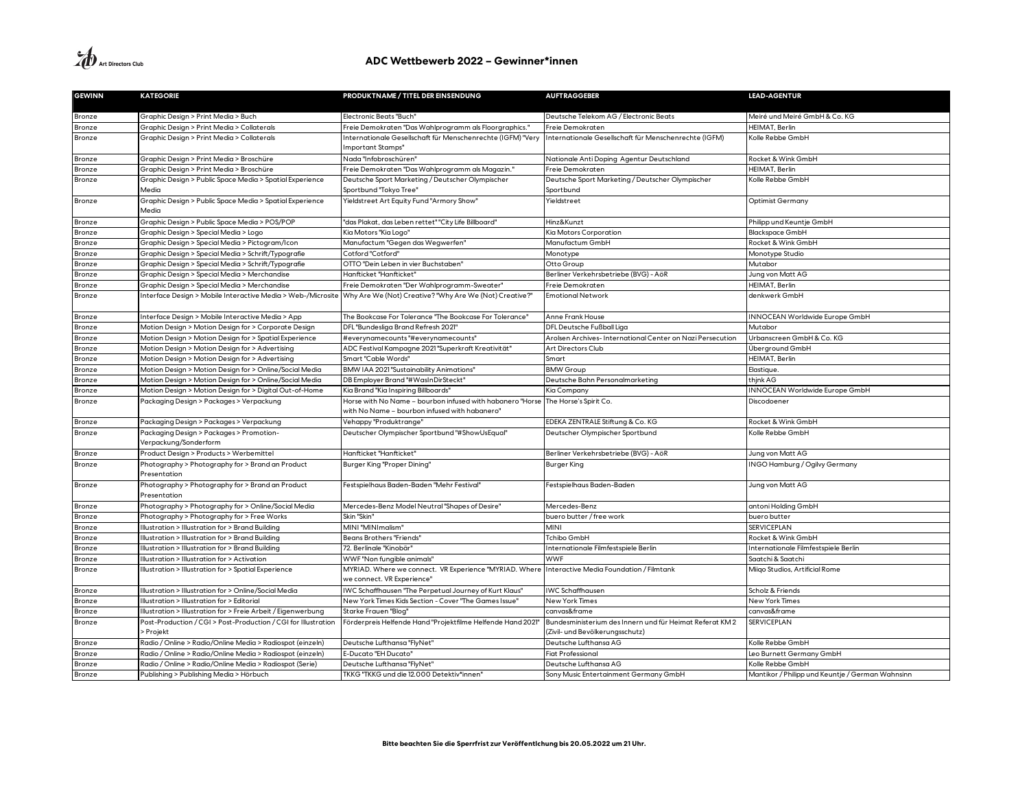| <b>GEWINN</b>    | <b>KATEGORIE</b>                                                  | PRODUKTNAME / TITEL DER EINSENDUNG                                                   | <b>AUFTRAGGEBER</b>                                        | <b>LEAD-AGENTUR</b>                              |
|------------------|-------------------------------------------------------------------|--------------------------------------------------------------------------------------|------------------------------------------------------------|--------------------------------------------------|
|                  |                                                                   |                                                                                      |                                                            |                                                  |
| Bronze           | Graphic Design > Print Media > Buch                               | <b>Electronic Beats "Buch"</b>                                                       | Deutsche Telekom AG / Electronic Beats                     | Meiré und Meiré GmbH & Co. KG                    |
| Bronze           | Graphic Design > Print Media > Collaterals                        | Freie Demokraten "Das Wahlprogramm als Floorgraphics."                               | Freie Demokraten                                           | HEIMAT, Berlin                                   |
| Bronze           | Graphic Design > Print Media > Collaterals                        | Internationale Gesellschaft für Menschenrechte (IGFM) "Very                          | Internationale Gesellschaft für Menschenrechte (IGFM)      | Kolle Rebbe GmbH                                 |
|                  |                                                                   | Important Stamps"                                                                    |                                                            |                                                  |
| Bronze           | Graphic Design > Print Media > Broschüre                          | Nada "Infobroschüren'                                                                | Nationale Anti Doping Agentur Deutschland                  | Rocket & Wink GmbH                               |
| Bronze           | Graphic Design > Print Media > Broschüre                          | Freie Demokraten "Das Wahlprogramm als Magazin."                                     | Freie Demokraten                                           | HEIMAT, Berlin                                   |
| Bronze           | Graphic Design > Public Space Media > Spatial Experience          | Deutsche Sport Marketing / Deutscher Olympischer                                     | Deutsche Sport Marketing / Deutscher Olympischer           | Kolle Rebbe GmbH                                 |
|                  | Media                                                             | Sportbund "Tokyo Tree"                                                               | Sportbund                                                  |                                                  |
| Bronze           | Graphic Design > Public Space Media > Spatial Experience          | Yieldstreet Art Equity Fund "Armory Show"                                            | Yieldstreet                                                | Optimist Germany                                 |
|                  | Media                                                             |                                                                                      |                                                            |                                                  |
| Bronze           | Graphic Design > Public Space Media > POS/POP                     | "das Plakat, das Leben rettet" "City Life Billboard"                                 | Hinz&Kunzt                                                 | Philipp und Keuntje GmbH                         |
| Bronze           | Graphic Design > Special Media > Logo                             | Kia Motors "Kia Logo"                                                                | Kia Motors Corporation                                     | <b>Blackspace GmbH</b>                           |
| Bronze           | Graphic Design > Special Media > Pictogram/Icon                   | Manufactum "Gegen das Wegwerfen"                                                     | Manufactum GmbH                                            | Rocket & Wink GmbH                               |
| Bronze           | Graphic Design > Special Media > Schrift/Typografie               | "Cotford" Cotford                                                                    | Monotype                                                   | Monotype Studio                                  |
| Bronze           | Graphic Design > Special Media > Schrift/Typografie               | OTTO "Dein Leben in vier Buchstaben"                                                 | Otto Group                                                 | Mutabor                                          |
| Bronze           | Graphic Design > Special Media > Merchandise                      | Hanfticket "Hanfticket"                                                              | Berliner Verkehrsbetriebe (BVG) - AöR                      | Jung von Matt AG                                 |
| Bronze           | Graphic Design > Special Media > Merchandise                      | Freie Demokraten "Der Wahlprogramm-Sweater"                                          | Freie Demokraten                                           | HEIMAT, Berlin                                   |
| Bronze           | Interface Design > Mobile Interactive Media > Web-/Microsite      | Why Are We (Not) Creative? "Why Are We (Not) Creative?"                              | <b>Emotional Network</b>                                   | denkwerk GmbH                                    |
| Bronze           | Interface Design > Mobile Interactive Media > App                 | The Bookcase For Tolerance "The Bookcase For Tolerance"                              | <b>Anne Frank House</b>                                    | <b>INNOCEAN Worldwide Europe GmbH</b>            |
| Bronze           | Motion Design > Motion Design for > Corporate Design              | DFL "Bundesliga Brand Refresh 2021"                                                  | DFL Deutsche Fußball Liga                                  | Mutabor                                          |
| Bronze           | Motion Design > Motion Design for > Spatial Experience            | #everynamecounts"#everynamecounts"                                                   | Arolsen Archives- International Center on Nazi Persecution | Urbanscreen GmbH & Co. KG                        |
| Bronze           | Motion Design > Motion Design for > Advertising                   | ADC Festival Kampagne 2021 "Superkraft Kreativität"                                  | Art Directors Club                                         | Überground GmbH                                  |
| Bronze           | Motion Design > Motion Design for > Advertising                   | Smart "Cable Words"                                                                  | Smart                                                      | HEIMAT, Berlin                                   |
| Bronze           | Motion Design > Motion Design for > Online/Social Media           | BMW IAA 2021 "Sustainability Animations"                                             | <b>BMW Group</b>                                           | Elastique.                                       |
| Bronze           | Motion Design > Motion Design for > Online/Social Media           | DB Employer Brand "#WasInDirSteckt"                                                  | Deutsche Bahn Personalmarketing                            | thjnk AG                                         |
| Bronze           | Motion Design > Motion Design for > Digital Out-of-Home           | Kia Brand "Kia Inspiring Billboards"                                                 | Kia Company                                                | INNOCEAN Worldwide Europe GmbH                   |
| Bronze           | Packaging Design > Packages > Verpackung                          | Horse with No Name – bourbon infused with habanero "Horse                            | The Horse's Spirit Co.                                     | Discodoener                                      |
|                  |                                                                   | with No Name – bourbon infused with habanero'                                        |                                                            |                                                  |
| Bronze           | Packaging Design > Packages > Verpackung                          | Vehappy "Produktrange"                                                               | EDEKA ZENTRALE Stiftung & Co. KG                           | Rocket & Wink GmbH                               |
| Bronze           | Packaging Design > Packages > Promotion-<br>Verpackung/Sonderform | Deutscher Olympischer Sportbund "#ShowUsEqual"                                       | Deutscher Olympischer Sportbund                            | Kolle Rebbe GmbH                                 |
|                  | Product Design > Products > Werbemittel                           | Hanfticket "Hanfticket"                                                              | Berliner Verkehrsbetriebe (BVG) - AöR                      | Jung von Matt AG                                 |
| Bronze<br>Bronze |                                                                   |                                                                                      |                                                            | INGO Hamburg / Ogilvy Germany                    |
|                  | Photography > Photography for > Brand an Product<br>Presentation  | Burger King "Proper Dining"                                                          | Burger King                                                |                                                  |
| Bronze           | Photography > Photography for > Brand an Product                  | Festspielhaus Baden-Baden "Mehr Festival"                                            | Festspielhaus Baden-Baden                                  | Jung von Matt AG                                 |
|                  | Presentation                                                      |                                                                                      |                                                            |                                                  |
| Bronze           | Photography > Photography for > Online/Social Media               | Mercedes-Benz Model Neutral "Shapes of Desire"                                       | Mercedes-Benz                                              | antoni Holding GmbH                              |
| Bronze           | Photography > Photography for > Free Works                        | Skin "Skin"                                                                          | buero butter / free work                                   | buero butter                                     |
| Bronze           | Illustration > Illustration for > Brand Building                  | MINI "MINImalism"                                                                    | MINI                                                       | <b>SERVICEPLAN</b>                               |
| Bronze           | Illustration > Illustration for > Brand Building                  | Beans Brothers "Friends"                                                             | Tchibo GmbH                                                | Rocket & Wink GmbH                               |
| Bronze           | Illustration > Illustration for > Brand Building                  | 72. Berlinale "Kinobär'                                                              | Internationale Filmfestspiele Berlin                       | Internationale Filmfestspiele Berlin             |
| Bronze           | Illustration > Illustration for > Activation                      | WWF "Non fungible animals"                                                           | <b>WWF</b>                                                 | Saatchi & Saatchi                                |
| Bronze           | Illustration > Illustration for > Spatial Experience              | MYRIAD. Where we connect. VR Experience "MYRIAD. Where<br>we connect. VR Experience' | Interactive Media Foundation / Filmtank                    | Miigo Studios, Artificial Rome                   |
| Bronze           | Illustration > Illustration for > Online/Social Media             | IWC Schaffhausen "The Perpetual Journey of Kurt Klaus"                               | WC Schaffhausen                                            | Scholz & Friends                                 |
| Bronze           | Illustration > Illustration for > Editorial                       | New York Times Kids Section - Cover "The Games Issue"                                | New York Times                                             | New York Times                                   |
| Bronze           | Illustration > Illustration for > Freie Arbeit / Eigenwerbung     | Starke Frauen "Blog"                                                                 | canvas&frame                                               | canvas&frame                                     |
| Bronze           | Post-Production / CGI > Post-Production / CGI for Illustration    | Förderpreis Helfende Hand "Projektfilme Helfende Hand 2021"                          | Bundesministerium des Innern und für Heimat Referat KM 2   | <b>SERVICEPLAN</b>                               |
|                  | Projekt                                                           |                                                                                      | (Zivil- und Bevölkerungsschutz)                            |                                                  |
| Bronze           | Radio / Online > Radio/Online Media > Radiospot (einzeln)         | Deutsche Lufthansa "FlyNet"                                                          | Deutsche Lufthansa AG                                      | Kolle Rebbe GmbH                                 |
| Bronze           | Radio / Online > Radio/Online Media > Radiospot (einzeln)         | E-Ducato "EH Ducato'                                                                 | iat Professional                                           | Leo Burnett Germany GmbH                         |
| Bronze           | Radio / Online > Radio/Online Media > Radiospot (Serie)           | Deutsche Lufthansa "FlyNet"                                                          | Deutsche Lufthansa AG                                      | Kolle Rebbe GmbH                                 |
| Bronze           | Publishing > Publishing Media > Hörbuch                           | TKKG "TKKG und die 12.000 Detektiv*innen"                                            | Sony Music Entertainment Germany GmbH                      | Mantikor / Philipp und Keuntje / German Wahnsinn |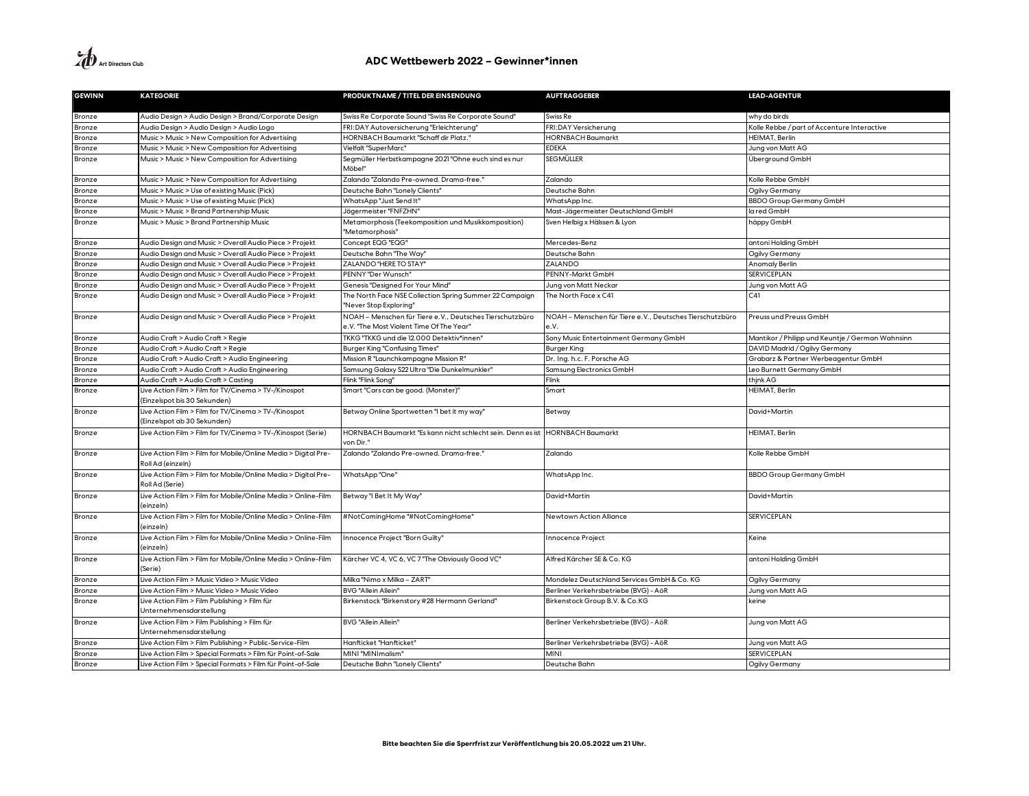| <b>GEWINN</b> | <b>KATEGORIE</b>                                                                     | PRODUKTNAME / TITEL DER EINSENDUNG                                                | <b>AUFTRAGGEBER</b>                                      | <b>LEAD-AGENTUR</b>                              |
|---------------|--------------------------------------------------------------------------------------|-----------------------------------------------------------------------------------|----------------------------------------------------------|--------------------------------------------------|
|               |                                                                                      |                                                                                   |                                                          |                                                  |
| Bronze        | Audio Design > Audio Design > Brand/Corporate Design                                 | Swiss Re Corporate Sound "Swiss Re Corporate Sound"                               | Swiss Re                                                 | why do birds                                     |
| Bronze        | Audio Design > Audio Design > Audio Logo                                             | FRI:DAY Autoversicherung "Erleichterung"                                          | FRI:DAY Versicherung                                     | Kolle Rebbe / part of Accenture Interactive      |
| Bronze        | Music > Music > New Composition for Advertising                                      | HORNBACH Baumarkt "Schaff dir Platz."                                             | <b>HORNBACH Baumarkt</b>                                 | <b>HEIMAT, Berlin</b>                            |
| Bronze        | Music > Music > New Composition for Advertising                                      | Vielfalt "SuperMarc"                                                              | <b>EDEKA</b>                                             | Jung von Matt AG                                 |
| Bronze        | Music > Music > New Composition for Advertising                                      | Segmüller Herbstkampagne 2021 "Ohne euch sind es nur<br>Möbel"                    | SEGMÜLLER                                                | Überground GmbH                                  |
| Bronze        | Music > Music > New Composition for Advertising                                      | Zalando "Zalando Pre-owned. Drama-free."                                          | Zalando                                                  | Kolle Rebbe GmbH                                 |
| Bronze        | Music > Music > Use of existing Music (Pick)                                         | Deutsche Bahn "Lonely Clients"                                                    | Deutsche Bahn                                            | Ogilvy Germany                                   |
| Bronze        | Music > Music > Use of existing Music (Pick)                                         | WhatsApp "Just Send It'                                                           | WhatsApp Inc.                                            | <b>BBDO Group Germany GmbH</b>                   |
| Bronze        | Music > Music > Brand Partnership Music                                              | Jägermeister "FNFZHN"                                                             | Mast-Jägermeister Deutschland GmbH                       | la red GmbH                                      |
| Bronze        | Music > Music > Brand Partnership Music                                              | Metamorphosis (Teekomposition und Musikkomposition)<br>"Metamorphosis"            | Sven Helbig x Hälssen & Lyon                             | häppy GmbH                                       |
| Bronze        | Audio Design and Music > Overall Audio Piece > Projekt                               | Concept EQG "EQG"                                                                 | Mercedes-Benz                                            | antoni Holding GmbH                              |
| Bronze        | Audio Design and Music > Overall Audio Piece > Projekt                               | Deutsche Bahn "The Way"                                                           | Deutsche Bahn                                            | Ogilvy Germany                                   |
| Bronze        | Audio Design and Music > Overall Audio Piece > Projekt                               | ZALANDO "HERE TO STAY"                                                            | ZALANDO                                                  | Anomaly Berlin                                   |
| Bronze        | Audio Design and Music > Overall Audio Piece > Projekt                               | PENNY "Der Wunsch"                                                                | PENNY-Markt GmbH                                         | <b>SERVICEPLAN</b>                               |
| Bronze        | Audio Design and Music > Overall Audio Piece > Projekt                               | Genesis "Designed For Your Mind"                                                  | Jung von Matt Neckar                                     | Jung von Matt AG                                 |
| Bronze        | Audio Design and Music > Overall Audio Piece > Projekt                               | The North Face NSE Collection Spring Summer 22 Campaign<br>"Never Stop Exploring" | The North Face x C41                                     | C41                                              |
| Bronze        | Audio Design and Music > Overall Audio Piece > Projekt                               | NOAH - Menschen für Tiere e.V., Deutsches Tierschutzbüro                          | NOAH – Menschen für Tiere e.V., Deutsches Tierschutzbüro | Preuss und Preuss GmbH                           |
|               |                                                                                      | e.V. "The Most Violent Time Of The Year"                                          | e.V.                                                     |                                                  |
| Bronze        | Audio Craft > Audio Craft > Regie                                                    | TKKG "TKKG und die 12.000 Detektiv*innen"                                         | Sony Music Entertainment Germany GmbH                    | Mantikor / Philipp und Keuntje / German Wahnsinn |
| Bronze        | Audio Craft > Audio Craft > Regie                                                    | <b>Burger King "Confusing Times"</b>                                              | <b>Burger King</b>                                       | DAVID Madrid / Ogilvy Germany                    |
| Bronze        | Audio Craft > Audio Craft > Audio Engineering                                        | Mission R "Launchkampagne Mission R"                                              | Dr. Ing. h.c. F. Porsche AG                              | Grabarz & Partner Werbeagentur GmbH              |
| Bronze        | Audio Craft > Audio Craft > Audio Engineering                                        | Samsung Galaxy S22 Ultra "Die Dunkelmunkler"                                      | Samsung Electronics GmbH                                 | Leo Burnett Germany GmbH                         |
| Bronze        | Audio Craft > Audio Craft > Casting                                                  | Flink "Flink Song"                                                                | Flink                                                    | thjnk AG                                         |
| Bronze        | Live Action Film > Film for TV/Cinema > TV-/Kinospot<br>(Einzelspot bis 30 Sekunden) | Smart "Cars can be good. (Monster)"                                               | Smart                                                    | HEIMAT, Berlin                                   |
| Bronze        | Live Action Film > Film for TV/Cinema > TV-/Kinospot<br>(Einzelspot ab 30 Sekunden)  | Betway Online Sportwetten "I bet it my way"                                       | Betway                                                   | David+Martin                                     |
| Bronze        | Live Action Film > Film for TV/Cinema > TV-/Kinospot (Serie)                         | HORNBACH Baumarkt "Es kann nicht schlecht sein. Denn es ist<br>von Dir."          | <b>HORNBACH Baumarkt</b>                                 | HEIMAT, Berlin                                   |
| Bronze        | Live Action Film > Film for Mobile/Online Media > Digital Pre-<br>Roll Ad (einzeln)  | Zalando "Zalando Pre-owned. Drama-free."                                          | Zalando                                                  | Kolle Rebbe GmbH                                 |
| Bronze        | Live Action Film > Film for Mobile/Online Media > Digital Pre-<br>Roll Ad (Serie)    | WhatsApp"One"                                                                     | WhatsApp Inc.                                            | <b>BBDO Group Germany GmbH</b>                   |
| Bronze        | Live Action Film > Film for Mobile/Online Media > Online-Film<br>(einzeln)           | Betway"  Bet It My Way"                                                           | David+Martin                                             | David+Martin                                     |
| Bronze        | Live Action Film > Film for Mobile/Online Media > Online-Film<br>(einzeln)           | #NotComingHome "#NotComingHome"                                                   | Newtown Action Alliance                                  | <b>SERVICEPLAN</b>                               |
| Bronze        | Live Action Film > Film for Mobile/Online Media > Online-Film<br>(einzeln)           | Innocence Project "Born Guilty"                                                   | Innocence Project                                        | Keine                                            |
| Bronze        | Live Action Film > Film for Mobile/Online Media > Online-Film<br>(Serie)             | Kärcher VC 4, VC 6, VC 7 "The Obviously Good VC"                                  | Alfred Kärcher SE & Co. KG                               | antoni Holding GmbH                              |
| Bronze        | Live Action Film > Music Video > Music Video                                         | Milka "Nimo x Milka - ZART"                                                       | Mondelez Deutschland Services GmbH & Co. KG              | Ogilvy Germany                                   |
| Bronze        | Live Action Film > Music Video > Music Video                                         | <b>BVG "Allein Allein"</b>                                                        | Berliner Verkehrsbetriebe (BVG) - AöR                    | Jung von Matt AG                                 |
| Bronze        | Live Action Film > Film Publishing > Film für<br>Unternehmensdarstellung             | Birkenstock "Birkenstory #28 Hermann Gerland"                                     | Birkenstock Group B.V. & Co.KG                           | keine                                            |
| Bronze        | Live Action Film > Film Publishing > Film für<br>Unternehmensdarstellung             | BVG "Allein Allein"                                                               | Berliner Verkehrsbetriebe (BVG) - AöR                    | Jung von Matt AG                                 |
| Bronze        | Live Action Film > Film Publishing > Public-Service-Film                             | Hanfticket "Hanfticket"                                                           | Berliner Verkehrsbetriebe (BVG) - AöR                    | Jung von Matt AG                                 |
| Bronze        | Live Action Film > Special Formats > Film für Point-of-Sale                          | MINI "MINImalism"                                                                 | <b>MINI</b>                                              | <b>SERVICEPLAN</b>                               |
| Bronze        | Live Action Film > Special Formats > Film für Point-of-Sale                          | Deutsche Bahn "Lonely Clients"                                                    | Deutsche Bahn                                            | Ogilvy Germany                                   |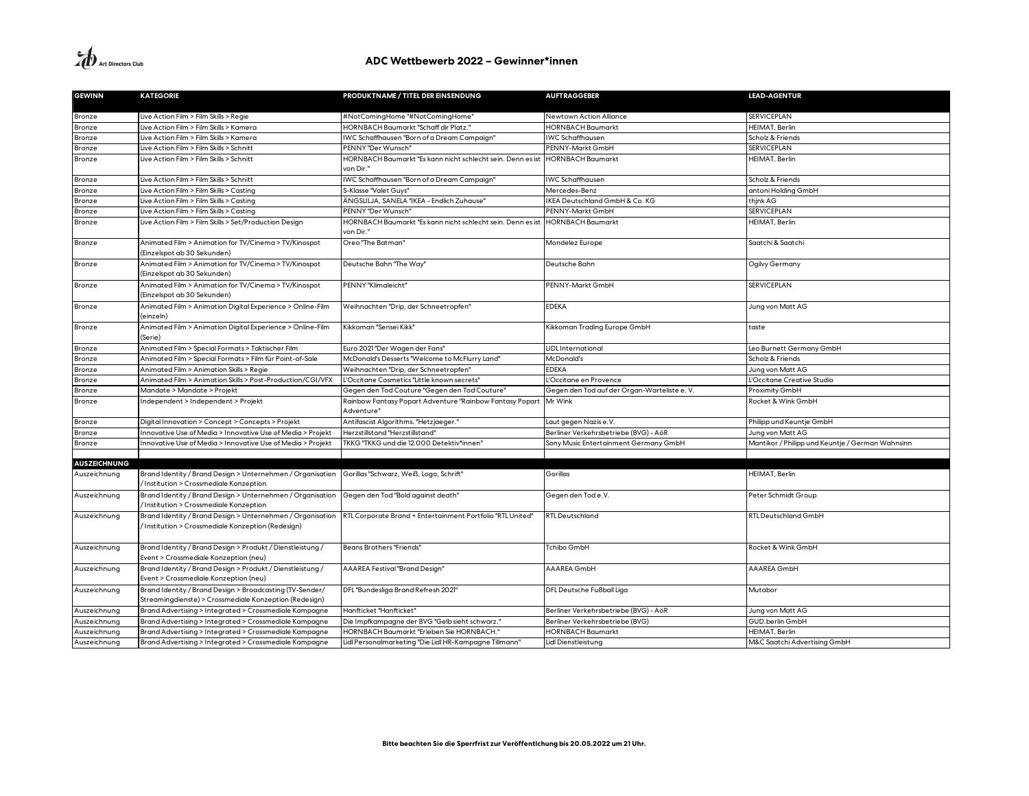| <b>GEWINN</b>       | <b>KATEGORIE</b>                                                                                                                                                           | PRODUKTNAME / TITEL DER EINSENDUNG                                       | <b>AUFTRAGGEBER</b>                          | <b>LEAD-AGENTUR</b>                              |
|---------------------|----------------------------------------------------------------------------------------------------------------------------------------------------------------------------|--------------------------------------------------------------------------|----------------------------------------------|--------------------------------------------------|
|                     |                                                                                                                                                                            |                                                                          |                                              |                                                  |
| Bronze              | Live Action Film > Film Skills > Regie                                                                                                                                     | #NotComingHome "#NotComingHome"                                          | Newtown Action Alliance                      | <b>SERVICEPLAN</b>                               |
| Bronze              | Live Action Film > Film Skills > Kamera                                                                                                                                    | <b>HORNBACH Baumarkt "Schaff dir Platz."</b>                             | <b>HORNBACH Baumarkt</b>                     | HEIMAT, Berlin                                   |
| Bronze              | Live Action Film > Film Skills > Kamera                                                                                                                                    | IWC Schaffhausen "Born of a Dream Campaign"                              | <b>IWC Schaffhausen</b>                      | Scholz & Friends                                 |
| Bronze              | Live Action Film > Film Skills > Schnitt                                                                                                                                   | PENNY "Der Wunsch"                                                       | PENNY-Markt GmbH                             | <b>SERVICEPLAN</b>                               |
| Bronze              | Live Action Film > Film Skills > Schnitt                                                                                                                                   | HORNBACH Baumarkt "Es kann nicht schlecht sein. Denn es ist              | <b>HORNBACH Baumarkt</b>                     | <b>HEIMAT, Berlin</b>                            |
|                     |                                                                                                                                                                            | von Dir."                                                                |                                              |                                                  |
| Bronze              | Live Action Film > Film Skills > Schnitt                                                                                                                                   | IWC Schaffhausen "Born of a Dream Campaign"                              | <b>IWC Schaffhausen</b>                      | Scholz & Friends                                 |
| Bronze              | Live Action Film > Film Skills > Casting                                                                                                                                   | S-Klasse "Valet Guys"                                                    | Mercedes-Benz                                | antoni Holding GmbH                              |
| Bronze              | Live Action Film > Film Skills > Casting                                                                                                                                   | ÄNGSLILJA, SANELA "IKEA - Endlich Zuhause"                               | KEA Deutschland GmbH & Co. KG                | thjnk AG                                         |
| Bronze              | Live Action Film > Film Skills > Casting                                                                                                                                   | PENNY "Der Wunsch'                                                       | PENNY-Markt GmbH                             | <b>SERVICEPLAN</b>                               |
| Bronze              | Live Action Film > Film Skills > Set/Production Design                                                                                                                     | HORNBACH Baumarkt "Es kann nicht schlecht sein. Denn es ist<br>von Dir." | <b>HORNBACH Baumarkt</b>                     | HEIMAT, Berlin                                   |
| Bronze              | Animated Film > Animation for TV/Cinema > TV/Kinospot<br>(Einzelspot ab 30 Sekunden)                                                                                       | Oreo "The Batman"                                                        | Mondelez Europe                              | Saatchi & Saatchi                                |
| Bronze              | Animated Film > Animation for TV/Cinema > TV/Kinospot<br>(Einzelspot ab 30 Sekunden)                                                                                       | Deutsche Bahn "The Way"                                                  | Deutsche Bahn                                | Ogilvy Germany                                   |
| Bronze              | Animated Film > Animation for TV/Cinema > TV/Kinospot<br>(Einzelspot ab 30 Sekunden)                                                                                       | PENNY "Klimaleicht"                                                      | PENNY-Markt GmbH                             | <b>SERVICEPLAN</b>                               |
| Bronze              | Animated Film > Animation Digital Experience > Online-Film<br>(einzeln)                                                                                                    | Weihnachten "Drip, der Schneetropfen"                                    | EDEKA                                        | Jung von Matt AG                                 |
| Bronze              | Animated Film > Animation Digital Experience > Online-Film<br>(Serie)                                                                                                      | Kikkoman "Sensei Kikk"                                                   | Kikkoman Trading Europe GmbH                 | taste                                            |
| Bronze              | Animated Film > Special Formats > Taktischer Film                                                                                                                          | Euro 2021 "Der Wagen der Fans"                                           | LIDL International                           | Leo Burnett Germany GmbH                         |
| Bronze              | Animated Film > Special Formats > Film für Point-of-Sale                                                                                                                   | McDonald's Desserts "Welcome to McFlurry Land"                           | McDonald's                                   | Scholz & Friends                                 |
| Bronze              | Animated Film > Animation Skills > Regie                                                                                                                                   | Weihnachten "Drip, der Schneetropfen"                                    | <b>EDEKA</b>                                 | Jung von Matt AG                                 |
| Bronze              | Animated Film > Animation Skills > Post-Production/CGI/VFX                                                                                                                 | L'Occitane Cosmetics "Little known secrets"                              | 'Occitane en Provence                        | L'Occitane Creative Studio                       |
| Bronze              | Mandate > Mandate > Projekt                                                                                                                                                | Gegen den Tod Couture "Gegen den Tod Couture"                            | Gegen den Tod auf der Organ-Warteliste e. V. | Proximity GmbH                                   |
| Bronze              | Independent > Independent > Projekt                                                                                                                                        | Rainbow Fantasy Popart Adventure "Rainbow Fantasy Popart<br>Adventure"   | Mr Wink                                      | Rocket & Wink GmbH                               |
| Bronze              | Digital Innovation > Concept > Concepts > Projekt                                                                                                                          | Antifascist Algorithms. "Hetzjaeger."                                    | Laut gegen Nazis e.V.                        | Philipp und Keuntje GmbH                         |
| Bronze              | Innovative Use of Media > Innovative Use of Media > Projekt                                                                                                                | Herzstillstand "Herzstillstand"                                          | Berliner Verkehrsbetriebe (BVG) - AöR        | Jung von Matt AG                                 |
| Bronze              | Innovative Use of Media > Innovative Use of Media > Projekt                                                                                                                | TKKG "TKKG und die 12.000 Detektiv*innen"                                | Sony Music Entertainment Germany GmbH        | Mantikor / Philipp und Keuntje / German Wahnsinn |
|                     |                                                                                                                                                                            |                                                                          |                                              |                                                  |
| <b>AUSZEICHNUNG</b> |                                                                                                                                                                            |                                                                          |                                              |                                                  |
| Auszeichnung        | Brand Identity / Brand Design > Unternehmen / Organisation Gorillas "Schwarz, Weiß, Logo, Schrift"<br>/Institution > Crossmediale Konzeption                               |                                                                          | Gorillas                                     | HEIMAT, Berlin                                   |
| Auszeichnung        | Brand Identity / Brand Design > Unternehmen / Organisation<br>/Institution > Crossmediale Konzeption                                                                       | Gegen den Tod "Bold against death"                                       | Gegen den Tod e.V.                           | Peter Schmidt Group                              |
| Auszeichnung        | Brand Identity / Brand Design > Unternehmen / Organisation RTL Corporate Brand + Entertainment Portfolio "RTL United"<br>/Institution > Crossmediale Konzeption (Redesign) |                                                                          | <b>RTL Deutschland</b>                       | RTL Deutschland GmbH                             |
| Auszeichnung        | Brand Identity / Brand Design > Produkt / Dienstleistung /<br>Event > Crossmediale Konzeption (neu)                                                                        | <b>Beans Brothers "Friends"</b>                                          | Tchibo GmbH                                  | Rocket & Wink GmbH                               |
| Auszeichnung        | Brand Identity / Brand Design > Produkt / Dienstleistung /<br>Event > Crossmediale Konzeption (neu)                                                                        | AAAREA Festival "Brand Design"                                           | AAAREA GmbH                                  | AAAREA GmbH                                      |
| Auszeichnung        | Brand Identity / Brand Design > Broadcasting (TV-Sender/<br>Streamingdienste) > Crossmediale Konzeption (Redesign)                                                         | DFL "Bundesliga Brand Refresh 2021"                                      | DFL Deutsche Fußball Liga                    | Mutabor                                          |
| Auszeichnung        | Brand Advertising > Integrated > Crossmediale Kampagne                                                                                                                     | Hanfticket "Hanfticket"                                                  | Berliner Verkehrsbetriebe (BVG) - AöR        | Jung von Matt AG                                 |
| Auszeichnung        | Brand Advertising > Integrated > Crossmediale Kampagne                                                                                                                     | Die Impfkampagne der BVG "Gelb sieht schwarz."                           | Berliner Verkehrsbetriebe (BVG)              | GUD.berlin GmbH                                  |
| Auszeichnung        | Brand Advertising > Integrated > Crossmediale Kampagne                                                                                                                     | HORNBACH Baumarkt "Erleben Sie HORNBACH."                                | <b>HORNBACH Baumarkt</b>                     | HEIMAT, Berlin                                   |
| Auszeichnung        | Brand Advertising > Integrated > Crossmediale Kampagne                                                                                                                     | Lidl Personalmarketing "Die Lidl HR-Kampagne Tillmann"                   | Lidl Dienstleistung                          | M&C Saatchi Advertising GmbH                     |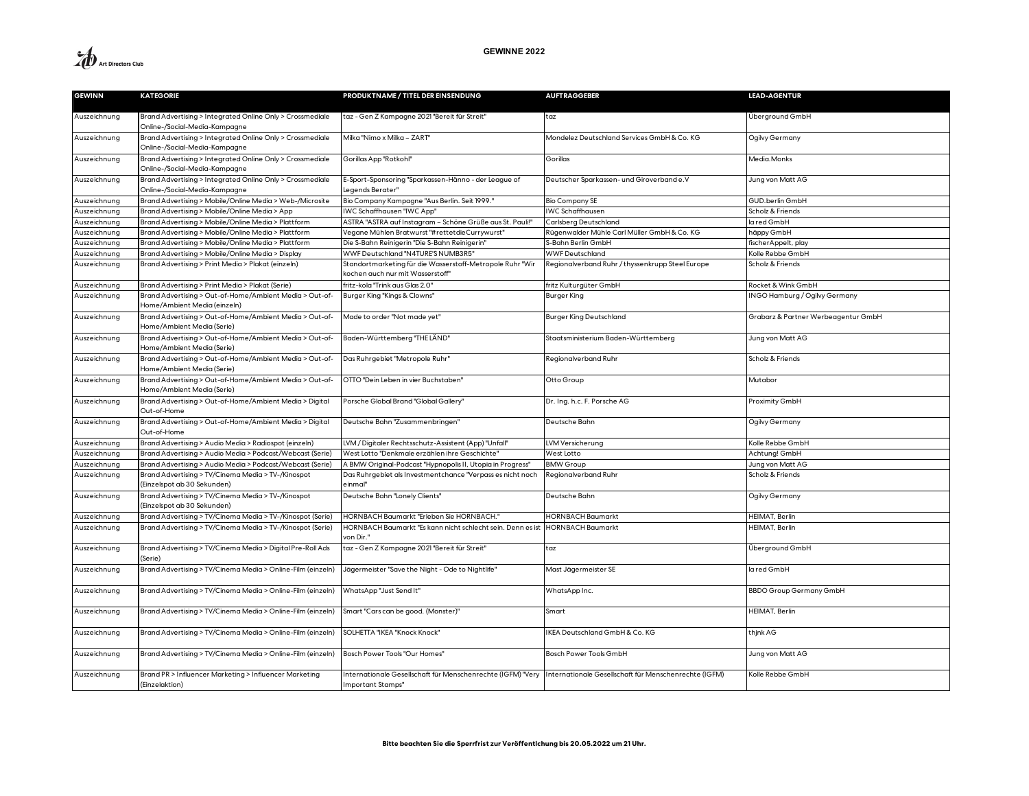

| <b>GEWINN</b> | <b>KATEGORIE</b>                                                                           | PRODUKTNAME / TITEL DER EINSENDUNG                                                                                                     | <b>AUFTRAGGEBER</b>                              | <b>LEAD-AGENTUR</b>                 |
|---------------|--------------------------------------------------------------------------------------------|----------------------------------------------------------------------------------------------------------------------------------------|--------------------------------------------------|-------------------------------------|
| Auszeichnung  | Brand Advertising > Integrated Online Only > Crossmediale<br>Online-/Social-Media-Kampagne | taz - Gen Z Kampagne 2021 "Bereit für Streit"                                                                                          | taz                                              | Überground GmbH                     |
| Auszeichnung  | Brand Advertising > Integrated Online Only > Crossmediale<br>Online-/Social-Media-Kampagne | Milka "Nimo x Milka - ZART"                                                                                                            | Mondelez Deutschland Services GmbH & Co. KG      | Ogilvy Germany                      |
| Auszeichnung  | Brand Advertising > Integrated Online Only > Crossmediale<br>Online-/Social-Media-Kampagne | Gorillas App "Rotkohl"                                                                                                                 | Gorillas                                         | Media.Monks                         |
| Auszeichnung  | Brand Advertising > Integrated Online Only > Crossmediale<br>Online-/Social-Media-Kampagne | E-Sport-Sponsoring "Sparkassen-Hänno - der League of<br>Legends Berater"                                                               | Deutscher Sparkassen- und Giroverband e.V        | Jung von Matt AG                    |
| Auszeichnung  | Brand Advertising > Mobile/Online Media > Web-/Microsite                                   | Bio Company Kampagne "Aus Berlin. Seit 1999."                                                                                          | <b>Bio Company SE</b>                            | GUD.berlin GmbH                     |
| Auszeichnung  | Brand Advertising > Mobile/Online Media > App                                              | IWC Schaffhausen "IWC App"                                                                                                             | <b>IWC Schaffhausen</b>                          | Scholz & Friends                    |
| Auszeichnung  | Brand Advertising > Mobile/Online Media > Plattform                                        | ASTRA "ASTRA auf Instagram – Schöne Grüße aus St. Pauli!'                                                                              | Carlsberg Deutschland                            | la red GmbH                         |
| Auszeichnung  | Brand Advertising > Mobile/Online Media > Plattform                                        | Vegane Mühlen Bratwurst "#rettetdieCurrywurst"                                                                                         | Rügenwalder Mühle Carl Müller GmbH & Co. KG      | häppy GmbH                          |
| Auszeichnung  | Brand Advertising > Mobile/Online Media > Plattform                                        | Die S-Bahn Reinigerin "Die S-Bahn Reinigerin'                                                                                          | S-Bahn Berlin GmbH                               | fischer Appelt, play                |
| Auszeichnung  | Brand Advertising > Mobile/Online Media > Display                                          | WWF Deutschland "N4TURE'S NUMB3R5"                                                                                                     | <b>WWF Deutschland</b>                           | Kolle Rebbe GmbH                    |
| Auszeichnung  | Brand Advertising > Print Media > Plakat (einzeln)                                         | Standortmarketing für die Wasserstoff-Metropole Ruhr "Wir<br>kochen auch nur mit Wasserstoff"                                          | Regionalverband Ruhr / thyssenkrupp Steel Europe | Scholz & Friends                    |
| Auszeichnung  | Brand Advertising > Print Media > Plakat (Serie)                                           | fritz-kola "Trink aus Glas 2.0"                                                                                                        | fritz Kulturgüter GmbH                           | Rocket & Wink GmbH                  |
| Auszeichnung  | Brand Advertising > Out-of-Home/Ambient Media > Out-of-<br>Home/Ambient Media (einzeln)    | Burger King "Kings & Clowns"                                                                                                           | Burger King                                      | INGO Hamburg / Ogilvy Germany       |
| Auszeichnung  | Brand Advertising > Out-of-Home/Ambient Media > Out-of-<br>Home/Ambient Media (Serie)      | Made to order "Not made yet"                                                                                                           | <b>Burger King Deutschland</b>                   | Grabarz & Partner Werbeagentur GmbH |
| Auszeichnung  | Brand Advertising > Out-of-Home/Ambient Media > Out-of-<br>Home/Ambient Media (Serie)      | Baden-Württemberg "THE LÄND"                                                                                                           | Staatsministerium Baden-Württemberg              | Jung von Matt AG                    |
| Auszeichnung  | Brand Advertising > Out-of-Home/Ambient Media > Out-of-<br>Home/Ambient Media (Serie)      | Das Ruhrgebiet "Metropole Ruhr"                                                                                                        | Regionalverband Ruhr                             | Scholz & Friends                    |
| Auszeichnung  | Brand Advertising > Out-of-Home/Ambient Media > Out-of-<br>Home/Ambient Media (Serie)      | OTTO "Dein Leben in vier Buchstaben"                                                                                                   | Otto Group                                       | Mutabor                             |
| Auszeichnung  | Brand Advertising > Out-of-Home/Ambient Media > Digital<br>Out-of-Home                     | Porsche Global Brand "Global Gallery"                                                                                                  | Dr. Ing. h.c. F. Porsche AG                      | Proximity GmbH                      |
| Auszeichnung  | Brand Advertising > Out-of-Home/Ambient Media > Digital<br>Out-of-Home                     | Deutsche Bahn "Zusammenbringen"                                                                                                        | Deutsche Bahn                                    | Ogilvy Germany                      |
| Auszeichnung  | Brand Advertising > Audio Media > Radiospot (einzeln)                                      | LVM / Digitaler Rechtsschutz-Assistent (App) "Unfall"                                                                                  | LVM Versicherung                                 | Kolle Rebbe GmbH                    |
| Auszeichnung  | Brand Advertising > Audio Media > Podcast/Webcast (Serie)                                  | West Lotto "Denkmale erzählen ihre Geschichte'                                                                                         | West Lotto                                       | Achtung! GmbH                       |
| Auszeichnung  | Brand Advertising > Audio Media > Podcast/Webcast (Serie)                                  | A BMW Original-Podcast "Hypnopolis II, Utopia in Progress"                                                                             | <b>BMW Group</b>                                 | Jung von Matt AG                    |
| Auszeichnung  | Brand Advertising > TV/Cinema Media > TV-/Kinospot<br>(Einzelspot ab 30 Sekunden)          | Das Ruhrgebiet als Investmentchance "Verpass es nicht noch<br>einmal"                                                                  | Regionalverband Ruhr                             | Scholz & Friends                    |
| Auszeichnung  | Brand Advertising > TV/Cinema Media > TV-/Kinospot<br>(Einzelspot ab 30 Sekunden)          | Deutsche Bahn "Lonely Clients"                                                                                                         | Deutsche Bahn                                    | Ogilvy Germany                      |
| Auszeichnung  | Brand Advertising > TV/Cinema Media > TV-/Kinospot (Serie)                                 | HORNBACH Baumarkt "Erleben Sie HORNBACH."                                                                                              | <b>HORNBACH Baumarkt</b>                         | HEIMAT, Berlin                      |
| Auszeichnung  | Brand Advertising > TV/Cinema Media > TV-/Kinospot (Serie)                                 | HORNBACH Baumarkt "Es kann nicht schlecht sein. Denn es ist<br>von Dir."                                                               | <b>HORNBACH Baumarkt</b>                         | HEIMAT, Berlin                      |
| Auszeichnung  | Brand Advertising > TV/Cinema Media > Digital Pre-Roll Ads<br>(Serie)                      | taz - Gen Z Kampagne 2021 "Bereit für Streit"                                                                                          | taz                                              | Überground GmbH                     |
| Auszeichnung  | Brand Advertising > TV/Cinema Media > Online-Film (einzeln)                                | Jägermeister "Save the Night - Ode to Nightlife"                                                                                       | Mast Jägermeister SE                             | la red GmbH                         |
| Auszeichnung  | Brand Advertising > TV/Cinema Media > Online-Film (einzeln)                                | WhatsApp "Just Send It"                                                                                                                | WhatsApp Inc.                                    | <b>BBDO Group Germany GmbH</b>      |
| Auszeichnung  | Brand Advertising > TV/Cinema Media > Online-Film (einzeln)                                | Smart "Cars can be good. (Monster)"                                                                                                    | Smart                                            | HEIMAT, Berlin                      |
| Auszeichnung  | Brand Advertising > TV/Cinema Media > Online-Film (einzeln)                                | SOLHETTA "IKEA "Knock Knock"                                                                                                           | IKEA Deutschland GmbH & Co. KG                   | thjnk AG                            |
| Auszeichnung  | Brand Advertising > TV/Cinema Media > Online-Film (einzeln)                                | Bosch Power Tools "Our Homes"                                                                                                          | Bosch Power Tools GmbH                           | Jung von Matt AG                    |
| Auszeichnung  | Brand PR > Influencer Marketing > Influencer Marketing<br>(Einzelaktion)                   | Internationale Gesellschaft für Menschenrechte (IGFM) "Very Internationale Gesellschaft für Menschenrechte (IGFM)<br>Important Stamps" |                                                  | Kolle Rebbe GmbH                    |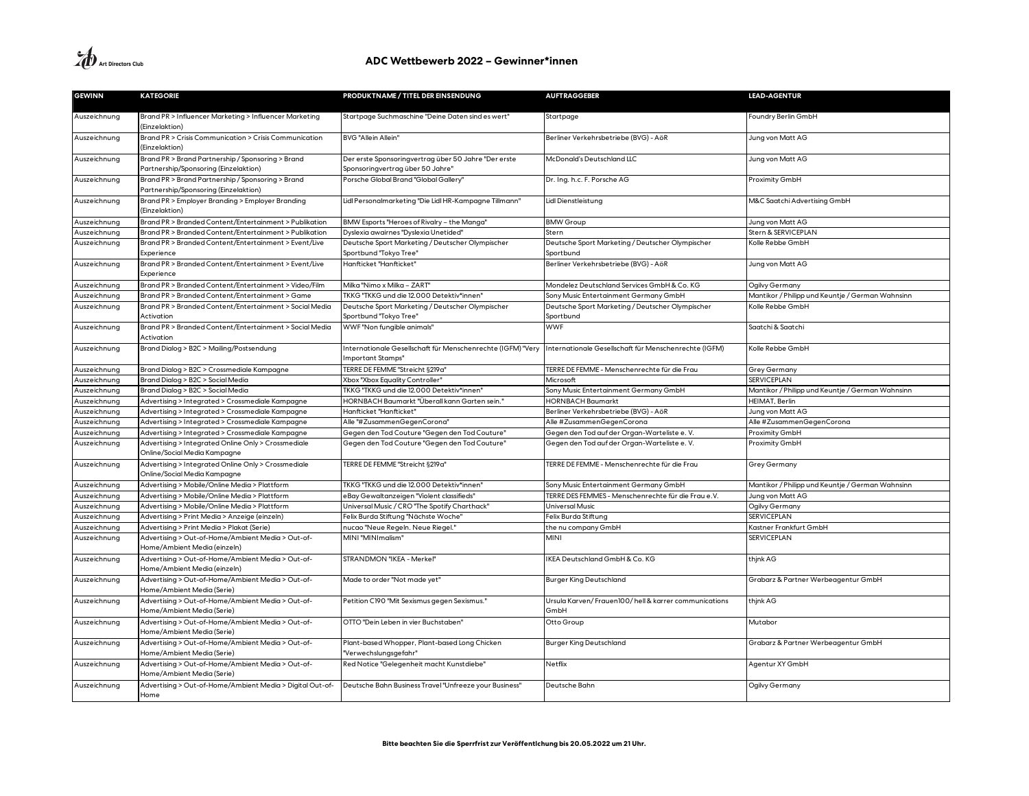| <b>GEWINN</b> | <b>KATEGORIE</b>                                                                           | PRODUKTNAME / TITEL DER EINSENDUNG                                                       | <b>AUFTRAGGEBER</b>                                           | <b>LEAD-AGENTUR</b>                              |
|---------------|--------------------------------------------------------------------------------------------|------------------------------------------------------------------------------------------|---------------------------------------------------------------|--------------------------------------------------|
| Auszeichnung  | Brand PR > Influencer Marketing > Influencer Marketing<br>(Einzelaktion)                   | Startpage Suchmaschine "Deine Daten sind es wert"                                        | Startpage                                                     | Foundry Berlin GmbH                              |
| Auszeichnung  | Brand PR > Crisis Communication > Crisis Communication<br>(Einzelaktion)                   | <b>BVG "Allein Allein"</b>                                                               | Berliner Verkehrsbetriebe (BVG) - AöR                         | Jung von Matt AG                                 |
| Auszeichnung  | Brand PR > Brand Partnership / Sponsoring > Brand<br>Partnership/Sponsoring (Einzelaktion) | Der erste Sponsoringvertrag über 50 Jahre "Der erste<br>Sponsoringvertrag über 50 Jahre" | McDonald's Deutschland LLC                                    | Jung von Matt AG                                 |
| Auszeichnung  | Brand PR > Brand Partnership / Sponsoring > Brand<br>Partnership/Sponsoring (Einzelaktion) | Porsche Global Brand "Global Gallery"                                                    | Dr. Ing. h.c. F. Porsche AG                                   | Proximity GmbH                                   |
| Auszeichnung  | Brand PR > Employer Branding > Employer Branding<br>(Einzelaktion)                         | Lidl Personalmarketing "Die Lidl HR-Kampagne Tillmann"                                   | Lidl Dienstleistung                                           | M&C Saatchi Advertising GmbH                     |
| Auszeichnung  | Brand PR > Branded Content/Entertainment > Publikation                                     | BMW Esports "Heroes of Rivalry - the Manga"                                              | <b>BMW Group</b>                                              | Jung von Matt AG                                 |
| Auszeichnung  | Brand PR > Branded Content/Entertainment > Publikation                                     | Dyslexia awairnes "Dyslexia Unetided"                                                    | Stern                                                         | Stern & SERVICEPLAN                              |
| Auszeichnung  | Brand PR > Branded Content/Entertainment > Event/Live<br>Experience                        | Deutsche Sport Marketing / Deutscher Olympischer<br>Sportbund "Tokyo Tree"               | Deutsche Sport Marketing / Deutscher Olympischer<br>Sportbund | Kolle Rebbe GmbH                                 |
| Auszeichnung  | Brand PR > Branded Content/Entertainment > Event/Live<br>Experience                        | Hanfticket "Hanfticket"                                                                  | Berliner Verkehrsbetriebe (BVG) - AöR                         | Jung von Matt AG                                 |
| Auszeichnung  | Brand PR > Branded Content/Entertainment > Video/Film                                      | Milka "Nimo x Milka - ZART'                                                              | Mondelez Deutschland Services GmbH & Co. KG                   | Ogilvy Germany                                   |
| Auszeichnung  | Brand PR > Branded Content/Entertainment > Game                                            | TKKG "TKKG und die 12.000 Detektiv*innen"                                                | Sony Music Entertainment Germany GmbH                         | Mantikor / Philipp und Keuntje / German Wahnsinn |
| Auszeichnung  | Brand PR > Branded Content/Entertainment > Social Media<br>Activation                      | Deutsche Sport Marketing / Deutscher Olympischer<br>Sportbund "Tokyo Tree"               | Deutsche Sport Marketing / Deutscher Olympischer<br>Sportbund | Kolle Rebbe GmbH                                 |
| Auszeichnung  | Brand PR > Branded Content/Entertainment > Social Media<br>Activation                      | WWF "Non fungible animals"                                                               | <b>WWF</b>                                                    | Saatchi & Saatchi                                |
| Auszeichnung  | Brand Dialog > B2C > Mailing/Postsendung                                                   | Internationale Gesellschaft für Menschenrechte (IGFM) "Very<br>Important Stamps"         | Internationale Gesellschaft für Menschenrechte (IGFM)         | Kolle Rebbe GmbH                                 |
| Auszeichnung  | Brand Dialog > B2C > Crossmediale Kampagne                                                 | TERRE DE FEMME "Streicht §219a"                                                          | TERRE DE FEMME - Menschenrechte für die Frau                  | <b>Grey Germany</b>                              |
| Auszeichnung  | Brand Dialog > B2C > Social Media                                                          | Xbox "Xbox Equality Controller"                                                          | Microsoft                                                     | <b>SERVICEPLAN</b>                               |
| Auszeichnung  | Brand Dialog > B2C > Social Media                                                          | TKKG "TKKG und die 12.000 Detektiv*innen"                                                | Sony Music Entertainment Germany GmbH                         | Mantikor / Philipp und Keuntje / German Wahnsinn |
| Auszeichnung  | Advertising > Integrated > Crossmediale Kampagne                                           | HORNBACH Baumarkt "Überall kann Garten sein.'                                            | <b>HORNBACH Baumarkt</b>                                      | HEIMAT, Berlin                                   |
| Auszeichnung  | Advertising > Integrated > Crossmediale Kampagne                                           | Hanfticket "Hanfticket"                                                                  | Berliner Verkehrsbetriebe (BVG) - AöR                         | Jung von Matt AG                                 |
| Auszeichnung  | Advertising > Integrated > Crossmediale Kampagne                                           | Alle "#ZusammenGegenCorona"                                                              | Alle #ZusammenGegenCorona                                     | Alle #ZusammenGegenCorona                        |
| Auszeichnung  | Advertising > Integrated > Crossmediale Kampagne                                           | Gegen den Tod Couture "Gegen den Tod Couture"                                            | Gegen den Tod auf der Organ-Warteliste e.V.                   | Proximity GmbH                                   |
| Auszeichnung  | Advertising > Integrated Online Only > Crossmediale<br>Online/Social Media Kampagne        | Gegen den Tod Couture "Gegen den Tod Couture"                                            | Gegen den Tod auf der Organ-Warteliste e.V.                   | Proximity GmbH                                   |
| Auszeichnung  | Advertising > Integrated Online Only > Crossmediale<br>Online/Social Media Kampagne        | TERRE DE FEMME "Streicht §219a"                                                          | TERRE DE FEMME - Menschenrechte für die Frau                  | Grey Germany                                     |
| Auszeichnung  | Advertising > Mobile/Online Media > Plattform                                              | TKKG "TKKG und die 12.000 Detektiv*innen"                                                | Sony Music Entertainment Germany GmbH                         | Mantikor / Philipp und Keuntje / German Wahnsinn |
| Auszeichnung  | Advertising > Mobile/Online Media > Plattform                                              | eBay Gewaltanzeigen "Violent classifieds"                                                | TERRE DES FEMMES - Menschenrechte für die Frau e.V.           | Jung von Matt AG                                 |
| Auszeichnung  | Advertising > Mobile/Online Media > Plattform                                              | Universal Music / CRO "The Spotify Charthack"                                            | <b>Universal Music</b>                                        | Ogilvy Germany                                   |
| Auszeichnung  | Advertising > Print Media > Anzeige (einzeln)                                              | Felix Burda Stiftung "Nächste Woche"                                                     | Felix Burda Stiftung                                          | <b>SERVICEPLAN</b>                               |
| Auszeichnung  | Advertising > Print Media > Plakat (Serie)                                                 | nucao "Neue Regeln. Neue Riegel."                                                        | the nu company GmbH                                           | Kastner Frankfurt GmbH                           |
| Auszeichnung  | Advertising > Out-of-Home/Ambient Media > Out-of-<br>Home/Ambient Media (einzeln)          | MINI "MINImalism"                                                                        | MINI                                                          | <b>SERVICEPLAN</b>                               |
| Auszeichnung  | Advertising > Out-of-Home/Ambient Media > Out-of-<br>Home/Ambient Media (einzeln)          | STRANDMON "IKEA - Merkel"                                                                | KEA Deutschland GmbH & Co. KG                                 | thjnk AG                                         |
| Auszeichnung  | Advertising > Out-of-Home/Ambient Media > Out-of-<br>Home/Ambient Media (Serie)            | Made to order "Not made yet"                                                             | <b>Burger King Deutschland</b>                                | Grabarz & Partner Werbeagentur GmbH              |
| Auszeichnung  | Advertising > Out-of-Home/Ambient Media > Out-of-<br>Home/Ambient Media (Serie)            | Petition C190 "Mit Sexismus gegen Sexismus."                                             | Ursula Karven/Frauen100/hell & karrer communications<br>GmbH  | thjnk AG                                         |
| Auszeichnung  | Advertising > Out-of-Home/Ambient Media > Out-of-<br>Home/Ambient Media (Serie)            | OTTO "Dein Leben in vier Buchstaben"                                                     | Otto Group                                                    | Mutabor                                          |
| Auszeichnung  | Advertising > Out-of-Home/Ambient Media > Out-of-<br>Home/Ambient Media (Serie)            | Plant-based Whopper, Plant-based Long Chicken<br>Verwechslungsgefahr"                    | <b>Burger King Deutschland</b>                                | Grabarz & Partner Werbeagentur GmbH              |
| Auszeichnung  | Advertising > Out-of-Home/Ambient Media > Out-of-<br>Home/Ambient Media (Serie)            | Red Notice "Gelegenheit macht Kunstdiebe"                                                | Netflix                                                       | Agentur XY GmbH                                  |
| Auszeichnung  | Advertising > Out-of-Home/Ambient Media > Digital Out-of-<br>Home                          | Deutsche Bahn Business Travel "Unfreeze your Business"                                   | Deutsche Bahn                                                 | Ogilvy Germany                                   |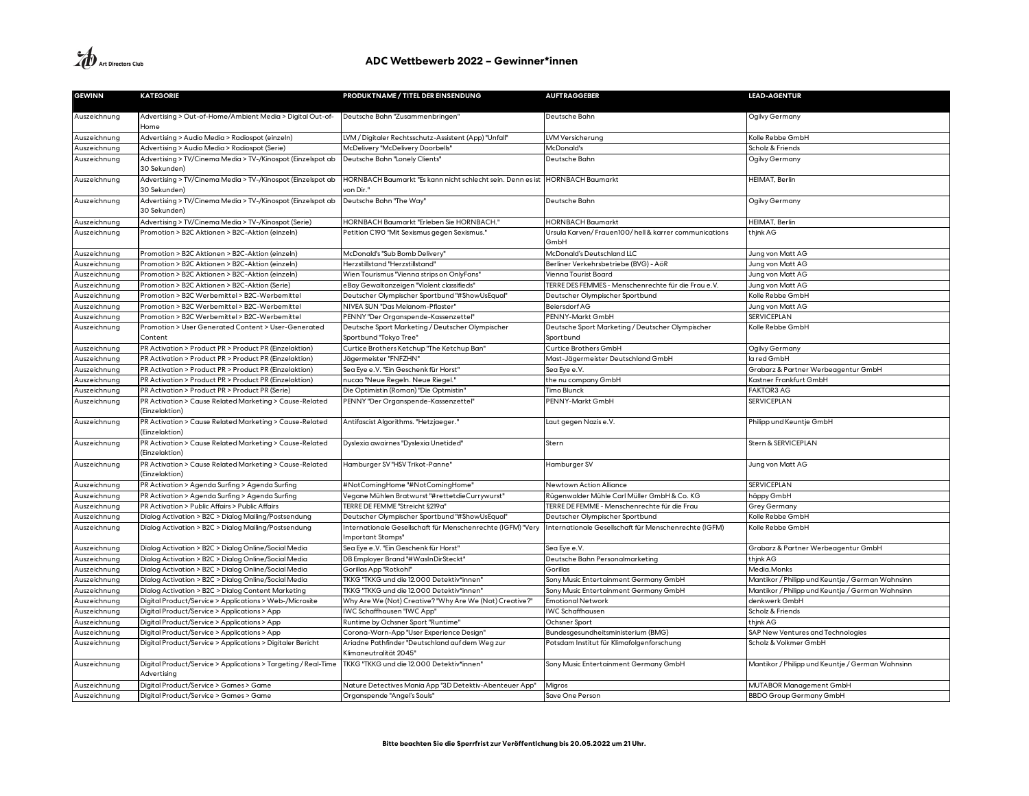| <b>GEWINN</b> | <b>KATEGORIE</b>                                                              | PRODUKTNAME / TITEL DER EINSENDUNG                                              | <b>AUFTRAGGEBER</b>                                           | <b>LEAD-AGENTUR</b>                              |
|---------------|-------------------------------------------------------------------------------|---------------------------------------------------------------------------------|---------------------------------------------------------------|--------------------------------------------------|
| Auszeichnung  | Advertising > Out-of-Home/Ambient Media > Digital Out-of-<br>Home             | Deutsche Bahn "Zusammenbringen"                                                 | Deutsche Bahn                                                 | Ogilvy Germany                                   |
| Auszeichnung  | Advertising > Audio Media > Radiospot (einzeln)                               | LVM / Digitaler Rechtsschutz-Assistent (App) "Unfall"                           | LVM Versicherung                                              | Kolle Rebbe GmbH                                 |
| Auszeichnung  | Advertising > Audio Media > Radiospot (Serie)                                 | McDelivery "McDelivery Doorbells"                                               | McDonald's                                                    | Scholz & Friends                                 |
| Auszeichnung  | Advertising > TV/Cinema Media > TV-/Kinospot (Einzelspot ab<br>30 Sekunden)   | Deutsche Bahn "Lonely Clients"                                                  | Deutsche Bahn                                                 | Ogilvy Germany                                   |
| Auszeichnung  | Advertising > TV/Cinema Media > TV-/Kinospot (Einzelspot ab<br>30 Sekunden)   | HORNBACH Baumarkt "Es kann nicht schlecht sein. Denn es ist<br>von Dir."        | <b>HORNBACH Baumarkt</b>                                      | HEIMAT, Berlin                                   |
| Auszeichnung  | Advertising > TV/Cinema Media > TV-/Kinospot (Einzelspot ab<br>30 Sekunden)   | Deutsche Bahn "The Way"                                                         | Deutsche Bahn                                                 | Ogilvy Germany                                   |
| Auszeichnung  | Advertising > TV/Cinema Media > TV-/Kinospot (Serie)                          | HORNBACH Baumarkt "Erleben Sie HORNBACH."                                       | <b>HORNBACH Baumarkt</b>                                      | <b>HEIMAT, Berlin</b>                            |
| Auszeichnung  | Promotion > B2C Aktionen > B2C-Aktion (einzeln)                               | Petition C190 "Mit Sexismus gegen Sexismus."                                    | Ursula Karven/Frauen100/hell & karrer communications<br>GmbH  | thjnk AG                                         |
| Auszeichnung  | Promotion > B2C Aktionen > B2C-Aktion (einzeln)                               | McDonald's "Sub Bomb Delivery"                                                  | McDonald's Deutschland LLC                                    | Jung von Matt AG                                 |
| Auszeichnung  | Promotion > B2C Aktionen > B2C-Aktion (einzeln)                               | Herzstillstand "Herzstillstand"                                                 | Berliner Verkehrsbetriebe (BVG) - AöR                         | Jung von Matt AG                                 |
| Auszeichnung  | Promotion > B2C Aktionen > B2C-Aktion (einzeln)                               | Wien Tourismus "Vienna strips on OnlyFans"                                      | Vienna Tourist Board                                          | Jung von Matt AG                                 |
| Auszeichnung  | Promotion > B2C Aktionen > B2C-Aktion (Serie)                                 | eBay Gewaltanzeigen "Violent classifieds"                                       | TERRE DES FEMMES - Menschenrechte für die Frau e.V.           | Jung von Matt AG                                 |
| Auszeichnung  | Promotion > B2C Werbemittel > B2C-Werbemittel                                 | Deutscher Olympischer Sportbund "#ShowUsEqual"                                  | Deutscher Olympischer Sportbund                               | Kolle Rebbe GmbH                                 |
| Auszeichnung  | Promotion > B2C Werbemittel > B2C-Werbemittel                                 | NIVEA SUN "Das Melanom-Pflaster"                                                | Beiersdorf AG                                                 | Jung von Matt AG                                 |
| Auszeichnung  | Promotion > B2C Werbemittel > B2C-Werbemittel                                 | PENNY "Der Organspende-Kassenzettel"                                            | PENNY-Markt GmbH                                              | <b>SERVICEPLAN</b>                               |
| Auszeichnung  | Promotion > User Generated Content > User-Generated<br>Content                | Deutsche Sport Marketing / Deutscher Olympischer<br>Sportbund "Tokyo Tree"      | Deutsche Sport Marketing / Deutscher Olympischer<br>Sportbund | Kolle Rebbe GmbH                                 |
| Auszeichnung  | PR Activation > Product PR > Product PR (Einzelaktion)                        | Curtice Brothers Ketchup "The Ketchup Ban"                                      | Curtice Brothers GmbH                                         | Ogilvy Germany                                   |
| Auszeichnung  | PR Activation > Product PR > Product PR (Einzelaktion)                        | Jägermeister "FNFZHN"                                                           | Mast-Jägermeister Deutschland GmbH                            | la red GmbH                                      |
| Auszeichnung  | PR Activation > Product PR > Product PR (Einzelaktion)                        | Sea Eye e.V. "Ein Geschenk für Horst"                                           | Sea Eye e.V.                                                  | Grabarz & Partner Werbeagentur GmbH              |
| Auszeichnung  | PR Activation > Product PR > Product PR (Einzelaktion)                        | nucao "Neue Regeln. Neue Riegel."                                               | the nu company GmbH                                           | Kastner Frankfurt GmbH                           |
| Auszeichnung  | PR Activation > Product PR > Product PR (Serie)                               | Die Optimistin (Roman) "Die Optmistin"                                          | Timo Blunck                                                   | <b>FAKTOR3 AG</b>                                |
| Auszeichnung  | PR Activation > Cause Related Marketing > Cause-Related<br>(Einzelaktion)     | PENNY "Der Organspende-Kassenzettel"                                            | PENNY-Markt GmbH                                              | SERVICEPLAN                                      |
| Auszeichnung  | PR Activation > Cause Related Marketing > Cause-Related<br>(Einzelaktion)     | Antifascist Algorithms. "Hetzjaeger."                                           | Laut gegen Nazis e.V.                                         | Philipp und Keuntje GmbH                         |
| Auszeichnung  | PR Activation > Cause Related Marketing > Cause-Related<br>(Einzelaktion)     | Dyslexia awairnes "Dyslexia Unetided"                                           | Stern                                                         | Stern & SERVICEPLAN                              |
| Auszeichnung  | PR Activation > Cause Related Marketing > Cause-Related<br>(Einzelaktion)     | Hamburger SV "HSV Trikot-Panne'                                                 | Hamburger SV                                                  | Jung von Matt AG                                 |
| Auszeichnung  | PR Activation > Agenda Surfing > Agenda Surfing                               | #NotComingHome "#NotComingHome"                                                 | Newtown Action Alliance                                       | <b>SERVICEPLAN</b>                               |
| Auszeichnung  | PR Activation > Agenda Surfing > Agenda Surfing                               | /egane Mühlen Bratwurst "#rettetdieCurrywurst"                                  | Rügenwalder Mühle Carl Müller GmbH & Co. KG                   | häppy GmbH                                       |
| Auszeichnung  | PR Activation > Public Affairs > Public Affairs                               | TERRE DE FEMME "Streicht §219a"                                                 | TERRE DE FEMME - Menschenrechte für die Frau                  | <b>Grey Germany</b>                              |
| Auszeichnung  | Dialog Activation > B2C > Dialog Mailing/Postsendung                          | Deutscher Olympischer Sportbund "#ShowUsEqual"                                  | Deutscher Olympischer Sportbund                               | Kolle Rebbe GmbH                                 |
| Auszeichnung  | Dialog Activation > B2C > Dialog Mailing/Postsendung                          | Internationale Gesellschaft für Menschenrechte (IGFM) "Very<br>mportant Stamps" | Internationale Gesellschaft für Menschenrechte (IGFM)         | Kolle Rebbe GmbH                                 |
| Auszeichnung  | Dialog Activation > B2C > Dialog Online/Social Media                          | Sea Eye e.V. "Ein Geschenk für Horst"                                           | Sea Eye e.V.                                                  | Grabarz & Partner Werbeagentur GmbH              |
| Auszeichnung  | Dialog Activation > B2C > Dialog Online/Social Media                          | DB Employer Brand "#WasInDirSteckt"                                             | Deutsche Bahn Personalmarketing                               | thjnk AG                                         |
| Auszeichnung  | Dialog Activation > B2C > Dialog Online/Social Media                          | Gorillas App "Rotkohl"                                                          | Gorillas                                                      | Media.Monks                                      |
| Auszeichnung  | Dialog Activation > B2C > Dialog Online/Social Media                          | TKKG "TKKG und die 12.000 Detektiv*innen"                                       | Sony Music Entertainment Germany GmbH                         | Mantikor / Philipp und Keuntje / German Wahnsinn |
| Auszeichnung  | Dialog Activation > B2C > Dialog Content Marketing                            | TKKG "TKKG und die 12.000 Detektiv*innen'                                       | Sony Music Entertainment Germany GmbH                         | Mantikor / Philipp und Keuntje / German Wahnsinn |
| Auszeichnung  | Digital Product/Service > Applications > Web-/Microsite                       | Why Are We (Not) Creative? "Why Are We (Not) Creative?"                         | <b>Emotional Network</b>                                      | denkwerk GmbH                                    |
| Auszeichnung  | Digital Product/Service > Applications > App                                  | WC Schaffhausen "IWC App"                                                       | <b>WC Schaffhausen</b>                                        | Scholz & Friends                                 |
| Auszeichnung  | Digital Product/Service > Applications > App                                  | Runtime by Ochsner Sport "Runtime"                                              | Ochsner Sport                                                 | thjnk AG                                         |
| Auszeichnung  | Digital Product/Service > Applications > App                                  | Corona-Warn-App "User Experience Design"                                        | Bundesgesundheitsministerium (BMG)                            | SAP New Ventures and Technologies                |
| Auszeichnung  | Digital Product/Service > Applications > Digitaler Bericht                    | Ariadne Pathfinder "Deutschland auf dem Weg zur<br>Klimaneutralität 2045"       | Potsdam Institut für Klimafolgenforschung                     | Scholz & Volkmer GmbH                            |
| Auszeichnung  | Digital Product/Service > Applications > Targeting / Real-Time<br>Advertising | TKKG "TKKG und die 12.000 Detektiv*innen"                                       | Sony Music Entertainment Germany GmbH                         | Mantikor / Philipp und Keuntje / German Wahnsinn |
| Auszeichnung  | Digital Product/Service > Games > Game                                        | Nature Detectives Mania App "3D Detektiv-Abenteuer App"                         | Migros                                                        | MUTABOR Management GmbH                          |
| Auszeichnung  | Digital Product/Service > Games > Game                                        | Organspende "Angel's Souls'                                                     | Save One Person                                               | <b>BBDO Group Germany GmbH</b>                   |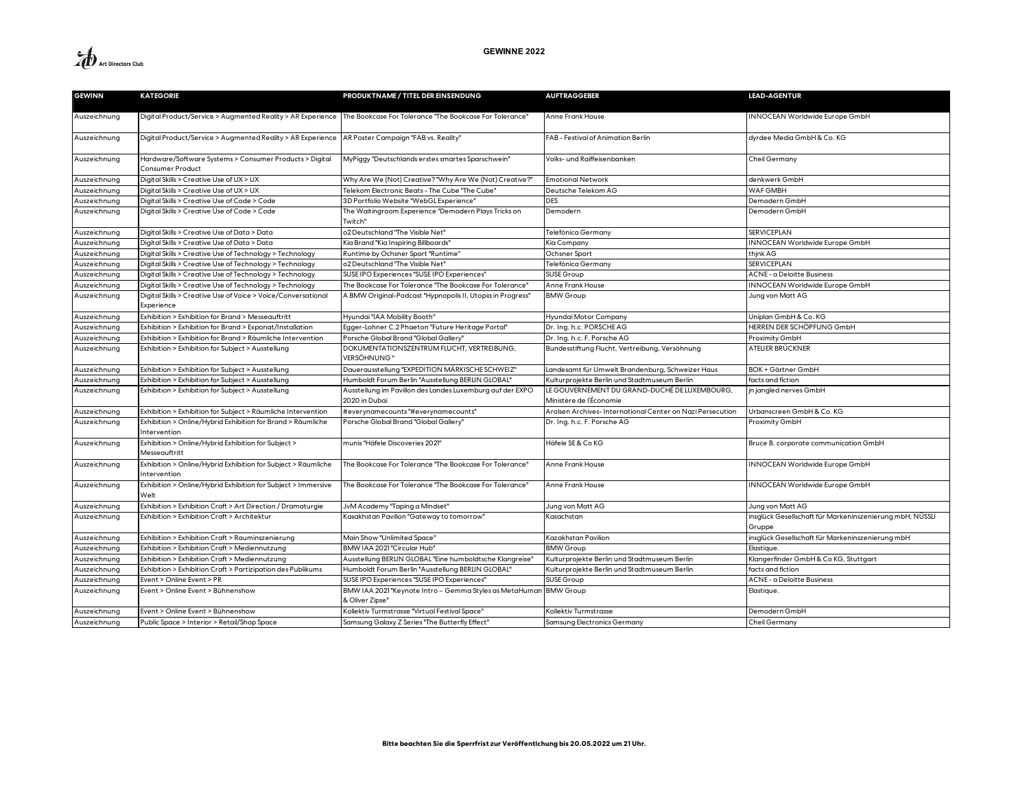

| <b>GEWINN</b> | <b>KATEGORIE</b>                                                                                                      | PRODUKTNAME / TITEL DER EINSENDUNG                                                   | <b>AUFTRAGGEBER</b>                                                      | <b>LEAD-AGENTUR</b>                                                |
|---------------|-----------------------------------------------------------------------------------------------------------------------|--------------------------------------------------------------------------------------|--------------------------------------------------------------------------|--------------------------------------------------------------------|
| Auszeichnung  | Digital Product/Service > Augmented Reality > AR Experience   The Bookcase For Tolerance "The Bookcase For Tolerance" |                                                                                      | Anne Frank House                                                         | INNOCEAN Worldwide Europe GmbH                                     |
| Auszeichnung  | Digital Product/Service > Augmented Reality > AR Experience   AR Poster Campaign "FAB vs. Reality"                    |                                                                                      | FAB - Festival of Animation Berlin                                       | dyrdee Media GmbH & Co. KG                                         |
| Auszeichnung  | Hardware/Software Systems > Consumer Products > Digital<br><b>Consumer Product</b>                                    | MyPiggy "Deutschlands erstes smartes Sparschwein"                                    | Volks- und Raiffeisenbanken                                              | Cheil Germany                                                      |
| Auszeichnung  | Digital Skills > Creative Use of UX > UX                                                                              | Why Are We (Not) Creative? "Why Are We (Not) Creative?'                              | <b>Emotional Network</b>                                                 | denkwerk GmbH                                                      |
| Auszeichnung  | Digital Skills > Creative Use of UX > UX                                                                              | Telekom Electronic Beats - The Cube "The Cube"                                       | Deutsche Telekom AG                                                      | WAF GMBH                                                           |
| Auszeichnung  | Digital Skills > Creative Use of Code > Code                                                                          | 3D Portfolio Website "WebGL Experience"                                              | <b>DES</b>                                                               | Demodern GmbH                                                      |
| Auszeichnung  | Digital Skills > Creative Use of Code > Code                                                                          | The Waitingroom Experience "Demodern Plays Tricks on<br>Twitch"                      | Demodern                                                                 | Demodern GmbH                                                      |
| Auszeichnung  | Digital Skills > Creative Use of Data > Data                                                                          | o2 Deutschland "The Visible Net"                                                     | Telefónica Germany                                                       | SERVICEPLAN                                                        |
| Auszeichnung  | Digital Skills > Creative Use of Data > Data                                                                          | Kia Brand "Kia Inspiring Billboards"                                                 | Kia Company                                                              | INNOCEAN Worldwide Europe GmbH                                     |
| Auszeichnung  | Digital Skills > Creative Use of Technology > Technology                                                              | Runtime by Ochsner Sport "Runtime"                                                   | Ochsner Sport                                                            | think AG                                                           |
| Auszeichnung  | Digital Skills > Creative Use of Technology > Technology                                                              | o2 Deutschland "The Visible Net'                                                     | Telefónica Germany                                                       | SERVICEPLAN                                                        |
| Auszeichnung  | Digital Skills > Creative Use of Technology > Technology                                                              | SUSE IPO Experiences "SUSE IPO Experiences"                                          | <b>SUSE Group</b>                                                        | ACNE - a Deloitte Business                                         |
| Auszeichnung  | Digital Skills > Creative Use of Technology > Technology                                                              | The Bookcase For Tolerance "The Bookcase For Tolerance"                              | Anne Frank House                                                         | <b>INNOCEAN Worldwide Europe GmbH</b>                              |
| Auszeichnung  | Digital Skills > Creative Use of Voice > Voice/Conversational<br>Experience                                           | A BMW Original-Podcast "Hypnopolis II, Utopia in Progress"                           | <b>BMW Group</b>                                                         | Jung von Matt AG                                                   |
| Auszeichnung  | Exhibition > Exhibition for Brand > Messeauftritt                                                                     | Hyundai "IAA Mobility Booth"                                                         | Hyundai Motor Company                                                    | Uniplan GmbH & Co. KG                                              |
| Auszeichnung  | Exhibition > Exhibition for Brand > Exponat/Installation                                                              | Egger-Lohner C.2 Phaeton "Future Heritage Portal"                                    | Dr. Ing. h.c. PORSCHEAG                                                  | HERREN DER SCHÖPFUNG GmbH                                          |
| Auszeichnung  | Exhibition > Exhibition for Brand > Räumliche Intervention                                                            | Porsche Global Brand "Global Gallery"                                                | Dr. Ing. h.c. F. Porsche AG                                              | Proximity GmbH                                                     |
| Auszeichnung  | Exhibition > Exhibition for Subject > Ausstellung                                                                     | DOKUMENTATIONSZENTRUM FLUCHT, VERTREIBUNG,<br>VERSÖHNUNG '                           | Bundesstiftung Flucht, Vertreibung, Versöhnung                           | ATELIER BRÜCKNER                                                   |
| Auszeichnung  | Exhibition > Exhibition for Subject > Ausstellung                                                                     | Dauerausstellung "EXPEDITION MÄRKISCHE SCHWEIZ"                                      | Landesamt für Umwelt Brandenburg, Schweizer Haus                         | BOK + Gärtner GmbH                                                 |
| Auszeichnung  | Exhibition > Exhibition for Subject > Ausstellung                                                                     | Humboldt Forum Berlin "Ausstellung BERLIN GLOBAL"                                    | Kulturprojekte Berlin und Stadtmuseum Berlin                             | facts and fiction                                                  |
| Auszeichnung  | Exhibition > Exhibition for Subject > Ausstellung                                                                     | Ausstellung im Pavillon des Landes Luxemburg auf der EXPO<br>2020 in Dubai           | LE GOUVERNEMENT DU GRAND-DUCHÉ DE LUXEMBOURG,<br>Ministère de l'Économie | jn jangled nerves GmbH                                             |
| Auszeichnung  | Exhibition > Exhibition for Subject > Räumliche Intervention                                                          | #everynamecounts"#everynamecounts"                                                   | Arolsen Archives-International Center on Nazi Persecution                | Urbanscreen GmbH & Co. KG                                          |
| Auszeichnung  | Exhibition > Online/Hybrid Exhibition for Brand > Räumliche<br>Intervention                                           | Porsche Global Brand "Global Gallery"                                                | Dr. Ing. h.c. F. Porsche AG                                              | Proximity GmbH                                                     |
| Auszeichnung  | Exhibition > Online/Hybrid Exhibition for Subject ><br>Messeauftritt                                                  | munis "Häfele Discoveries 2021"                                                      | Häfele SE & Co KG                                                        | Bruce B. corporate communication GmbH                              |
| Auszeichnung  | Exhibition > Online/Hybrid Exhibition for Subject > Räumliche<br>Intervention                                         | The Bookcase For Tolerance "The Bookcase For Tolerance"                              | Anne Frank House                                                         | INNOCEAN Worldwide Europe GmbH                                     |
| Auszeichnung  | Exhibition > Online/Hybrid Exhibition for Subject > Immersive<br>Welt                                                 | The Bookcase For Tolerance "The Bookcase For Tolerance"                              | Anne Frank House                                                         | INNOCEAN Worldwide Europe GmbH                                     |
| Auszeichnung  | Exhibition > Exhibition Craft > Art Direction / Dramaturgie                                                           | JvM Academy "Taping a Mindset"                                                       | Jung von Matt AG                                                         | Jung von Matt AG                                                   |
| Auszeichnung  | Exhibition > Exhibition Craft > Architektur                                                                           | Kasakhstan Pavilion "Gateway to tomorrow"                                            | Kasachstan                                                               | insglück Gesellschaft für Markeninszenierung mbH; NÜSSLI<br>Gruppe |
| Auszeichnung  | Exhibition > Exhibition Craft > Rauminszenierung                                                                      | Main Show "Unlimited Space"                                                          | Kazakhstan Pavilion                                                      | insglück Gesellschaft für Markeninszenierung mbH                   |
| Auszeichnung  | Exhibition > Exhibition Craft > Mediennutzung                                                                         | BMW IAA 2021 "Circular Hub"                                                          | <b>BMW Group</b>                                                         | Elastique                                                          |
| Auszeichnung  | Exhibition > Exhibition Craft > Mediennutzung                                                                         | Ausstellung BERLIN GLOBAL "Eine humboldtsche Klangreise"                             | Kulturprojekte Berlin und Stadtmuseum Berlin                             | Klangerfinder GmbH & Co KG, Stuttgart                              |
| Auszeichnung  | Exhibition > Exhibition Craft > Partizipation des Publikums                                                           | Humboldt Forum Berlin "Ausstellung BERLIN GLOBAL"                                    | Kulturprojekte Berlin und Stadtmuseum Berlin                             | facts and fiction                                                  |
| Auszeichnung  | Event > Online Event > PR                                                                                             | SUSE IPO Experiences "SUSE IPO Experiences"                                          | SUSE Group                                                               | ACNE - a Deloitte Business                                         |
| Auszeichnung  | Event > Online Event > Bühnenshow                                                                                     | BMW IAA 2021 "Keynote Intro - Gemma Styles as MetaHuman BMW Group<br>& Oliver Zipse" |                                                                          | Elastique.                                                         |
| Auszeichnung  | Event > Online Event > Bühnenshow                                                                                     | Kollektiv Turmstrasse "Virtual Festival Space"                                       | Kollektiv Turmstrasse                                                    | Demodern GmbH                                                      |
| Auszeichnung  | Public Space > Interior > Retail/Shop Space                                                                           | Samsung Galaxy Z Series "The Butterfly Effect"                                       | Samsung Electronics Germany                                              | <b>Cheil Germany</b>                                               |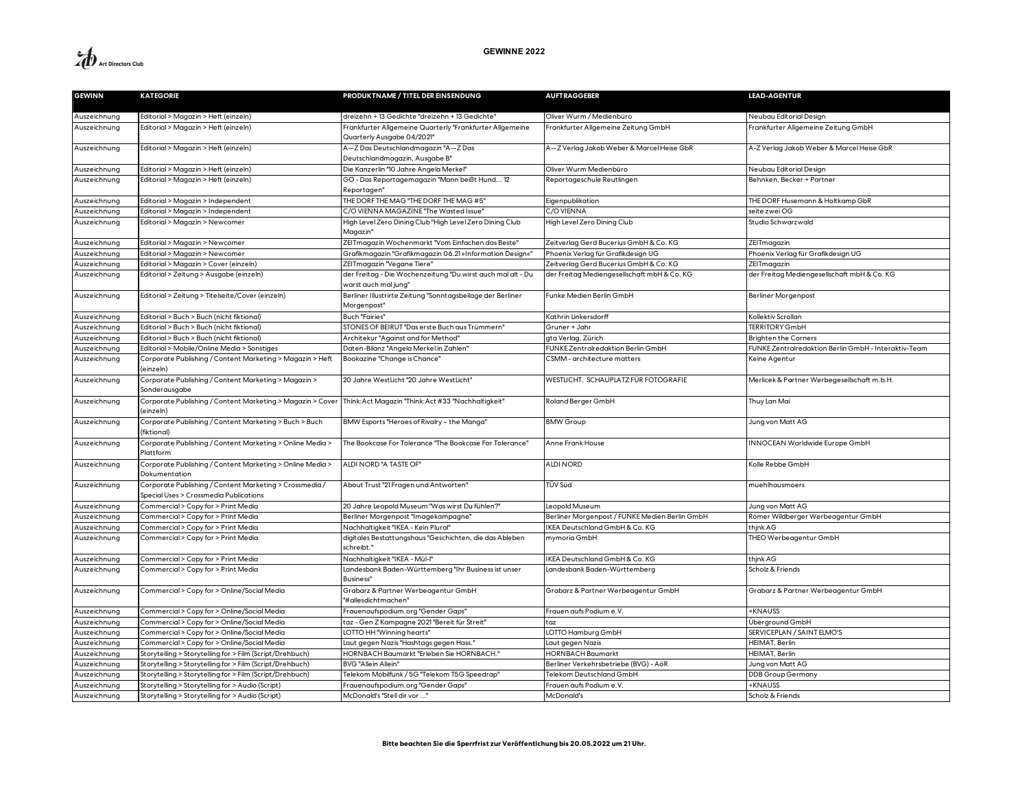| <b>GEWINN</b> | <b>KATEGORIE</b>                                                                                  | PRODUKTNAME / TITEL DER EINSENDUNG                                                     | <b>AUFTRAGGEBER</b>                            | <b>LEAD-AGENTUR</b>                                  |
|---------------|---------------------------------------------------------------------------------------------------|----------------------------------------------------------------------------------------|------------------------------------------------|------------------------------------------------------|
| Auszeichnung  | Editorial > Magazin > Heft (einzeln)                                                              | dreizehn + 13 Gedichte "dreizehn + 13 Gedichte"                                        | Oliver Wurm / Medienbüro                       | Neubau Editorial Design                              |
| Auszeichnung  | Editorial > Magazin > Heft (einzeln)                                                              | Frankfurter Allgemeine Quarterly "Frankfurter Allgemeine<br>Quarterly Ausgabe 04/2021" | Frankfurter Allgemeine Zeitung GmbH            | rankfurter Allgemeine Zeitung GmbH                   |
| Auszeichnung  | Editorial > Magazin > Heft (einzeln)                                                              | A-Z Das Deutschlandmagazin "A-Z Das<br>Deutschlandmagazin, Ausgabe B"                  | A-Z Verlag Jakob Weber & Marcel Heise GbR      | A-Z Verlag Jakob Weber & Marcel Heise GbR            |
| Auszeichnung  | Editorial > Magazin > Heft (einzeln)                                                              | Die Kanzerlin "10 Jahre Angela Merkel"                                                 | Oliver Wurm Medienbüro                         | Neubau Editorial Design                              |
| Auszeichnung  | Editorial > Magazin > Heft (einzeln)                                                              | GO - Das Reportagemagazin "Mann beißt Hund 12<br>Reportagen"                           | Reportageschule Reutlingen                     | Behnken, Becker + Partner                            |
| Auszeichnung  | Editorial > Magazin > Independent                                                                 | THE DORF THE MAG "THE DORF THE MAG #5"                                                 | Eigenpublikation                               | THE DORF Husemann & Holtkamp GbR                     |
| Auszeichnung  | Editorial > Magazin > Independent                                                                 | C/O VIENNA MAGAZINE "The Wasted Issue"                                                 | C/O VIENNA                                     | seite zwei OG                                        |
| Auszeichnung  | Editorial > Magazin > Newcomer                                                                    | High Level Zero Dining Club "High Level Zero Dining Club<br>Magazin"                   | High Level Zero Dining Club                    | Studio Schwarzwald                                   |
| Auszeichnung  | Editorial > Magazin > Newcomer                                                                    | ZEITmagazin Wochenmarkt "Vom Einfachen das Beste"                                      | Zeitverlag Gerd Bucerius GmbH & Co. KG         | ZEITmagazin                                          |
| Auszeichnung  | Editorial > Magazin > Newcomer                                                                    | Grafikmagazin "Grafikmagazin 06.21 »Information Design«'                               | Phoenix Verlag für Grafikdesign UG             | Phoenix Verlag für Grafikdesign UG                   |
| Auszeichnung  | Editorial > Magazin > Cover (einzeln)                                                             | ZEITmagazin "Vegane Tiere'                                                             | Zeitverlag Gerd Bucerius GmbH & Co. KG         | ZEITmagazin                                          |
| Auszeichnung  | Editorial > Zeitung > Ausgabe (einzeln)                                                           | der Freitag - Die Wochenzeitung "Du wirst auch mal alt - Du<br>warst auch mal jung"    | der Freitag Mediengesellschaft mbH & Co. KG    | der Freitag Mediengesellschaft mbH & Co. KG          |
| Auszeichnung  | Editorial > Zeitung > Titelseite/Cover (einzeln)                                                  | Berliner Illustrirte Zeitung "Sonntagsbeilage der Berliner<br>Morgenpost"              | Funke Medien Berlin GmbH                       | Berliner Morgenpost                                  |
| Auszeichnung  | Editorial > Buch > Buch (nicht fiktional)                                                         | <b>Buch "Fairies'</b>                                                                  | Kathrin Linkersdorff                           | Kollektiv Scrollan                                   |
| Auszeichnung  | Editorial > Buch > Buch (nicht fiktional)                                                         | STONES OF BEIRUT "Das erste Buch aus Trümmern"                                         | Gruner + Jahr                                  | <b>TERRITORY GmbH</b>                                |
| Auszeichnung  | Editorial > Buch > Buch (nicht fiktional)                                                         | Architekur "Against and for Method"                                                    | gta Verlag, Zürich                             | <b>Brighten the Corners</b>                          |
| Auszeichnung  | Editorial > Mobile/Online Media > Sonstiges                                                       | Daten-Bilanz "Angela Merkel in Zahlen"                                                 | FUNKE Zentralredaktion Berlin GmbH             | FUNKE Zentralredaktion Berlin GmbH - Interaktiv-Team |
| Auszeichnung  | Corporate Publishing / Content Marketing > Magazin > Heft<br>(einzeln)                            | Bookazine "Change is Chance"                                                           | CSMM - architecture matters                    | Keine Agentur                                        |
| Auszeichnung  | Corporate Publishing / Content Marketing > Magazin ><br>Sonderausgabe                             | 20 Jahre WestLicht "20 Jahre WestLicht"                                                | WESTLICHT. SCHAUPLATZ FÜR FOTOGRAFIE           | Merlicek & Partner Werbegesellschaft m.b.H.          |
| Auszeichnung  | Corporate Publishing / Content Marketing > Magazin > Cover<br>(einzeln)                           | Think: Act Magazin "Think: Act #33 "Nachhaltigkeit"                                    | Roland Berger GmbH                             | Thuy Lan Mai                                         |
| Auszeichnung  | Corporate Publishing / Content Marketing > Buch > Buch<br>(fiktional)                             | BMW Esports "Heroes of Rivalry - the Manga"                                            | <b>BMW Group</b>                               | Jung von Matt AG                                     |
| Auszeichnung  | Corporate Publishing / Content Marketing > Online Media ><br>Plattform                            | The Bookcase For Tolerance "The Bookcase For Tolerance'                                | Anne Frank House                               | <b>INNOCEAN Worldwide Europe GmbH</b>                |
| Auszeichnung  | Corporate Publishing / Content Marketing > Online Media ><br>Dokumentation                        | ALDI NORD "A TASTE OF"                                                                 | <b>ALDI NORD</b>                               | Kolle Rebbe GmbH                                     |
| Auszeichnung  | Corporate Publishing / Content Marketing > Crossmedia /<br>Special Uses > Crossmedia Publications | About Trust "21 Fragen und Antworten"                                                  | TÜV Süd                                        | muehlhausmoers                                       |
| Auszeichnung  | Commercial > Copy for > Print Media                                                               | 20 Jahre Leopold Museum "Was wirst Du fühlen?"                                         | Leopold Museum                                 | Jung von Matt AG                                     |
| Auszeichnung  | Commercial > Copy for > Print Media                                                               | Berliner Morgenpost "Imagekampagne"                                                    | Berliner Morgenpost / FUNKE Medien Berlin GmbH | Römer Wildberger Werbeagentur GmbH                   |
| Auszeichnung  | Commercial > Copy for > Print Media                                                               | Nachhaltigkeit "IKEA - Kein Plural"                                                    | <b>IKEA Deutschland GmbH &amp; Co. KG</b>      | thjnk AG                                             |
| Auszeichnung  | Commercial > Copy for > Print Media                                                               | digitales Bestattungshaus "Geschichten, die das Ableben<br>schreibt."                  | mymoria GmbH                                   | THEO Werbeagentur GmbH                               |
| Auszeichnung  | Commercial > Copy for > Print Media                                                               | Nachhaltigkeit "IKEA - Mül-I"                                                          | IKEA Deutschland GmbH & Co. KG                 | thjnk AG                                             |
| Auszeichnung  | Commercial > Copy for > Print Media                                                               | Landesbank Baden-Württemberg "Ihr Business ist unser<br>Business"                      | Landesbank Baden-Württemberg                   | Scholz & Friends                                     |
| Auszeichnung  | Commercial > Copy for > Online/Social Media                                                       | Grabarz & Partner Werbeagentur GmbH<br>"#allesdichtmachen"                             | Grabarz & Partner Werbeagentur GmbH            | Grabarz & Partner Werbeagentur GmbH                  |
| Auszeichnung  | Commercial > Copy for > Online/Social Media                                                       | Frauenaufspodium.org "Gender Gaps"                                                     | Frauen aufs Podium e.V.                        | <b>+KNAUSS</b>                                       |
| Auszeichnung  | Commercial > Copy for > Online/Social Media                                                       | taz - Gen Z Kampagne 2021 "Bereit für Streit"                                          | taz                                            | Überground GmbH                                      |
| Auszeichnung  | Commercial > Copy for > Online/Social Media                                                       | LOTTO HH "Winning hearts"                                                              | LOTTO Hamburg GmbH                             | SERVICEPLAN / SAINT ELMO'S                           |
| Auszeichnung  | Commercial > Copy for > Online/Social Media                                                       | Laut gegen Nazis "Hashtags gegen Hass."                                                | Laut gegen Nazis                               | HEIMAT, Berlin                                       |
| Auszeichnung  | Storytelling > Storytelling for > Film (Script/Drehbuch)                                          | HORNBACH Baumarkt "Erleben Sie HORNBACH."                                              | <b>HORNBACH Baumarkt</b>                       | HEIMAT, Berlin                                       |
| Auszeichnung  | Storytelling > Storytelling for > Film (Script/Drehbuch)                                          | <b>BVG "Allein Allein"</b>                                                             | Berliner Verkehrsbetriebe (BVG) - AöR          | Jung von Matt AG                                     |
| Auszeichnung  | Storytelling > Storytelling for > Film (Script/Drehbuch)                                          | Telekom Mobilfunk / 5G "Telekom T5G Speedrap"                                          | Telekom Deutschland GmbH                       | <b>DDB Group Germany</b>                             |
| Auszeichnung  | Storytelling > Storytelling for > Audio (Script)                                                  | Frauenaufspodium.org "Gender Gaps"                                                     | Frauen aufs Podium e.V.                        | <b>+KNAUSS</b>                                       |
| Auszeichnung  | Storytelling > Storytelling for > Audio (Script)                                                  | McDonald's "Stell dir vor "                                                            | McDonald's                                     | Scholz & Friends                                     |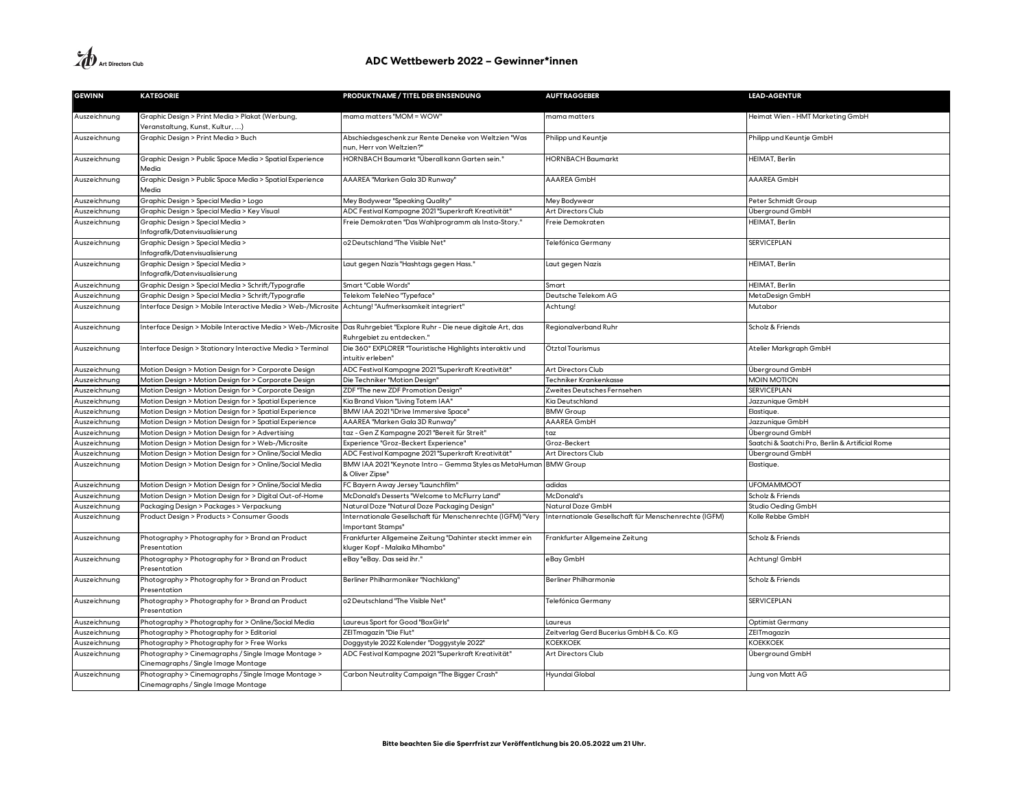| <b>GEWINN</b> | <b>KATEGORIE</b>                                                                           | PRODUKTNAME / TITEL DER EINSENDUNG                                                          | <b>AUFTRAGGEBER</b>                                  | <b>LEAD-AGENTUR</b>                             |
|---------------|--------------------------------------------------------------------------------------------|---------------------------------------------------------------------------------------------|------------------------------------------------------|-------------------------------------------------|
| Auszeichnung  | Graphic Design > Print Media > Plakat (Werbung,<br>Veranstaltung, Kunst, Kultur, )         | mama matters "MOM = WOW"                                                                    | mama matters                                         | Heimat Wien - HMT Marketing GmbH                |
| Auszeichnung  | Graphic Design > Print Media > Buch                                                        | Abschiedsgeschenk zur Rente Deneke von Weltzien "Was<br>nun, Herr von Weltzien?"            | Philipp und Keuntje                                  | Philipp und Keuntje GmbH                        |
| Auszeichnung  | Graphic Design > Public Space Media > Spatial Experience<br>Media                          | HORNBACH Baumarkt "Überall kann Garten sein."                                               | <b>HORNBACH Baumarkt</b>                             | HEIMAT, Berlin                                  |
| Auszeichnung  | Graphic Design > Public Space Media > Spatial Experience<br>Media                          | AAAREA "Marken Gala 3D Runway"                                                              | AAAREA GmbH                                          | AAAREA GmbH                                     |
| Auszeichnung  | Graphic Design > Special Media > Logo                                                      | Mey Bodywear "Speaking Quality'                                                             | Mey Bodywear                                         | Peter Schmidt Group                             |
| Auszeichnung  | Graphic Design > Special Media > Key Visual                                                | ADC Festival Kampagne 2021 "Superkraft Kreativität"                                         | Art Directors Club                                   | Überground GmbH                                 |
| Auszeichnung  | Graphic Design > Special Media ><br>Infografik/Datenvisualisierung                         | Freie Demokraten "Das Wahlprogramm als Insta-Story."                                        | Freie Demokraten                                     | HEIMAT, Berlin                                  |
| Auszeichnung  | Graphic Design > Special Media ><br>Infografik/Datenvisualisierung                         | o2 Deutschland "The Visible Net"                                                            | <b>Felefónica Germany</b>                            | SERVICEPLAN                                     |
| Auszeichnung  | Graphic Design > Special Media ><br>Infografik/Datenvisualisierung                         | Laut gegen Nazis "Hashtags gegen Hass.                                                      | Laut gegen Nazis                                     | HEIMAT, Berlin                                  |
| Auszeichnung  | Graphic Design > Special Media > Schrift/Typografie                                        | Smart "Cable Words"                                                                         | Smart                                                | HEIMAT, Berlin                                  |
| Auszeichnung  | Graphic Design > Special Media > Schrift/Typografie                                        | Telekom TeleNeo "Typeface"                                                                  | Deutsche Telekom AG                                  | MetaDesign GmbH                                 |
| Auszeichnung  | Interface Design > Mobile Interactive Media > Web-/Microsite                               | Achtung! "Aufmerksamkeit integriert"                                                        | Achtung!                                             | Mutabor                                         |
| Auszeichnung  | Interface Design > Mobile Interactive Media > Web-/Microsite                               | Das Ruhrgebiet "Explore Ruhr - Die neue digitale Art, das<br>Ruhrgebiet zu entdecken.'      | Regionalverband Ruhr                                 | Scholz & Friends                                |
| Auszeichnung  | Interface Design > Stationary Interactive Media > Terminal                                 | Die 360° EXPLORER "Touristische Highlights interaktiv und<br>intuitiv erleben"              | Ötztal Tourismus                                     | Atelier Markgraph GmbH                          |
| Auszeichnung  | Motion Design > Motion Design for > Corporate Design                                       | ADC Festival Kampagne 2021 "Superkraft Kreativität"                                         | Art Directors Club                                   | Überground GmbH                                 |
| Auszeichnung  | Motion Design > Motion Design for > Corporate Design                                       | Die Techniker "Motion Design"                                                               | Techniker Krankenkasse                               | <b>MOIN MOTION</b>                              |
| Auszeichnung  | Motion Design > Motion Design for > Corporate Design                                       | ZDF "The new ZDF Promotion Design"                                                          | Zweites Deutsches Fernsehen                          | <b>SERVICEPLAN</b>                              |
| Auszeichnung  | Motion Design > Motion Design for > Spatial Experience                                     | Kia Brand Vision "Living Totem IAA'                                                         | Kia Deutschland                                      | Jazzunique GmbH                                 |
| Auszeichnung  | Motion Design > Motion Design for > Spatial Experience                                     | BMW IAA 2021 "iDrive Immersive Space"                                                       | <b>BMW Group</b>                                     | Elastique.                                      |
| Auszeichnung  | Motion Design > Motion Design for > Spatial Experience                                     | AAAREA "Marken Gala 3D Runway"                                                              | AAAREA GmbH                                          | Jazzunique GmbH                                 |
| Auszeichnung  | Motion Design > Motion Design for > Advertising                                            | taz - Gen Z Kampagne 2021 "Bereit für Streit"                                               | taz                                                  | Überground GmbH                                 |
| Auszeichnung  | Motion Design > Motion Design for > Web-/Microsite                                         | Experience "Groz-Beckert Experience"                                                        | Groz-Beckert                                         | Saatchi & Saatchi Pro, Berlin & Artificial Rome |
| Auszeichnung  | Motion Design > Motion Design for > Online/Social Media                                    | ADC Festival Kampagne 2021 "Superkraft Kreativität"                                         | Art Directors Club                                   | Überground GmbH                                 |
| Auszeichnung  | Motion Design > Motion Design for > Online/Social Media                                    | BMW IAA 2021 "Keynote Intro – Gemma Styles as MetaHuman<br>& Oliver Zipse"                  | <b>BMW Group</b>                                     | Elastique.                                      |
| Auszeichnung  | Motion Design > Motion Design for > Online/Social Media                                    | FC Bayern Away Jersey "Launchfilm"                                                          | adidas                                               | <b>UFOMAMMOOT</b>                               |
| Auszeichnung  | Motion Design > Motion Design for > Digital Out-of-Home                                    | McDonald's Desserts "Welcome to McFlurry Land"                                              | McDonald's                                           | Scholz & Friends                                |
| Auszeichnung  | Packaging Design > Packages > Verpackung                                                   | Natural Doze "Natural Doze Packaging Design"                                                | Natural Doze GmbH                                    | Studio Oeding GmbH                              |
| Auszeichnung  | Product Design > Products > Consumer Goods                                                 | Internationale Gesellschaft für Menschenrechte (IGFM) "Very<br>mportant Stamps'             | nternationale Gesellschaft für Menschenrechte (IGFM) | Kolle Rebbe GmbH                                |
| Auszeichnung  | Photography > Photography for > Brand an Product<br>Presentation                           | Frankfurter Allgemeine Zeitung "Dahinter steckt immer ein<br>kluger Kopf - Malaika Mihambo" | Frankfurter Allgemeine Zeitung                       | Scholz & Friends                                |
| Auszeichnung  | Photography > Photography for > Brand an Product<br>Presentation                           | eBay "eBay. Das seid ihr."                                                                  | eBay GmbH                                            | Achtung! GmbH                                   |
| Auszeichnung  | Photography > Photography for > Brand an Product<br>Presentation                           | Berliner Philharmoniker "Nachklang"                                                         | Berliner Philharmonie                                | Scholz & Friends                                |
| Auszeichnung  | Photography > Photography for > Brand an Product<br>Presentation                           | o2 Deutschland "The Visible Net"                                                            | Telefónica Germany                                   | <b>SERVICEPLAN</b>                              |
| Auszeichnung  | Photography > Photography for > Online/Social Media                                        | Laureus Sport for Good "BoxGirls"                                                           | Laureus                                              | Optimist Germany                                |
| Auszeichnung  | Photography > Photography for > Editorial                                                  | ZEITmagazin "Die Flut"                                                                      | Zeitverlag Gerd Bucerius GmbH & Co. KG               | ZEITmagazin                                     |
| Auszeichnung  | Photography > Photography for > Free Works                                                 | Doggystyle 2022 Kalender "Doggystyle 2022"                                                  | KOEKKOEK                                             | KOEKKOEK                                        |
| Auszeichnung  | Photography > Cinemagraphs / Single Image Montage ><br>Cinemagraphs / Single Image Montage | ADC Festival Kampagne 2021 "Superkraft Kreativität"                                         | Art Directors Club                                   | Überground GmbH                                 |
| Auszeichnung  | Photography > Cinemagraphs / Single Image Montage ><br>Cinemagraphs / Single Image Montage | Carbon Neutrality Campaign "The Bigger Crash"                                               | Hyundai Global                                       | Jung von Matt AG                                |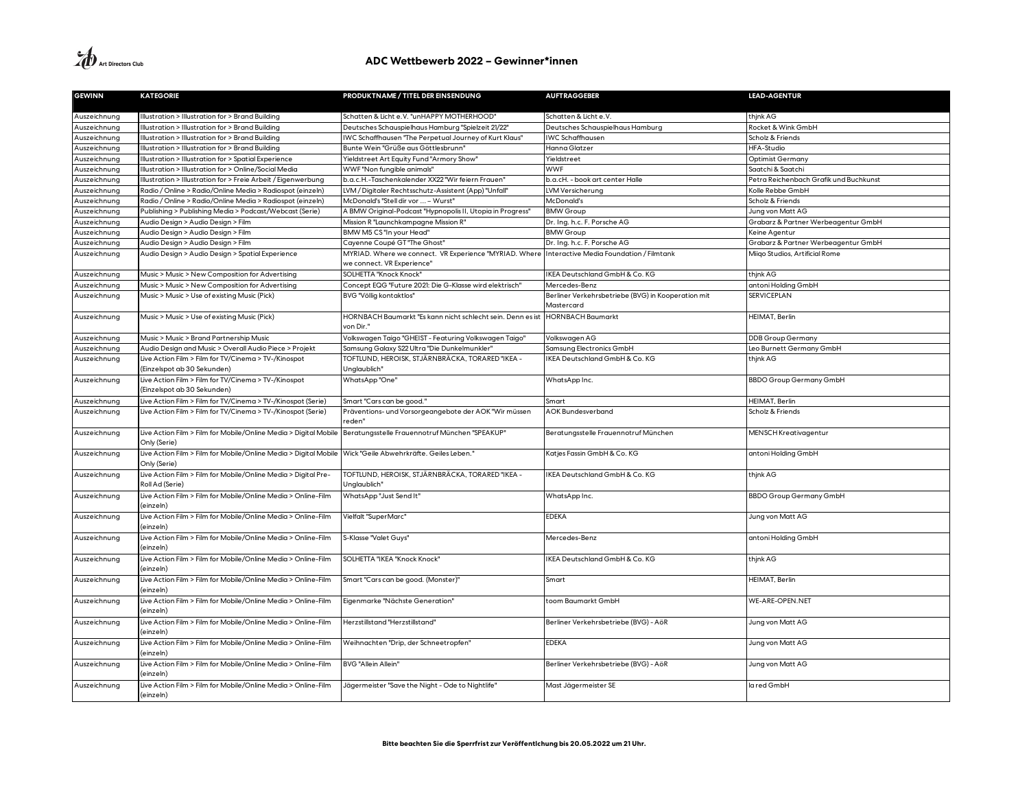**A**<br>Art Directors Club

| <b>GEWINN</b> | <b>KATEGORIE</b>                                                                    | PRODUKTNAME / TITEL DER EINSENDUNG                                           | <b>AUFTRAGGEBER</b>                                | <b>LEAD-AGENTUR</b>                    |
|---------------|-------------------------------------------------------------------------------------|------------------------------------------------------------------------------|----------------------------------------------------|----------------------------------------|
| Auszeichnung  | Illustration > Illustration for > Brand Building                                    | Schatten & Licht e.V. "unHAPPY MOTHERHOOD"                                   | ichatten & Licht e.V.                              | think AG                               |
| Auszeichnung  | Illustration > Illustration for > Brand Building                                    | Deutsches Schauspielhaus Hamburg "Spielzeit 21/22"                           | Deutsches Schauspielhaus Hamburg                   | Rocket & Wink GmbH                     |
| Auszeichnung  | Ilustration > Illustration for > Brand Building                                     | WC Schaffhausen "The Perpetual Journey of Kurt Klaus"                        | <b>WC Schaffhausen</b>                             | Scholz & Friends                       |
| Auszeichnung  | Illustration > Illustration for > Brand Building                                    | Bunte Wein "Grüße aus Göttlesbrunn"                                          | Hanna Glatzer                                      | HFA-Studio                             |
| Auszeichnung  | Ilustration > Illustration for > Spatial Experience                                 | "Yieldstreet Art Equity Fund "Armory Show                                    | Yieldstreet                                        | <b>Optimist Germany</b>                |
| Auszeichnung  | Ilustration > Illustration for > Online/Social Media                                | WWF "Non fungible animals"                                                   | <b>WWF</b>                                         | Saatchi & Saatchi                      |
| Auszeichnung  | Illustration > Illustration for > Freie Arbeit / Eigenwerbung                       | b.a.c.H.-Taschenkalender XX22 "Wir feiern Frauen"                            | b.a.cH. - book art center Halle                    | Petra Reichenbach Grafik und Buchkunst |
| Auszeichnung  | Radio / Online > Radio/Online Media > Radiospot (einzeln)                           | LVM / Digitaler Rechtsschutz-Assistent (App) "Unfall"                        | LVM Versicherung                                   | Kolle Rebbe GmbH                       |
| Auszeichnung  | Radio / Online > Radio/Online Media > Radiospot (einzeln)                           | McDonald's "Stell dir vor  - Wurst"                                          | McDonald's                                         | Scholz & Friends                       |
| Auszeichnung  | Publishing > Publishing Media > Podcast/Webcast (Serie)                             | A BMW Original-Podcast "Hypnopolis II, Utopia in Progress"                   | <b>BMW Group</b>                                   | Jung von Matt AG                       |
| Auszeichnung  | Audio Design > Audio Design > Film                                                  | Mission R "Launchkampagne Mission R"                                         | Dr. Ing. h.c. F. Porsche AG                        | Grabarz & Partner Werbeagentur GmbH    |
| Auszeichnung  | Audio Design > Audio Design > Film                                                  | BMW M5 CS "In your Head"                                                     | <b>BMW Group</b>                                   | Keine Agentur                          |
| Auszeichnung  | Audio Design > Audio Design > Film                                                  | Cayenne Coupé GT "The Ghost"                                                 | Dr. Ing. h.c. F. Porsche AG                        | Grabarz & Partner Werbeagentur GmbH    |
| Auszeichnung  | Audio Design > Audio Design > Spatial Experience                                    | MYRIAD. Where we connect. VR Experience "MYRIAD. Where                       | Interactive Media Foundation / Filmtank            | Miigo Studios, Artificial Rome         |
|               |                                                                                     | we connect. VR Experience"                                                   |                                                    |                                        |
| Auszeichnung  | Music > Music > New Composition for Advertising                                     | SOLHETTA "Knock Knock"                                                       | KEA Deutschland GmbH & Co. KG                      | think AG                               |
| Auszeichnung  | Music > Music > New Composition for Advertising                                     | Concept EQG "Future 2021: Die G-Klasse wird elektrisch"                      | Mercedes-Benz                                      | antoni Holding GmbH                    |
| Auszeichnung  | Music > Music > Use of existing Music (Pick)                                        | BVG "Völlig kontaktlos"                                                      | Berliner Verkehrsbetriebe (BVG) in Kooperation mit | <b>SERVICEPLAN</b>                     |
|               |                                                                                     |                                                                              | Mastercard                                         |                                        |
| Auszeichnung  | Music > Music > Use of existing Music (Pick)                                        | HORNBACH Baumarkt "Es kann nicht schlecht sein. Denn es ist<br>von Dir."     | <b>HORNBACH Baumarkt</b>                           | HEIMAT, Berlin                         |
| Auszeichnung  | Music > Music > Brand Partnership Music                                             | Volkswagen Taigo "GHEIST - Featuring Volkswagen Taigo"                       | Volkswagen AG                                      | <b>DDB Group Germany</b>               |
| Auszeichnung  | Audio Design and Music > Overall Audio Piece > Projekt                              | Samsung Galaxy S22 Ultra "Die Dunkelmunkler"                                 | Samsung Electronics GmbH                           | Leo Burnett Germany GmbH               |
| Auszeichnung  | Live Action Film > Film for TV/Cinema > TV-/Kinospot                                | TOFTLUND, HEROISK, STJÄRNBRÄCKA, TORARED "IKEA -                             | KEA Deutschland GmbH & Co. KG                      | thjnk AG                               |
|               | (Einzelspot ab 30 Sekunden)                                                         | Unglaublich <sup>'</sup>                                                     |                                                    |                                        |
| Auszeichnung  | Live Action Film > Film for TV/Cinema > TV-/Kinospot<br>(Einzelspot ab 30 Sekunden) | WhatsApp"One"                                                                | WhatsApp Inc.                                      | <b>BBDO Group Germany GmbH</b>         |
| Auszeichnung  | Live Action Film > Film for TV/Cinema > TV-/Kinospot (Serie)                        | Smart "Cars can be good."                                                    | Smart                                              | HEIMAT, Berlin                         |
| Auszeichnung  | Live Action Film > Film for TV/Cinema > TV-/Kinospot (Serie)                        | Präventions- und Vorsorgeangebote der AOK "Wir müssen<br>reden"              | <b>AOK Bundesverband</b>                           | Scholz & Friends                       |
| Auszeichnung  | Live Action Film > Film for Mobile/Online Media > Digital Mobile<br>Only (Serie)    | Beratungsstelle Frauennotruf München "SPEAKUP"                               | Beratungsstelle Frauennotruf München               | <b>MENSCH Kreativagentur</b>           |
| Auszeichnung  | Live Action Film > Film for Mobile/Online Media > Digital Mobile<br>Only (Serie)    | Wick "Geile Abwehrkräfte. Geiles Leben."                                     | Katjes Fassin GmbH & Co. KG                        | antoni Holding GmbH                    |
| Auszeichnung  | Live Action Film > Film for Mobile/Online Media > Digital Pre-<br>Roll Ad (Serie)   | TOFTLUND, HEROISK, STJÄRNBRÄCKA, TORARED "IKEA -<br>Unglaublich <sup>'</sup> | KEA Deutschland GmbH & Co. KG                      | thjnk AG                               |
| Auszeichnung  | Live Action Film > Film for Mobile/Online Media > Online-Film<br>(einzeln)          | WhatsApp "Just Send It"                                                      | WhatsApp Inc.                                      | <b>BBDO Group Germany GmbH</b>         |
| Auszeichnung  | Live Action Film > Film for Mobile/Online Media > Online-Film<br>(einzeln)          | Vielfalt "SuperMarc"                                                         | <b>EDEKA</b>                                       | Jung von Matt AG                       |
| Auszeichnung  | Live Action Film > Film for Mobile/Online Media > Online-Film<br>(einzeln)          | S-Klasse "Valet Guys"                                                        | Mercedes-Benz                                      | antoni Holding GmbH                    |
| Auszeichnung  | Live Action Film > Film for Mobile/Online Media > Online-Film<br>(einzeln)          | SOLHETTA "IKEA "Knock Knock"                                                 | KEA Deutschland GmbH & Co. KG                      | thjnk AG                               |
| Auszeichnung  | Live Action Film > Film for Mobile/Online Media > Online-Film<br>(einzeln)          | Smart "Cars can be good. (Monster)"                                          | Smart                                              | HEIMAT, Berlin                         |
| Auszeichnung  | Live Action Film > Film for Mobile/Online Media > Online-Film<br>(einzeln)          | Eigenmarke "Nächste Generation"                                              | toom Baumarkt GmbH                                 | WE-ARE-OPEN.NET                        |
| Auszeichnung  | Live Action Film > Film for Mobile/Online Media > Online-Film<br>(einzeln)          | Herzstillstand "Herzstillstand"                                              | Berliner Verkehrsbetriebe (BVG) - AöR              | Jung von Matt AG                       |
| Auszeichnung  | Live Action Film > Film for Mobile/Online Media > Online-Film<br>(einzeln)          | Weihnachten "Drip, der Schneetropfen"                                        | <b>EDEKA</b>                                       | Jung von Matt AG                       |
| Auszeichnung  | Live Action Film > Film for Mobile/Online Media > Online-Film<br>(einzeln)          | <b>BVG "Allein Allein"</b>                                                   | Berliner Verkehrsbetriebe (BVG) - AöR              | Jung von Matt AG                       |
| Auszeichnung  | Live Action Film > Film for Mobile/Online Media > Online-Film<br>(einzeln)          | Jägermeister "Save the Night - Ode to Nightlife"                             | Mast Jägermeister SE                               | la red GmbH                            |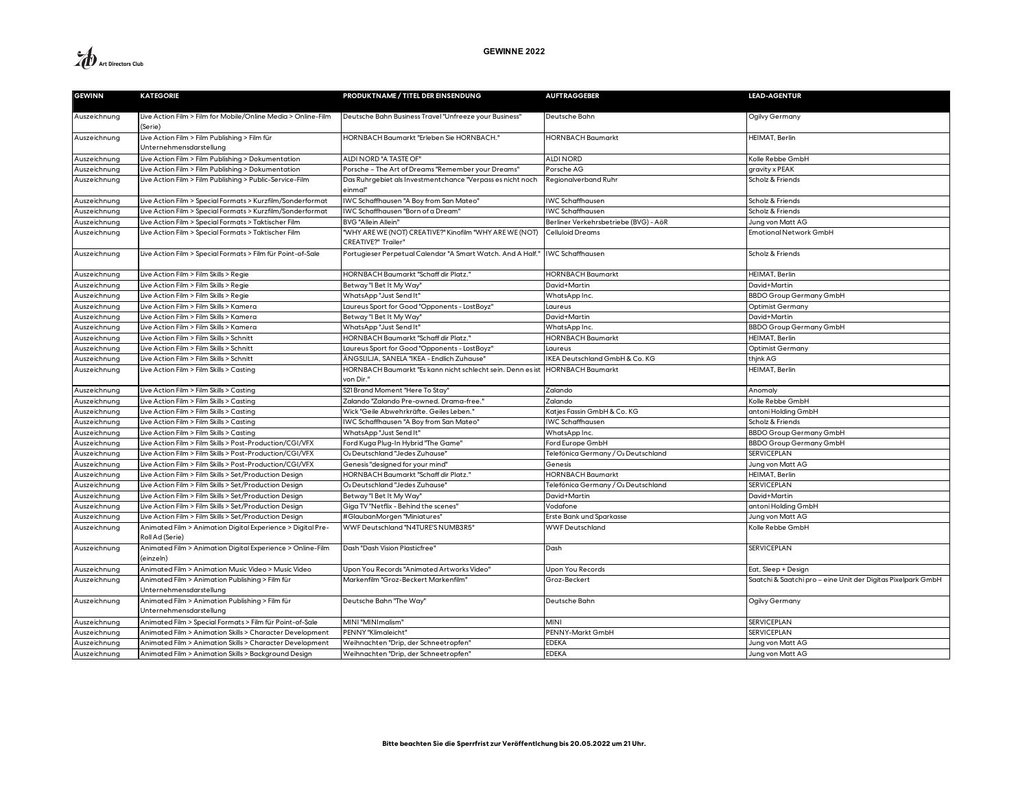

| <b>GEWINN</b> | <b>KATEGORIE</b>                                                               | PRODUKTNAME / TITEL DER EINSENDUNG                                                    | <b>AUFTRAGGEBER</b>                   | <b>LEAD-AGENTUR</b>                                          |
|---------------|--------------------------------------------------------------------------------|---------------------------------------------------------------------------------------|---------------------------------------|--------------------------------------------------------------|
| Auszeichnung  | Live Action Film > Film for Mobile/Online Media > Online-Film<br>(Serie)       | Deutsche Bahn Business Travel "Unfreeze your Business"                                | Deutsche Bahn                         | Ogilvy Germany                                               |
| Auszeichnung  | Live Action Film > Film Publishing > Film für<br>Unternehmensdarstellung       | HORNBACH Baumarkt "Erleben Sie HORNBACH."                                             | <b>HORNBACH Baumarkt</b>              | HEIMAT, Berlin                                               |
| Auszeichnung  | Live Action Film > Film Publishing > Dokumentation                             | ALDI NORD "A TASTE OF"                                                                | <b>ALDINORD</b>                       | Kolle Rebbe GmbH                                             |
| Auszeichnung  | Live Action Film > Film Publishing > Dokumentation                             | Porsche - The Art of Dreams "Remember your Dreams"                                    | Porsche AG                            | gravity x PEAK                                               |
| Auszeichnung  | Live Action Film > Film Publishing > Public-Service-Film                       | Das Ruhrgebiet als Investmentchance "Verpass es nicht noch<br>einmal"                 | Regionalverband Ruhr                  | Scholz & Friends                                             |
| Auszeichnung  | Live Action Film > Special Formats > Kurzfilm/Sonderformat                     | IWC Schaffhausen "A Boy from San Mateo"                                               | <b>WC Schaffhausen</b>                | Scholz & Friends                                             |
| Auszeichnung  | Live Action Film > Special Formats > Kurzfilm/Sonderformat                     | IWC Schaffhausen "Born of a Dream"                                                    | <b>WC Schaffhausen</b>                | Scholz & Friends                                             |
| Auszeichnung  | Live Action Film > Special Formats > Taktischer Film                           | <b>BVG "Allein Allein"</b>                                                            | Berliner Verkehrsbetriebe (BVG) - AöR | Jung von Matt AG                                             |
| Auszeichnung  | Live Action Film > Special Formats > Taktischer Film                           | "WHY ARE WE (NOT) CREATIVE?" Kinofilm "WHY ARE WE (NOT)<br><b>CREATIVE?" Trailer"</b> | Celluloid Dreams                      | Emotional Network GmbH                                       |
| Auszeichnung  | Live Action Film > Special Formats > Film für Point-of-Sale                    | Portugieser Perpetual Calendar "A Smart Watch. And A Half.'                           | <b>WC Schaffhausen</b>                | Scholz & Friends                                             |
| Auszeichnung  | Live Action Film > Film Skills > Regie                                         | HORNBACH Baumarkt "Schaff dir Platz."                                                 | <b>IORNBACH Baumarkt</b>              | HEIMAT, Berlin                                               |
| Auszeichnung  | Live Action Film > Film Skills > Regie                                         | Betway" Bet It My Way'                                                                | David+Martin                          | David+Martin                                                 |
| Auszeichnung  | Live Action Film > Film Skills > Regie                                         | WhatsApp "Just Send It"                                                               | WhatsApp Inc.                         | <b>BBDO Group Germany GmbH</b>                               |
| Auszeichnung  | Live Action Film > Film Skills > Kamera                                        | Laureus Sport for Good "Opponents - LostBoyz"                                         | Laureus                               | Optimist Germany                                             |
| Auszeichnung  | Live Action Film > Film Skills > Kamera                                        | Betway "I Bet It My Way'                                                              | David+Martin                          | David+Martin                                                 |
| Auszeichnung  | Live Action Film > Film Skills > Kamera                                        | WhatsApp "Just Send It"                                                               | WhatsApp Inc.                         | <b>BBDO Group Germany GmbH</b>                               |
| Auszeichnung  | Live Action Film > Film Skills > Schnitt                                       | HORNBACH Baumarkt "Schaff dir Platz."                                                 | <b>HORNBACH Baumarkt</b>              | HEIMAT, Berlin                                               |
| Auszeichnung  | Live Action Film > Film Skills > Schnitt                                       | Laureus Sport for Good "Opponents - LostBoyz"                                         | Laureus                               | Optimist Germany                                             |
| Auszeichnung  | Live Action Film > Film Skills > Schnitt                                       | ÄNGSLILJA, SANELA "IKEA - Endlich Zuhause'                                            | KEA Deutschland GmbH & Co. KG         | thjnk AG                                                     |
| Auszeichnung  | Live Action Film > Film Skills > Casting                                       | HORNBACH Baumarkt "Es kann nicht schlecht sein. Denn es ist<br>von Dir."              | <b>HORNBACH Baumarkt</b>              | HEIMAT, Berlin                                               |
| Auszeichnung  | Live Action Film > Film Skills > Casting                                       | S21 Brand Moment "Here To Stay'                                                       | Zalando                               | Anomaly                                                      |
| Auszeichnung  | Live Action Film > Film Skills > Casting                                       | Zalando "Zalando Pre-owned. Drama-free.'                                              | Zalando                               | Kolle Rebbe GmbH                                             |
| Auszeichnung  | Live Action Film > Film Skills > Casting                                       | Wick "Geile Abwehrkräfte. Geiles Leben."                                              | Katjes Fassin GmbH & Co. KG           | antoni Holding GmbH                                          |
| Auszeichnung  | Live Action Film > Film Skills > Casting                                       | IWC Schaffhausen "A Boy from San Mateo"                                               | <b>WC Schaffhausen</b>                | Scholz & Friends                                             |
| Auszeichnung  | Live Action Film > Film Skills > Casting                                       | WhatsApp "Just Send It"                                                               | WhatsApp Inc.                         | <b>BBDO Group Germany GmbH</b>                               |
| Auszeichnung  | Live Action Film > Film Skills > Post-Production/CGI/VFX                       | Ford Kuga Plug-In Hybrid "The Game'                                                   | Ford Europe GmbH                      | <b>BBDO Group Germany GmbH</b>                               |
| Auszeichnung  | Live Action Film > Film Skills > Post-Production/CGI/VFX                       | O2 Deutschland "Jedes Zuhause'                                                        | Telefónica Germany / O2 Deutschland   | <b>SERVICEPLAN</b>                                           |
| Auszeichnung  | Live Action Film > Film Skills > Post-Production/CGI/VFX                       | Genesis "designed for your mind"                                                      | Genesis                               | Jung von Matt AG                                             |
| Auszeichnung  | Live Action Film > Film Skills > Set/Production Design                         | HORNBACH Baumarkt "Schaff dir Platz."                                                 | <b>HORNBACH Baumarkt</b>              | HEIMAT, Berlin                                               |
| Auszeichnung  | Live Action Film > Film Skills > Set/Production Design                         | O <sub>2</sub> Deutschland "Jedes Zuhause'                                            | Telefónica Germany / O2 Deutschland   | <b>SERVICEPLAN</b>                                           |
| Auszeichnung  | Live Action Film > Film Skills > Set/Production Design                         | Betway" Bet It My Way'                                                                | David+Martin                          | David+Martin                                                 |
| Auszeichnung  | Live Action Film > Film Skills > Set/Production Design                         | Giga TV "Netflix - Behind the scenes"                                                 | Vodafone                              | antoni Holding GmbH                                          |
| Auszeichnung  | Live Action Film > Film Skills > Set/Production Design                         | #GlaubanMorgen "Miniatures"                                                           | Erste Bank und Sparkasse              | Jung von Matt AG                                             |
| Auszeichnung  | Animated Film > Animation Digital Experience > Digital Pre-<br>Roll Ad (Serie) | WWF Deutschland "N4TURE'S NUMB3R5"                                                    | <b>WWF Deutschland</b>                | Kolle Rebbe GmbH                                             |
| Auszeichnung  | Animated Film > Animation Digital Experience > Online-Film<br>(einzeln)        | Dash "Dash Vision Plasticfree"                                                        | Dash                                  | <b>SERVICEPLAN</b>                                           |
| Auszeichnung  | Animated Film > Animation Music Video > Music Video                            | Upon You Records "Animated Artworks Video"                                            | Upon You Records                      | Eat, Sleep + Design                                          |
| Auszeichnung  | Animated Film > Animation Publishing > Film für<br>Unternehmensdarstellung     | Markenfilm "Groz-Beckert Markenfilm"                                                  | Groz-Beckert                          | Saatchi & Saatchi pro - eine Unit der Digitas Pixelpark GmbH |
| Auszeichnung  | Animated Film > Animation Publishing > Film für<br>Unternehmensdarstellung     | Deutsche Bahn "The Way"                                                               | Deutsche Bahn                         | Ogilvy Germany                                               |
| Auszeichnung  | Animated Film > Special Formats > Film für Point-of-Sale                       | MINI "MINImalism"                                                                     | <b>MINI</b>                           | <b>SERVICEPLAN</b>                                           |
| Auszeichnung  | Animated Film > Animation Skills > Character Development                       | PENNY "Klimaleicht"                                                                   | PENNY-Markt GmbH                      | <b>SERVICEPLAN</b>                                           |
| Auszeichnung  | Animated Film > Animation Skills > Character Development                       | Weihnachten "Drip, der Schneetropfen"                                                 | <b>EDEKA</b>                          | Jung von Matt AG                                             |
| Auszeichnung  | Animated Film > Animation Skills > Background Design                           | Weihnachten "Drip, der Schneetropfen"                                                 | <b>EDEKA</b>                          | Jung von Matt AG                                             |